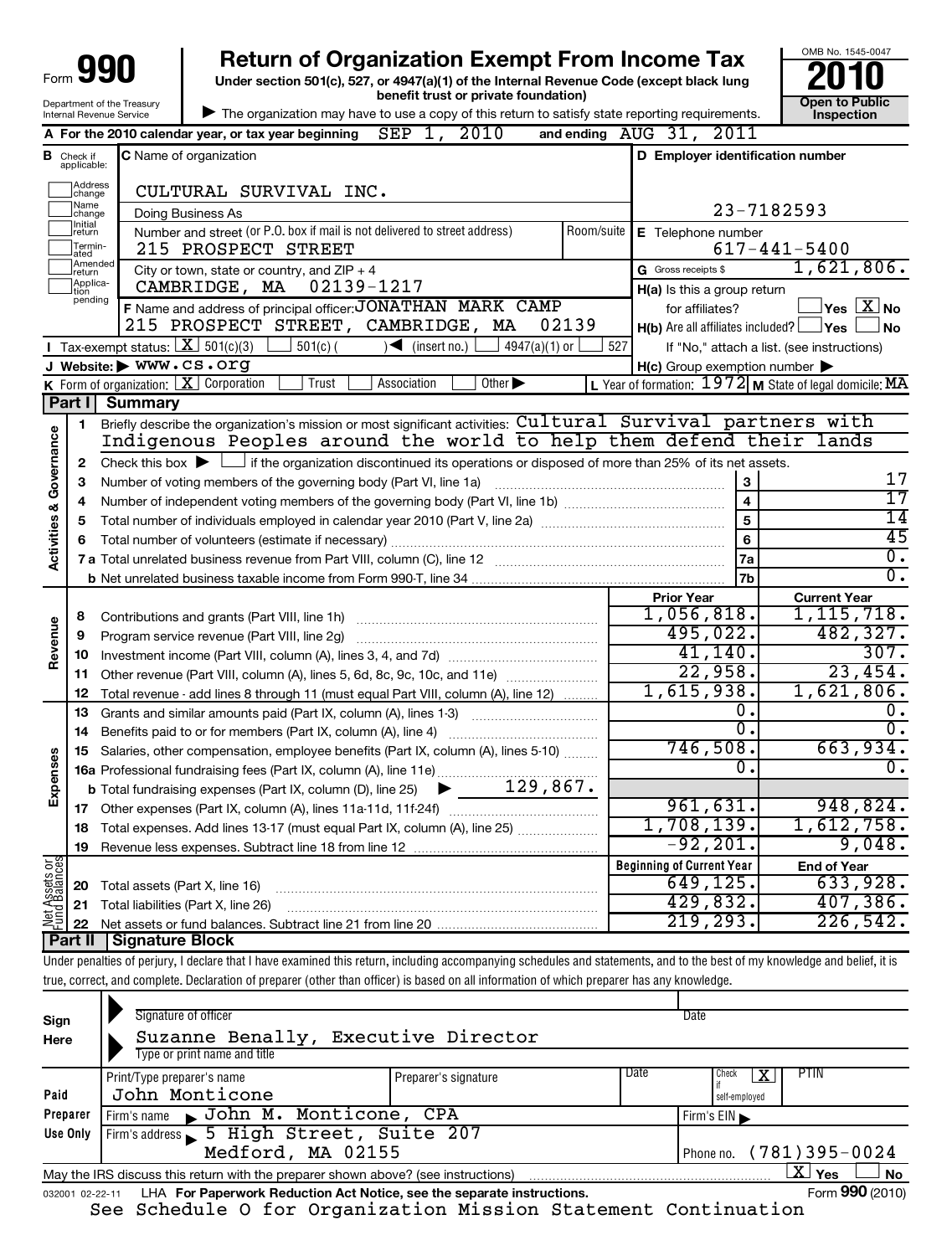| 990<br>Form                |
|----------------------------|
| Department of the Treasury |
| Internal Revenue Service   |

**Under section 501(c), 527, or 4947(a)(1) of the Internal Revenue Code (except black lung benefit trust or private foundation) Construction Construction Construction Construction 990** Return of Organization Exempt From Income Tax  $\frac{6008 \text{ No. }1545-004}{2010}$ <br>Under section 501(c), 527, or 4947(a)(1) of the Internal Revenue Code (except black lung



| The organization may have to use a copy of this return to satisfy state reporting requirements.

|                                    |                                  | 2010<br>SEP<br>1,<br>A For the 2010 calendar year, or tax year beginning                                                                                                           |       | and ending AUG 31, 2011                             |                                                                    |  |  |
|------------------------------------|----------------------------------|------------------------------------------------------------------------------------------------------------------------------------------------------------------------------------|-------|-----------------------------------------------------|--------------------------------------------------------------------|--|--|
|                                    | <b>B</b> Check if<br>applicable: | D Employer identification number<br><b>C</b> Name of organization                                                                                                                  |       |                                                     |                                                                    |  |  |
|                                    | Address<br>change                | CULTURAL SURVIVAL INC.                                                                                                                                                             |       |                                                     |                                                                    |  |  |
|                                    | Name<br>change                   | Doing Business As                                                                                                                                                                  |       |                                                     | 23-7182593                                                         |  |  |
|                                    | Initial<br> return               | Number and street (or P.O. box if mail is not delivered to street address)                                                                                                         |       | Room/suite E Telephone number                       |                                                                    |  |  |
|                                    | Termin-<br>ated                  | 215 PROSPECT STREET                                                                                                                                                                |       |                                                     | $617 - 441 - 5400$                                                 |  |  |
|                                    | Amended<br>Ireturn               | City or town, state or country, and $ZIP + 4$                                                                                                                                      |       | G Gross receipts \$                                 | 1,621,806.                                                         |  |  |
|                                    | Applica-<br>Ition<br>pending     | CAMBRIDGE, MA 02139-1217                                                                                                                                                           |       | $H(a)$ is this a group return                       |                                                                    |  |  |
|                                    |                                  | F Name and address of principal officer: JONATHAN MARK CAMP                                                                                                                        |       | for affiliates?                                     | $\sqrt{\mathsf{Yes}\mathord{\;\mathbb{X}}\mathord{\;\mathsf{No}}}$ |  |  |
|                                    |                                  | 215 PROSPECT STREET, CAMBRIDGE,<br>MA                                                                                                                                              | 02139 | $H(b)$ Are all affiliates included? $\Box$ Yes      | No.                                                                |  |  |
|                                    |                                  | <b>I</b> Tax-exempt status: $X \ 501(c)(3)$<br>$4947(a)(1)$ or<br>$501(c)$ (<br>$\sqrt{\frac{1}{1}}$ (insert no.)                                                                  | 527   |                                                     | If "No," attach a list. (see instructions)                         |  |  |
|                                    |                                  | J Website: WWW.CS.Org                                                                                                                                                              |       | $H(c)$ Group exemption number $\blacktriangleright$ |                                                                    |  |  |
|                                    |                                  | <b>K</b> Form of organization: $X$ Corporation<br>Trust<br>Association<br>Other $\blacktriangleright$                                                                              |       |                                                     | L Year of formation: 1972 M State of legal domicile: MA            |  |  |
|                                    | Part II                          | Summary                                                                                                                                                                            |       |                                                     |                                                                    |  |  |
|                                    | 1                                | Briefly describe the organization's mission or most significant activities: Cultural Survival partners with<br>Indigenous Peoples around the world to help them defend their lands |       |                                                     |                                                                    |  |  |
| <b>Activities &amp; Governance</b> |                                  |                                                                                                                                                                                    |       |                                                     |                                                                    |  |  |
|                                    | 2                                | Check this box $\blacktriangleright$ $\Box$ if the organization discontinued its operations or disposed of more than 25% of its net assets.                                        |       |                                                     | 17                                                                 |  |  |
|                                    | 3                                | Number of voting members of the governing body (Part VI, line 1a)                                                                                                                  |       | 3<br>$\overline{\mathbf{4}}$                        | $\overline{17}$                                                    |  |  |
|                                    | 4<br>5                           |                                                                                                                                                                                    |       | $\overline{5}$                                      | $\overline{14}$                                                    |  |  |
|                                    | 6                                |                                                                                                                                                                                    | 6     | $\overline{45}$                                     |                                                                    |  |  |
|                                    |                                  |                                                                                                                                                                                    |       | 7a                                                  | $\overline{0}$ .                                                   |  |  |
|                                    |                                  |                                                                                                                                                                                    |       | 7b                                                  | О.                                                                 |  |  |
|                                    |                                  |                                                                                                                                                                                    |       | <b>Prior Year</b>                                   | <b>Current Year</b>                                                |  |  |
|                                    | 8                                | Contributions and grants (Part VIII, line 1h)                                                                                                                                      |       | 1,056,818.                                          | 1, 115, 718.                                                       |  |  |
| Revenue                            | 9                                | Program service revenue (Part VIII, line 2g)                                                                                                                                       |       | 495,022.                                            | 482,327.                                                           |  |  |
|                                    | 10                               |                                                                                                                                                                                    |       | 41,140.                                             | 307.                                                               |  |  |
|                                    | 11                               | Other revenue (Part VIII, column (A), lines 5, 6d, 8c, 9c, 10c, and 11e)                                                                                                           |       | 22,958.                                             | 23,454.                                                            |  |  |
|                                    | 12                               | Total revenue - add lines 8 through 11 (must equal Part VIII, column (A), line 12)                                                                                                 |       | 1,615,938.                                          | 1,621,806.                                                         |  |  |
|                                    | 13                               | Grants and similar amounts paid (Part IX, column (A), lines 1-3)                                                                                                                   |       | ο.                                                  | ο.                                                                 |  |  |
|                                    | 14                               |                                                                                                                                                                                    |       | $\overline{0}$ .                                    | Ο.                                                                 |  |  |
|                                    | 15                               | Salaries, other compensation, employee benefits (Part IX, column (A), lines 5-10)                                                                                                  |       | 746,508.                                            | 663,934.                                                           |  |  |
|                                    |                                  | 16a Professional fundraising fees (Part IX, column (A), line 11e)                                                                                                                  |       | 0.                                                  | 0.                                                                 |  |  |
| Expenses                           |                                  | 129,867.<br><b>b</b> Total fundraising expenses (Part IX, column (D), line 25)<br>▶                                                                                                |       |                                                     |                                                                    |  |  |
|                                    |                                  |                                                                                                                                                                                    |       | 961,631.                                            | 948,824.                                                           |  |  |
|                                    | 18                               | Total expenses. Add lines 13-17 (must equal Part IX, column (A), line 25)                                                                                                          |       | 1,708,139.                                          | 1,612,758.                                                         |  |  |
|                                    | 19                               |                                                                                                                                                                                    |       | $-92, 201.$                                         | 9,048.                                                             |  |  |
| $rac{\text{or}}{\text{cos}}$       |                                  |                                                                                                                                                                                    |       | <b>Beginning of Current Year</b>                    | <b>End of Year</b>                                                 |  |  |
| Assets                             | 20                               | Total assets (Part X, line 16)                                                                                                                                                     |       | 649, 125.                                           | 633,928.                                                           |  |  |
| Net A<br>Fund                      | 21                               | Total liabilities (Part X, line 26)                                                                                                                                                |       | 429,832.                                            | 407,386.                                                           |  |  |
|                                    | 22                               |                                                                                                                                                                                    |       | 219, 293.                                           | 226, 542.                                                          |  |  |
|                                    |                                  | Part II   Signature Block                                                                                                                                                          |       |                                                     |                                                                    |  |  |

Under penalties of perjury, I declare that I have examined this return, including accompanying schedules and statements, and to the best of my knowledge and belief, it is true, correct, and complete. Declaration of preparer (other than officer) is based on all information of which preparer has any knowledge.

| Sign<br>Here      | Signature of officer<br>Suzanne Benally, Executive Director<br>Type or print name and title                        |                      |      | Date          |                             |  |  |
|-------------------|--------------------------------------------------------------------------------------------------------------------|----------------------|------|---------------|-----------------------------|--|--|
|                   | Print/Type preparer's name                                                                                         | Preparer's signature | Date | Check         | <b>PTIN</b>                 |  |  |
| Paid              | John Monticone                                                                                                     |                      |      | self-employed |                             |  |  |
| Preparer          | Firm's name John M. Monticone, CPA                                                                                 |                      |      | Firm's $EIN$  |                             |  |  |
| Use Only          | Firm's address 5 High Street, Suite 207                                                                            |                      |      |               |                             |  |  |
| Medford, MA 02155 |                                                                                                                    |                      |      |               | Phone no. $(781)395 - 0024$ |  |  |
|                   | $\mathbf{X}$ Yes<br><b>No</b><br>May the IRS discuss this return with the preparer shown above? (see instructions) |                      |      |               |                             |  |  |
|                   | Form 990 (2010)<br>LHA For Paperwork Reduction Act Notice, see the separate instructions.<br>032001 02-22-11       |                      |      |               |                             |  |  |

See Schedule O for Organization Mission Statement Continuation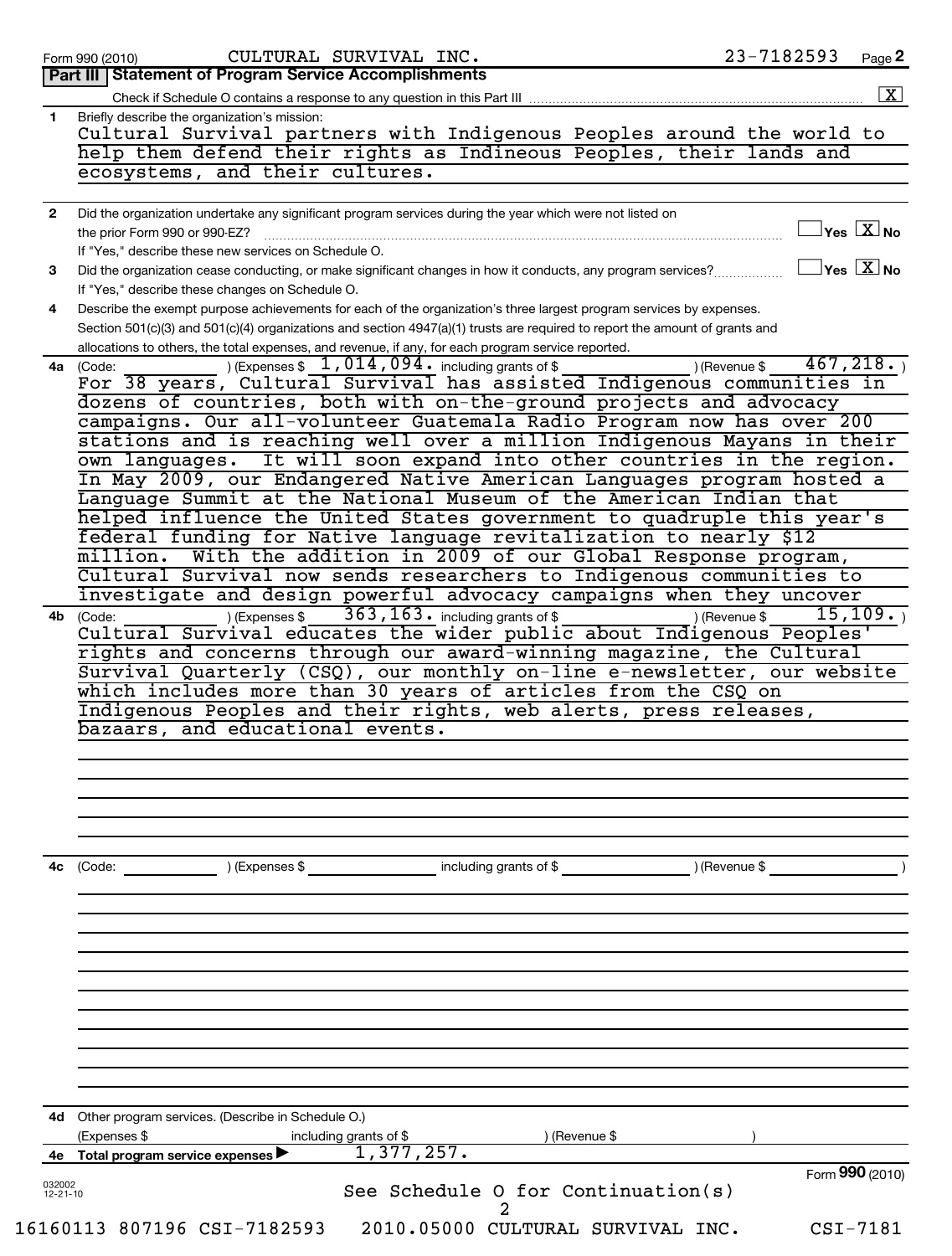| Part III   Statement of Program Service Accomplishments<br>Check if Schedule O contains a response to any question in this Part III<br>Briefly describe the organization's mission:<br>Cultural Survival partners with Indigenous Peoples around the world to<br>help them defend their rights as Indineous Peoples, their lands and<br>ecosystems, and their cultures.<br>Did the organization undertake any significant program services during the year which were not listed on<br>$\sqrt{\ }$ Yes $\boxed{\text{X}}$ No<br>the prior Form 990 or 990-EZ?<br>If "Yes," describe these new services on Schedule O.<br>$\Box$ Yes $\Box X$ No<br>Did the organization cease conducting, or make significant changes in how it conducts, any program services?<br>If "Yes," describe these changes on Schedule O.<br>Describe the exempt purpose achievements for each of the organization's three largest program services by expenses.<br>4<br>Section 501(c)(3) and 501(c)(4) organizations and section 4947(a)(1) trusts are required to report the amount of grants and<br>allocations to others, the total expenses, and revenue, if any, for each program service reported.<br>) (Expenses $$1,014,094$ · including grants of $$$<br>) (Revenue \$<br>4a (Code:<br>dozens of countries, both with on-the-ground projects and advocacy<br>campaigns. Our all-volunteer Guatemala Radio Program now has over 200<br>stations and is reaching well over a million Indigenous Mayans in their<br>It will soon expand into other countries in the region.<br>own languages.<br>In May 2009, our Endangered Native American Languages program hosted a<br>Language Summit at the National Museum of the American Indian that<br>helped influence the United States government to quadruple this year's<br>federal funding for Native language revitalization to nearly \$12<br>With the addition in 2009 of our Global Response program,<br>million.<br>Cultural Survival now sends researchers to Indigenous communities to<br>investigate and design powerful advocacy campaigns when they uncover<br>$363, 163$ $\cdot$ including grants of \$<br>15, 109.<br>) (Expenses \$<br>) (Revenue \$<br>(Code:<br>Cultural Survival educates the wider public about Indigenous Peoples'<br>rights and concerns through our award-winning magazine, the Cultural<br>Survival Quarterly (CSQ), our monthly on-line e-newsletter, our website<br>which includes more than 30 years of articles from the CSQ on<br>Indigenous Peoples and their rights, web alerts, press releases,<br>bazaars, and educational events.<br>(Code: ) (Expenses \$ contained including grants of \$ ) (Revenue \$<br>4d Other program services. (Describe in Schedule O.)<br>(Expenses \$<br>including grants of \$<br>) (Revenue \$<br>1,377,257.<br>4e Total program service expenses<br>Form 990 (2010)<br>032002<br>See Schedule O for Continuation(s)<br>$12 - 21 - 10$ |              | 23-7182593<br>CULTURAL SURVIVAL INC.<br>Page 2<br>Form 990 (2010)            |
|------------------------------------------------------------------------------------------------------------------------------------------------------------------------------------------------------------------------------------------------------------------------------------------------------------------------------------------------------------------------------------------------------------------------------------------------------------------------------------------------------------------------------------------------------------------------------------------------------------------------------------------------------------------------------------------------------------------------------------------------------------------------------------------------------------------------------------------------------------------------------------------------------------------------------------------------------------------------------------------------------------------------------------------------------------------------------------------------------------------------------------------------------------------------------------------------------------------------------------------------------------------------------------------------------------------------------------------------------------------------------------------------------------------------------------------------------------------------------------------------------------------------------------------------------------------------------------------------------------------------------------------------------------------------------------------------------------------------------------------------------------------------------------------------------------------------------------------------------------------------------------------------------------------------------------------------------------------------------------------------------------------------------------------------------------------------------------------------------------------------------------------------------------------------------------------------------------------------------------------------------------------------------------------------------------------------------------------------------------------------------------------------------------------------------------------------------------------------------------------------------------------------------------------------------------------------------------------------------------------------------------------------------------------------------------------------------------------------------------------------------------------------------------------------------------------------------------------------------------------------------------------------------------------------------------------------------|--------------|------------------------------------------------------------------------------|
|                                                                                                                                                                                                                                                                                                                                                                                                                                                                                                                                                                                                                                                                                                                                                                                                                                                                                                                                                                                                                                                                                                                                                                                                                                                                                                                                                                                                                                                                                                                                                                                                                                                                                                                                                                                                                                                                                                                                                                                                                                                                                                                                                                                                                                                                                                                                                                                                                                                                                                                                                                                                                                                                                                                                                                                                                                                                                                                                                      |              |                                                                              |
|                                                                                                                                                                                                                                                                                                                                                                                                                                                                                                                                                                                                                                                                                                                                                                                                                                                                                                                                                                                                                                                                                                                                                                                                                                                                                                                                                                                                                                                                                                                                                                                                                                                                                                                                                                                                                                                                                                                                                                                                                                                                                                                                                                                                                                                                                                                                                                                                                                                                                                                                                                                                                                                                                                                                                                                                                                                                                                                                                      |              |                                                                              |
|                                                                                                                                                                                                                                                                                                                                                                                                                                                                                                                                                                                                                                                                                                                                                                                                                                                                                                                                                                                                                                                                                                                                                                                                                                                                                                                                                                                                                                                                                                                                                                                                                                                                                                                                                                                                                                                                                                                                                                                                                                                                                                                                                                                                                                                                                                                                                                                                                                                                                                                                                                                                                                                                                                                                                                                                                                                                                                                                                      | $\mathbf{1}$ |                                                                              |
|                                                                                                                                                                                                                                                                                                                                                                                                                                                                                                                                                                                                                                                                                                                                                                                                                                                                                                                                                                                                                                                                                                                                                                                                                                                                                                                                                                                                                                                                                                                                                                                                                                                                                                                                                                                                                                                                                                                                                                                                                                                                                                                                                                                                                                                                                                                                                                                                                                                                                                                                                                                                                                                                                                                                                                                                                                                                                                                                                      |              |                                                                              |
|                                                                                                                                                                                                                                                                                                                                                                                                                                                                                                                                                                                                                                                                                                                                                                                                                                                                                                                                                                                                                                                                                                                                                                                                                                                                                                                                                                                                                                                                                                                                                                                                                                                                                                                                                                                                                                                                                                                                                                                                                                                                                                                                                                                                                                                                                                                                                                                                                                                                                                                                                                                                                                                                                                                                                                                                                                                                                                                                                      |              |                                                                              |
|                                                                                                                                                                                                                                                                                                                                                                                                                                                                                                                                                                                                                                                                                                                                                                                                                                                                                                                                                                                                                                                                                                                                                                                                                                                                                                                                                                                                                                                                                                                                                                                                                                                                                                                                                                                                                                                                                                                                                                                                                                                                                                                                                                                                                                                                                                                                                                                                                                                                                                                                                                                                                                                                                                                                                                                                                                                                                                                                                      |              |                                                                              |
|                                                                                                                                                                                                                                                                                                                                                                                                                                                                                                                                                                                                                                                                                                                                                                                                                                                                                                                                                                                                                                                                                                                                                                                                                                                                                                                                                                                                                                                                                                                                                                                                                                                                                                                                                                                                                                                                                                                                                                                                                                                                                                                                                                                                                                                                                                                                                                                                                                                                                                                                                                                                                                                                                                                                                                                                                                                                                                                                                      | $\mathbf{2}$ |                                                                              |
|                                                                                                                                                                                                                                                                                                                                                                                                                                                                                                                                                                                                                                                                                                                                                                                                                                                                                                                                                                                                                                                                                                                                                                                                                                                                                                                                                                                                                                                                                                                                                                                                                                                                                                                                                                                                                                                                                                                                                                                                                                                                                                                                                                                                                                                                                                                                                                                                                                                                                                                                                                                                                                                                                                                                                                                                                                                                                                                                                      |              |                                                                              |
|                                                                                                                                                                                                                                                                                                                                                                                                                                                                                                                                                                                                                                                                                                                                                                                                                                                                                                                                                                                                                                                                                                                                                                                                                                                                                                                                                                                                                                                                                                                                                                                                                                                                                                                                                                                                                                                                                                                                                                                                                                                                                                                                                                                                                                                                                                                                                                                                                                                                                                                                                                                                                                                                                                                                                                                                                                                                                                                                                      |              |                                                                              |
|                                                                                                                                                                                                                                                                                                                                                                                                                                                                                                                                                                                                                                                                                                                                                                                                                                                                                                                                                                                                                                                                                                                                                                                                                                                                                                                                                                                                                                                                                                                                                                                                                                                                                                                                                                                                                                                                                                                                                                                                                                                                                                                                                                                                                                                                                                                                                                                                                                                                                                                                                                                                                                                                                                                                                                                                                                                                                                                                                      | 3            |                                                                              |
|                                                                                                                                                                                                                                                                                                                                                                                                                                                                                                                                                                                                                                                                                                                                                                                                                                                                                                                                                                                                                                                                                                                                                                                                                                                                                                                                                                                                                                                                                                                                                                                                                                                                                                                                                                                                                                                                                                                                                                                                                                                                                                                                                                                                                                                                                                                                                                                                                                                                                                                                                                                                                                                                                                                                                                                                                                                                                                                                                      |              |                                                                              |
|                                                                                                                                                                                                                                                                                                                                                                                                                                                                                                                                                                                                                                                                                                                                                                                                                                                                                                                                                                                                                                                                                                                                                                                                                                                                                                                                                                                                                                                                                                                                                                                                                                                                                                                                                                                                                                                                                                                                                                                                                                                                                                                                                                                                                                                                                                                                                                                                                                                                                                                                                                                                                                                                                                                                                                                                                                                                                                                                                      |              |                                                                              |
|                                                                                                                                                                                                                                                                                                                                                                                                                                                                                                                                                                                                                                                                                                                                                                                                                                                                                                                                                                                                                                                                                                                                                                                                                                                                                                                                                                                                                                                                                                                                                                                                                                                                                                                                                                                                                                                                                                                                                                                                                                                                                                                                                                                                                                                                                                                                                                                                                                                                                                                                                                                                                                                                                                                                                                                                                                                                                                                                                      |              |                                                                              |
|                                                                                                                                                                                                                                                                                                                                                                                                                                                                                                                                                                                                                                                                                                                                                                                                                                                                                                                                                                                                                                                                                                                                                                                                                                                                                                                                                                                                                                                                                                                                                                                                                                                                                                                                                                                                                                                                                                                                                                                                                                                                                                                                                                                                                                                                                                                                                                                                                                                                                                                                                                                                                                                                                                                                                                                                                                                                                                                                                      |              | 467, 218.                                                                    |
|                                                                                                                                                                                                                                                                                                                                                                                                                                                                                                                                                                                                                                                                                                                                                                                                                                                                                                                                                                                                                                                                                                                                                                                                                                                                                                                                                                                                                                                                                                                                                                                                                                                                                                                                                                                                                                                                                                                                                                                                                                                                                                                                                                                                                                                                                                                                                                                                                                                                                                                                                                                                                                                                                                                                                                                                                                                                                                                                                      |              | For 38 years, Cultural Survival has assisted Indigenous communities in       |
|                                                                                                                                                                                                                                                                                                                                                                                                                                                                                                                                                                                                                                                                                                                                                                                                                                                                                                                                                                                                                                                                                                                                                                                                                                                                                                                                                                                                                                                                                                                                                                                                                                                                                                                                                                                                                                                                                                                                                                                                                                                                                                                                                                                                                                                                                                                                                                                                                                                                                                                                                                                                                                                                                                                                                                                                                                                                                                                                                      |              |                                                                              |
|                                                                                                                                                                                                                                                                                                                                                                                                                                                                                                                                                                                                                                                                                                                                                                                                                                                                                                                                                                                                                                                                                                                                                                                                                                                                                                                                                                                                                                                                                                                                                                                                                                                                                                                                                                                                                                                                                                                                                                                                                                                                                                                                                                                                                                                                                                                                                                                                                                                                                                                                                                                                                                                                                                                                                                                                                                                                                                                                                      |              |                                                                              |
|                                                                                                                                                                                                                                                                                                                                                                                                                                                                                                                                                                                                                                                                                                                                                                                                                                                                                                                                                                                                                                                                                                                                                                                                                                                                                                                                                                                                                                                                                                                                                                                                                                                                                                                                                                                                                                                                                                                                                                                                                                                                                                                                                                                                                                                                                                                                                                                                                                                                                                                                                                                                                                                                                                                                                                                                                                                                                                                                                      |              |                                                                              |
|                                                                                                                                                                                                                                                                                                                                                                                                                                                                                                                                                                                                                                                                                                                                                                                                                                                                                                                                                                                                                                                                                                                                                                                                                                                                                                                                                                                                                                                                                                                                                                                                                                                                                                                                                                                                                                                                                                                                                                                                                                                                                                                                                                                                                                                                                                                                                                                                                                                                                                                                                                                                                                                                                                                                                                                                                                                                                                                                                      |              |                                                                              |
|                                                                                                                                                                                                                                                                                                                                                                                                                                                                                                                                                                                                                                                                                                                                                                                                                                                                                                                                                                                                                                                                                                                                                                                                                                                                                                                                                                                                                                                                                                                                                                                                                                                                                                                                                                                                                                                                                                                                                                                                                                                                                                                                                                                                                                                                                                                                                                                                                                                                                                                                                                                                                                                                                                                                                                                                                                                                                                                                                      |              |                                                                              |
|                                                                                                                                                                                                                                                                                                                                                                                                                                                                                                                                                                                                                                                                                                                                                                                                                                                                                                                                                                                                                                                                                                                                                                                                                                                                                                                                                                                                                                                                                                                                                                                                                                                                                                                                                                                                                                                                                                                                                                                                                                                                                                                                                                                                                                                                                                                                                                                                                                                                                                                                                                                                                                                                                                                                                                                                                                                                                                                                                      |              |                                                                              |
|                                                                                                                                                                                                                                                                                                                                                                                                                                                                                                                                                                                                                                                                                                                                                                                                                                                                                                                                                                                                                                                                                                                                                                                                                                                                                                                                                                                                                                                                                                                                                                                                                                                                                                                                                                                                                                                                                                                                                                                                                                                                                                                                                                                                                                                                                                                                                                                                                                                                                                                                                                                                                                                                                                                                                                                                                                                                                                                                                      |              |                                                                              |
|                                                                                                                                                                                                                                                                                                                                                                                                                                                                                                                                                                                                                                                                                                                                                                                                                                                                                                                                                                                                                                                                                                                                                                                                                                                                                                                                                                                                                                                                                                                                                                                                                                                                                                                                                                                                                                                                                                                                                                                                                                                                                                                                                                                                                                                                                                                                                                                                                                                                                                                                                                                                                                                                                                                                                                                                                                                                                                                                                      |              |                                                                              |
|                                                                                                                                                                                                                                                                                                                                                                                                                                                                                                                                                                                                                                                                                                                                                                                                                                                                                                                                                                                                                                                                                                                                                                                                                                                                                                                                                                                                                                                                                                                                                                                                                                                                                                                                                                                                                                                                                                                                                                                                                                                                                                                                                                                                                                                                                                                                                                                                                                                                                                                                                                                                                                                                                                                                                                                                                                                                                                                                                      |              |                                                                              |
|                                                                                                                                                                                                                                                                                                                                                                                                                                                                                                                                                                                                                                                                                                                                                                                                                                                                                                                                                                                                                                                                                                                                                                                                                                                                                                                                                                                                                                                                                                                                                                                                                                                                                                                                                                                                                                                                                                                                                                                                                                                                                                                                                                                                                                                                                                                                                                                                                                                                                                                                                                                                                                                                                                                                                                                                                                                                                                                                                      |              |                                                                              |
|                                                                                                                                                                                                                                                                                                                                                                                                                                                                                                                                                                                                                                                                                                                                                                                                                                                                                                                                                                                                                                                                                                                                                                                                                                                                                                                                                                                                                                                                                                                                                                                                                                                                                                                                                                                                                                                                                                                                                                                                                                                                                                                                                                                                                                                                                                                                                                                                                                                                                                                                                                                                                                                                                                                                                                                                                                                                                                                                                      | 4b           |                                                                              |
|                                                                                                                                                                                                                                                                                                                                                                                                                                                                                                                                                                                                                                                                                                                                                                                                                                                                                                                                                                                                                                                                                                                                                                                                                                                                                                                                                                                                                                                                                                                                                                                                                                                                                                                                                                                                                                                                                                                                                                                                                                                                                                                                                                                                                                                                                                                                                                                                                                                                                                                                                                                                                                                                                                                                                                                                                                                                                                                                                      |              |                                                                              |
|                                                                                                                                                                                                                                                                                                                                                                                                                                                                                                                                                                                                                                                                                                                                                                                                                                                                                                                                                                                                                                                                                                                                                                                                                                                                                                                                                                                                                                                                                                                                                                                                                                                                                                                                                                                                                                                                                                                                                                                                                                                                                                                                                                                                                                                                                                                                                                                                                                                                                                                                                                                                                                                                                                                                                                                                                                                                                                                                                      |              |                                                                              |
|                                                                                                                                                                                                                                                                                                                                                                                                                                                                                                                                                                                                                                                                                                                                                                                                                                                                                                                                                                                                                                                                                                                                                                                                                                                                                                                                                                                                                                                                                                                                                                                                                                                                                                                                                                                                                                                                                                                                                                                                                                                                                                                                                                                                                                                                                                                                                                                                                                                                                                                                                                                                                                                                                                                                                                                                                                                                                                                                                      |              |                                                                              |
|                                                                                                                                                                                                                                                                                                                                                                                                                                                                                                                                                                                                                                                                                                                                                                                                                                                                                                                                                                                                                                                                                                                                                                                                                                                                                                                                                                                                                                                                                                                                                                                                                                                                                                                                                                                                                                                                                                                                                                                                                                                                                                                                                                                                                                                                                                                                                                                                                                                                                                                                                                                                                                                                                                                                                                                                                                                                                                                                                      |              |                                                                              |
|                                                                                                                                                                                                                                                                                                                                                                                                                                                                                                                                                                                                                                                                                                                                                                                                                                                                                                                                                                                                                                                                                                                                                                                                                                                                                                                                                                                                                                                                                                                                                                                                                                                                                                                                                                                                                                                                                                                                                                                                                                                                                                                                                                                                                                                                                                                                                                                                                                                                                                                                                                                                                                                                                                                                                                                                                                                                                                                                                      |              |                                                                              |
|                                                                                                                                                                                                                                                                                                                                                                                                                                                                                                                                                                                                                                                                                                                                                                                                                                                                                                                                                                                                                                                                                                                                                                                                                                                                                                                                                                                                                                                                                                                                                                                                                                                                                                                                                                                                                                                                                                                                                                                                                                                                                                                                                                                                                                                                                                                                                                                                                                                                                                                                                                                                                                                                                                                                                                                                                                                                                                                                                      |              |                                                                              |
|                                                                                                                                                                                                                                                                                                                                                                                                                                                                                                                                                                                                                                                                                                                                                                                                                                                                                                                                                                                                                                                                                                                                                                                                                                                                                                                                                                                                                                                                                                                                                                                                                                                                                                                                                                                                                                                                                                                                                                                                                                                                                                                                                                                                                                                                                                                                                                                                                                                                                                                                                                                                                                                                                                                                                                                                                                                                                                                                                      |              |                                                                              |
|                                                                                                                                                                                                                                                                                                                                                                                                                                                                                                                                                                                                                                                                                                                                                                                                                                                                                                                                                                                                                                                                                                                                                                                                                                                                                                                                                                                                                                                                                                                                                                                                                                                                                                                                                                                                                                                                                                                                                                                                                                                                                                                                                                                                                                                                                                                                                                                                                                                                                                                                                                                                                                                                                                                                                                                                                                                                                                                                                      |              |                                                                              |
|                                                                                                                                                                                                                                                                                                                                                                                                                                                                                                                                                                                                                                                                                                                                                                                                                                                                                                                                                                                                                                                                                                                                                                                                                                                                                                                                                                                                                                                                                                                                                                                                                                                                                                                                                                                                                                                                                                                                                                                                                                                                                                                                                                                                                                                                                                                                                                                                                                                                                                                                                                                                                                                                                                                                                                                                                                                                                                                                                      |              |                                                                              |
|                                                                                                                                                                                                                                                                                                                                                                                                                                                                                                                                                                                                                                                                                                                                                                                                                                                                                                                                                                                                                                                                                                                                                                                                                                                                                                                                                                                                                                                                                                                                                                                                                                                                                                                                                                                                                                                                                                                                                                                                                                                                                                                                                                                                                                                                                                                                                                                                                                                                                                                                                                                                                                                                                                                                                                                                                                                                                                                                                      |              |                                                                              |
|                                                                                                                                                                                                                                                                                                                                                                                                                                                                                                                                                                                                                                                                                                                                                                                                                                                                                                                                                                                                                                                                                                                                                                                                                                                                                                                                                                                                                                                                                                                                                                                                                                                                                                                                                                                                                                                                                                                                                                                                                                                                                                                                                                                                                                                                                                                                                                                                                                                                                                                                                                                                                                                                                                                                                                                                                                                                                                                                                      | 4с           |                                                                              |
|                                                                                                                                                                                                                                                                                                                                                                                                                                                                                                                                                                                                                                                                                                                                                                                                                                                                                                                                                                                                                                                                                                                                                                                                                                                                                                                                                                                                                                                                                                                                                                                                                                                                                                                                                                                                                                                                                                                                                                                                                                                                                                                                                                                                                                                                                                                                                                                                                                                                                                                                                                                                                                                                                                                                                                                                                                                                                                                                                      |              |                                                                              |
|                                                                                                                                                                                                                                                                                                                                                                                                                                                                                                                                                                                                                                                                                                                                                                                                                                                                                                                                                                                                                                                                                                                                                                                                                                                                                                                                                                                                                                                                                                                                                                                                                                                                                                                                                                                                                                                                                                                                                                                                                                                                                                                                                                                                                                                                                                                                                                                                                                                                                                                                                                                                                                                                                                                                                                                                                                                                                                                                                      |              |                                                                              |
|                                                                                                                                                                                                                                                                                                                                                                                                                                                                                                                                                                                                                                                                                                                                                                                                                                                                                                                                                                                                                                                                                                                                                                                                                                                                                                                                                                                                                                                                                                                                                                                                                                                                                                                                                                                                                                                                                                                                                                                                                                                                                                                                                                                                                                                                                                                                                                                                                                                                                                                                                                                                                                                                                                                                                                                                                                                                                                                                                      |              |                                                                              |
|                                                                                                                                                                                                                                                                                                                                                                                                                                                                                                                                                                                                                                                                                                                                                                                                                                                                                                                                                                                                                                                                                                                                                                                                                                                                                                                                                                                                                                                                                                                                                                                                                                                                                                                                                                                                                                                                                                                                                                                                                                                                                                                                                                                                                                                                                                                                                                                                                                                                                                                                                                                                                                                                                                                                                                                                                                                                                                                                                      |              |                                                                              |
|                                                                                                                                                                                                                                                                                                                                                                                                                                                                                                                                                                                                                                                                                                                                                                                                                                                                                                                                                                                                                                                                                                                                                                                                                                                                                                                                                                                                                                                                                                                                                                                                                                                                                                                                                                                                                                                                                                                                                                                                                                                                                                                                                                                                                                                                                                                                                                                                                                                                                                                                                                                                                                                                                                                                                                                                                                                                                                                                                      |              |                                                                              |
|                                                                                                                                                                                                                                                                                                                                                                                                                                                                                                                                                                                                                                                                                                                                                                                                                                                                                                                                                                                                                                                                                                                                                                                                                                                                                                                                                                                                                                                                                                                                                                                                                                                                                                                                                                                                                                                                                                                                                                                                                                                                                                                                                                                                                                                                                                                                                                                                                                                                                                                                                                                                                                                                                                                                                                                                                                                                                                                                                      |              |                                                                              |
|                                                                                                                                                                                                                                                                                                                                                                                                                                                                                                                                                                                                                                                                                                                                                                                                                                                                                                                                                                                                                                                                                                                                                                                                                                                                                                                                                                                                                                                                                                                                                                                                                                                                                                                                                                                                                                                                                                                                                                                                                                                                                                                                                                                                                                                                                                                                                                                                                                                                                                                                                                                                                                                                                                                                                                                                                                                                                                                                                      |              |                                                                              |
|                                                                                                                                                                                                                                                                                                                                                                                                                                                                                                                                                                                                                                                                                                                                                                                                                                                                                                                                                                                                                                                                                                                                                                                                                                                                                                                                                                                                                                                                                                                                                                                                                                                                                                                                                                                                                                                                                                                                                                                                                                                                                                                                                                                                                                                                                                                                                                                                                                                                                                                                                                                                                                                                                                                                                                                                                                                                                                                                                      |              |                                                                              |
|                                                                                                                                                                                                                                                                                                                                                                                                                                                                                                                                                                                                                                                                                                                                                                                                                                                                                                                                                                                                                                                                                                                                                                                                                                                                                                                                                                                                                                                                                                                                                                                                                                                                                                                                                                                                                                                                                                                                                                                                                                                                                                                                                                                                                                                                                                                                                                                                                                                                                                                                                                                                                                                                                                                                                                                                                                                                                                                                                      |              |                                                                              |
|                                                                                                                                                                                                                                                                                                                                                                                                                                                                                                                                                                                                                                                                                                                                                                                                                                                                                                                                                                                                                                                                                                                                                                                                                                                                                                                                                                                                                                                                                                                                                                                                                                                                                                                                                                                                                                                                                                                                                                                                                                                                                                                                                                                                                                                                                                                                                                                                                                                                                                                                                                                                                                                                                                                                                                                                                                                                                                                                                      |              |                                                                              |
|                                                                                                                                                                                                                                                                                                                                                                                                                                                                                                                                                                                                                                                                                                                                                                                                                                                                                                                                                                                                                                                                                                                                                                                                                                                                                                                                                                                                                                                                                                                                                                                                                                                                                                                                                                                                                                                                                                                                                                                                                                                                                                                                                                                                                                                                                                                                                                                                                                                                                                                                                                                                                                                                                                                                                                                                                                                                                                                                                      |              |                                                                              |
|                                                                                                                                                                                                                                                                                                                                                                                                                                                                                                                                                                                                                                                                                                                                                                                                                                                                                                                                                                                                                                                                                                                                                                                                                                                                                                                                                                                                                                                                                                                                                                                                                                                                                                                                                                                                                                                                                                                                                                                                                                                                                                                                                                                                                                                                                                                                                                                                                                                                                                                                                                                                                                                                                                                                                                                                                                                                                                                                                      |              |                                                                              |
|                                                                                                                                                                                                                                                                                                                                                                                                                                                                                                                                                                                                                                                                                                                                                                                                                                                                                                                                                                                                                                                                                                                                                                                                                                                                                                                                                                                                                                                                                                                                                                                                                                                                                                                                                                                                                                                                                                                                                                                                                                                                                                                                                                                                                                                                                                                                                                                                                                                                                                                                                                                                                                                                                                                                                                                                                                                                                                                                                      |              |                                                                              |
|                                                                                                                                                                                                                                                                                                                                                                                                                                                                                                                                                                                                                                                                                                                                                                                                                                                                                                                                                                                                                                                                                                                                                                                                                                                                                                                                                                                                                                                                                                                                                                                                                                                                                                                                                                                                                                                                                                                                                                                                                                                                                                                                                                                                                                                                                                                                                                                                                                                                                                                                                                                                                                                                                                                                                                                                                                                                                                                                                      |              | 16160113 807196 CSI-7182593<br>CSI-7181<br>2010.05000 CULTURAL SURVIVAL INC. |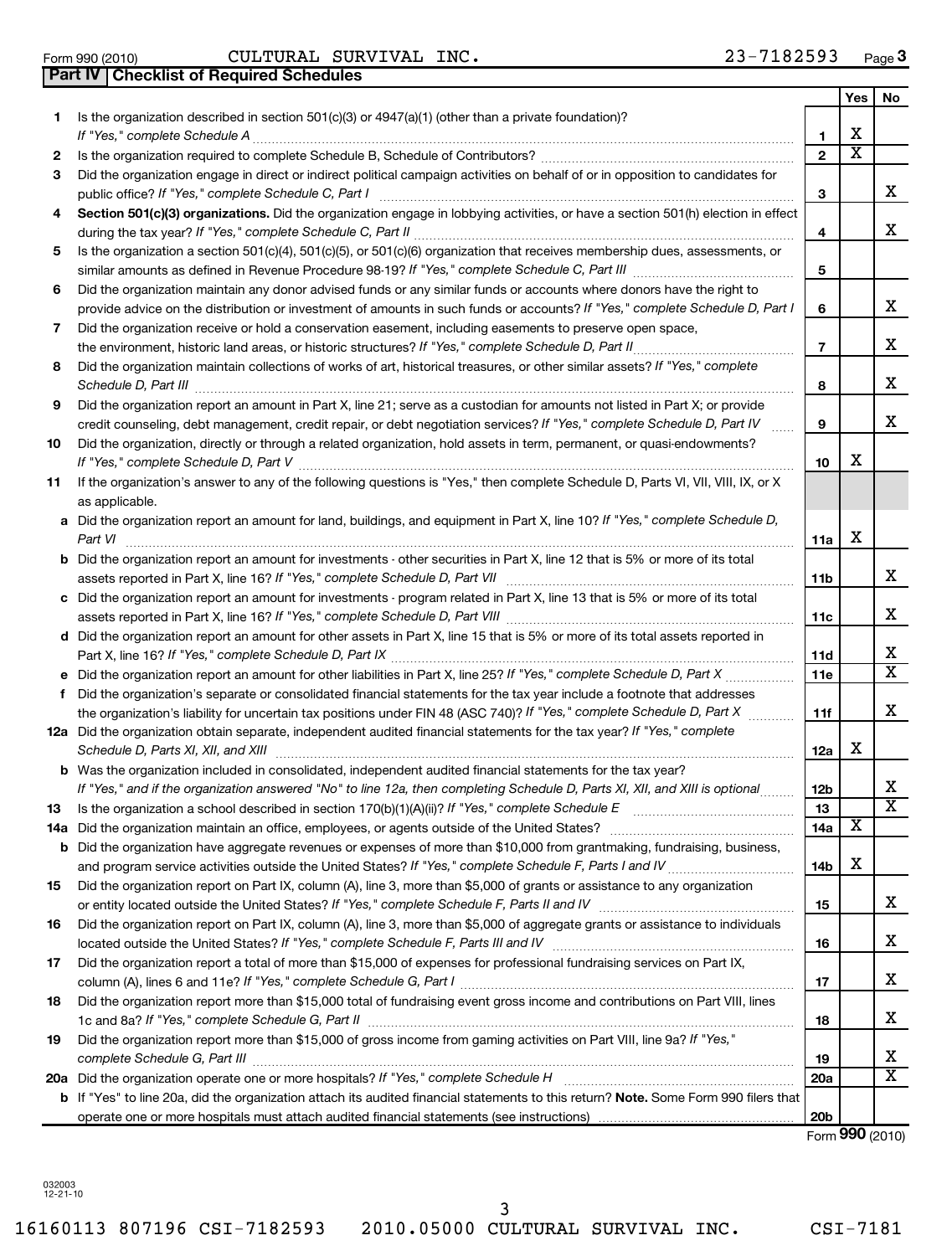032003 12-21-10 16160113 807196 CSI-7182593 2010.05000 CULTURAL SURVIVAL INC. CSI-7181 3

# Form 990 (2010) CULTURAL SURVIVAL INC. 23-7182593 Page

|     | Part IV   Checklist of Required Schedules                                                                                                   |                 |                         |                         |
|-----|---------------------------------------------------------------------------------------------------------------------------------------------|-----------------|-------------------------|-------------------------|
|     |                                                                                                                                             |                 | Yes                     | No                      |
| 1.  | Is the organization described in section 501(c)(3) or 4947(a)(1) (other than a private foundation)?                                         |                 |                         |                         |
|     |                                                                                                                                             | $\mathbf{1}$    | х                       |                         |
| 2   |                                                                                                                                             | $\overline{2}$  | $\overline{\textbf{x}}$ |                         |
| 3   | Did the organization engage in direct or indirect political campaign activities on behalf of or in opposition to candidates for             |                 |                         |                         |
|     |                                                                                                                                             | 3               |                         | х                       |
| 4   | Section 501(c)(3) organizations. Did the organization engage in lobbying activities, or have a section 501(h) election in effect            |                 |                         |                         |
|     |                                                                                                                                             | 4               |                         | х                       |
| 5   | Is the organization a section 501(c)(4), 501(c)(5), or 501(c)(6) organization that receives membership dues, assessments, or                |                 |                         |                         |
|     |                                                                                                                                             | 5               |                         |                         |
| 6   | Did the organization maintain any donor advised funds or any similar funds or accounts where donors have the right to                       |                 |                         |                         |
|     | provide advice on the distribution or investment of amounts in such funds or accounts? If "Yes," complete Schedule D, Part I                | 6               |                         | x                       |
| 7   | Did the organization receive or hold a conservation easement, including easements to preserve open space,                                   |                 |                         |                         |
|     | the environment, historic land areas, or historic structures? If "Yes," complete Schedule D, Part II                                        | $\overline{7}$  |                         | х                       |
| 8   | Did the organization maintain collections of works of art, historical treasures, or other similar assets? If "Yes," complete                |                 |                         |                         |
|     |                                                                                                                                             | 8               |                         | х                       |
| 9   | Did the organization report an amount in Part X, line 21; serve as a custodian for amounts not listed in Part X; or provide                 |                 |                         |                         |
|     | credit counseling, debt management, credit repair, or debt negotiation services? If "Yes," complete Schedule D, Part IV                     | 9               |                         | х                       |
| 10  | Did the organization, directly or through a related organization, hold assets in term, permanent, or quasi-endowments?                      |                 |                         |                         |
|     |                                                                                                                                             | 10              | х                       |                         |
| 11  | If the organization's answer to any of the following questions is "Yes," then complete Schedule D, Parts VI, VII, VIII, IX, or X            |                 |                         |                         |
|     | as applicable.                                                                                                                              |                 |                         |                         |
|     | a Did the organization report an amount for land, buildings, and equipment in Part X, line 10? If "Yes," complete Schedule D,               |                 |                         |                         |
|     | Part VI                                                                                                                                     | 11a             | х                       |                         |
|     | <b>b</b> Did the organization report an amount for investments - other securities in Part X, line 12 that is 5% or more of its total        |                 |                         |                         |
|     |                                                                                                                                             | 11b             |                         | x                       |
|     | c Did the organization report an amount for investments - program related in Part X, line 13 that is 5% or more of its total                |                 |                         |                         |
|     |                                                                                                                                             | 11c             |                         | х                       |
|     | d Did the organization report an amount for other assets in Part X, line 15 that is 5% or more of its total assets reported in              |                 |                         |                         |
|     |                                                                                                                                             | 11d             |                         | X                       |
|     |                                                                                                                                             | 11e             |                         | $\overline{\textbf{x}}$ |
| f   | Did the organization's separate or consolidated financial statements for the tax year include a footnote that addresses                     |                 |                         |                         |
|     | the organization's liability for uncertain tax positions under FIN 48 (ASC 740)? If "Yes," complete Schedule D, Part X                      | 11f             |                         | х                       |
|     | 12a Did the organization obtain separate, independent audited financial statements for the tax year? If "Yes," complete                     |                 |                         |                         |
|     | Schedule D, Parts XI, XII, and XIII                                                                                                         | 12a             | X                       |                         |
|     | <b>b</b> Was the organization included in consolidated, independent audited financial statements for the tax year?                          |                 |                         |                         |
|     | If "Yes," and if the organization answered "No" to line 12a, then completing Schedule D, Parts XI, XII, and XIII is optional                | 12b             |                         | Χ                       |
| 13  | Is the organization a school described in section $170(b)(1)(A)(ii)?$ If "Yes," complete Schedule E                                         | 13              |                         | $\overline{\textbf{x}}$ |
| 14a | Did the organization maintain an office, employees, or agents outside of the United States?                                                 | 14a             | х                       |                         |
| b   | Did the organization have aggregate revenues or expenses of more than \$10,000 from grantmaking, fundraising, business,                     |                 |                         |                         |
|     |                                                                                                                                             | 14b             | х                       |                         |
| 15  | Did the organization report on Part IX, column (A), line 3, more than \$5,000 of grants or assistance to any organization                   |                 |                         |                         |
|     |                                                                                                                                             | 15              |                         | x                       |
| 16  | Did the organization report on Part IX, column (A), line 3, more than \$5,000 of aggregate grants or assistance to individuals              |                 |                         |                         |
|     |                                                                                                                                             | 16              |                         | х                       |
| 17  | Did the organization report a total of more than \$15,000 of expenses for professional fundraising services on Part IX,                     |                 |                         |                         |
|     |                                                                                                                                             | 17              |                         | х                       |
| 18  | Did the organization report more than \$15,000 total of fundraising event gross income and contributions on Part VIII, lines                |                 |                         |                         |
|     |                                                                                                                                             | 18              |                         | х                       |
| 19  | Did the organization report more than \$15,000 of gross income from gaming activities on Part VIII, line 9a? If "Yes,"                      |                 |                         |                         |
|     | complete Schedule G, Part III                                                                                                               | 19              |                         | x                       |
|     | 20a Did the organization operate one or more hospitals? If "Yes," complete Schedule H                                                       | 20a             |                         | х                       |
|     | <b>b</b> If "Yes" to line 20a, did the organization attach its audited financial statements to this return? Note. Some Form 990 filers that |                 |                         |                         |
|     |                                                                                                                                             | 20 <sub>b</sub> |                         |                         |

Form (2010) **990**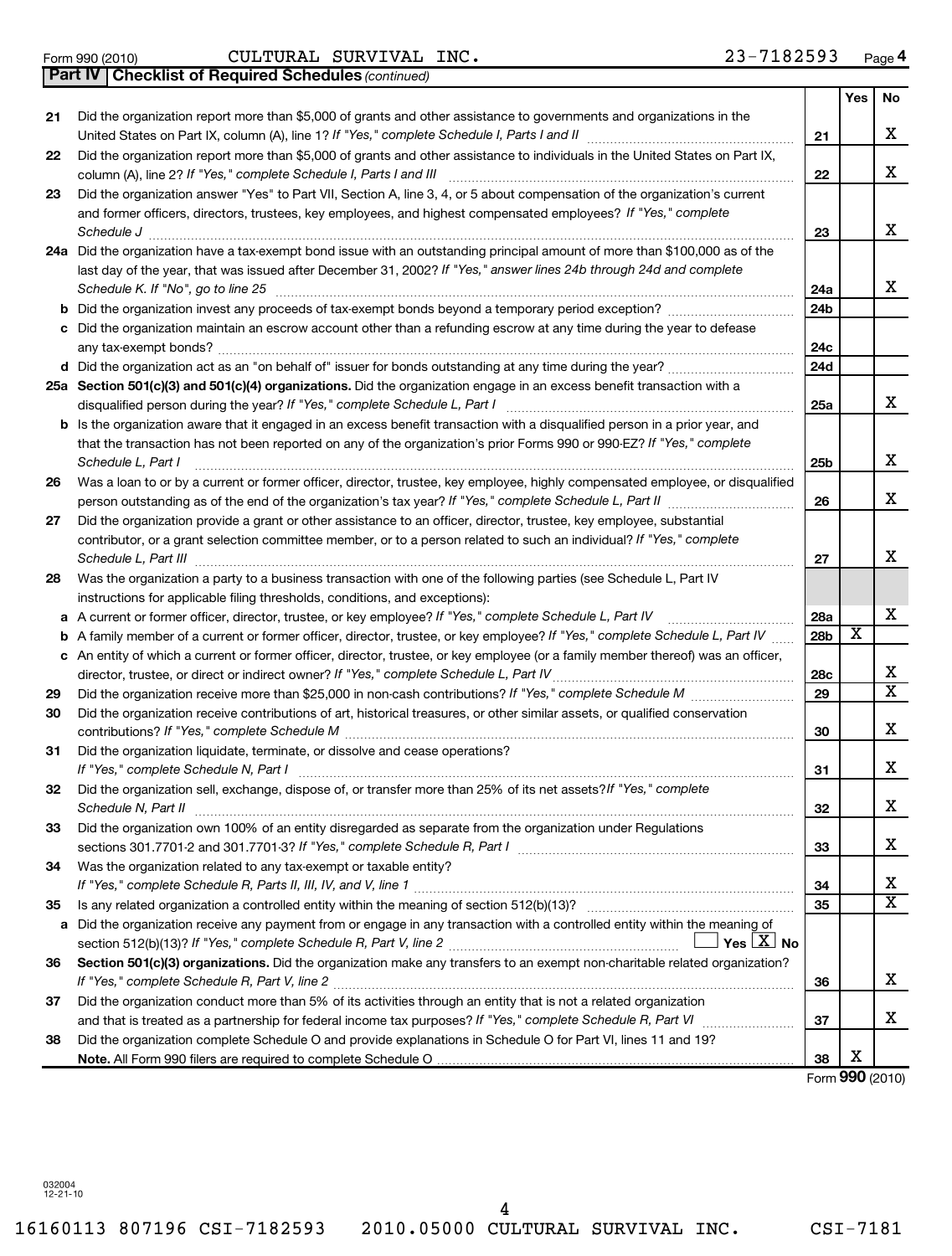Form 990 (2010) CULTURAL SURVIVAL INC. 23-7182593 Page

*(continued)* **Part IV Checklist of Required Schedules**

| Did the organization report more than \$5,000 of grants and other assistance to governments and organizations in the<br>21<br>х<br>21<br>Did the organization report more than \$5,000 of grants and other assistance to individuals in the United States on Part IX,<br>22<br>x<br>column (A), line 2? If "Yes," complete Schedule I, Parts I and III<br>22<br>Did the organization answer "Yes" to Part VII, Section A, line 3, 4, or 5 about compensation of the organization's current<br>23<br>and former officers, directors, trustees, key employees, and highest compensated employees? If "Yes," complete<br>x<br>Schedule J<br>23<br>24a Did the organization have a tax-exempt bond issue with an outstanding principal amount of more than \$100,000 as of the<br>last day of the year, that was issued after December 31, 2002? If "Yes," answer lines 24b through 24d and complete<br>X.<br>Schedule K. If "No", go to line 25<br>24a<br>24b<br>Did the organization maintain an escrow account other than a refunding escrow at any time during the year to defease<br>c<br>24c<br>24d<br>25a Section 501(c)(3) and 501(c)(4) organizations. Did the organization engage in an excess benefit transaction with a<br>x<br>disqualified person during the year? If "Yes," complete Schedule L, Part I<br>25a<br><b>b</b> Is the organization aware that it engaged in an excess benefit transaction with a disqualified person in a prior year, and<br>that the transaction has not been reported on any of the organization's prior Forms 990 or 990-EZ? If "Yes," complete<br>x<br>Schedule L, Part I<br>25b<br>Was a loan to or by a current or former officer, director, trustee, key employee, highly compensated employee, or disqualified<br>26<br>x<br>person outstanding as of the end of the organization's tax year? If "Yes," complete Schedule L, Part II manumerrow<br>26<br>Did the organization provide a grant or other assistance to an officer, director, trustee, key employee, substantial<br>27<br>contributor, or a grant selection committee member, or to a person related to such an individual? If "Yes," complete<br>x<br>Schedule L, Part III<br>27<br>Was the organization a party to a business transaction with one of the following parties (see Schedule L, Part IV<br>28<br>instructions for applicable filing thresholds, conditions, and exceptions):<br>х<br>A current or former officer, director, trustee, or key employee? If "Yes," complete Schedule L, Part IV<br>28a<br>а<br>$\overline{\text{x}}$<br>A family member of a current or former officer, director, trustee, or key employee? If "Yes," complete Schedule L, Part IV<br>28b<br>b<br>c An entity of which a current or former officer, director, trustee, or key employee (or a family member thereof) was an officer,<br>х<br>director, trustee, or direct or indirect owner? If "Yes," complete Schedule L, Part IV<br>28c<br>X<br>29<br>29<br>Did the organization receive contributions of art, historical treasures, or other similar assets, or qualified conservation<br>30<br>x<br>contributions? If "Yes," complete Schedule M<br>30<br>Did the organization liquidate, terminate, or dissolve and cease operations?<br>31<br>x<br>If "Yes," complete Schedule N, Part I<br>31<br>Did the organization sell, exchange, dispose of, or transfer more than 25% of its net assets? If "Yes," complete<br>32<br>Χ<br>Schedule N, Part II<br>32<br>Did the organization own 100% of an entity disregarded as separate from the organization under Regulations<br>33<br>X.<br>sections 301.7701-2 and 301.7701-3? If "Yes," complete Schedule R, Part I [1] [1] [1] [1] [1] [1] [1] [1] [1] [<br>33<br>Was the organization related to any tax-exempt or taxable entity?<br>34<br>х<br>34<br>$\overline{\textbf{x}}$<br>35<br>35<br>Did the organization receive any payment from or engage in any transaction with a controlled entity within the meaning of<br>a<br>section 512(b)(13)? If "Yes," complete Schedule R, Part V, line 2 $\ldots$ $\ldots$ $\ldots$ $\ldots$ $\ldots$ Yes $\lfloor X \rfloor$ No<br>Section 501(c)(3) organizations. Did the organization make any transfers to an exempt non-charitable related organization?<br>36<br>х<br>If "Yes," complete Schedule R, Part V, line 2<br>36<br>Did the organization conduct more than 5% of its activities through an entity that is not a related organization<br>37<br>X.<br>37<br>Did the organization complete Schedule O and provide explanations in Schedule O for Part VI, lines 11 and 19?<br>38<br>Х<br>38<br>Form 990 (2010) |  |  | Yes | No |
|------------------------------------------------------------------------------------------------------------------------------------------------------------------------------------------------------------------------------------------------------------------------------------------------------------------------------------------------------------------------------------------------------------------------------------------------------------------------------------------------------------------------------------------------------------------------------------------------------------------------------------------------------------------------------------------------------------------------------------------------------------------------------------------------------------------------------------------------------------------------------------------------------------------------------------------------------------------------------------------------------------------------------------------------------------------------------------------------------------------------------------------------------------------------------------------------------------------------------------------------------------------------------------------------------------------------------------------------------------------------------------------------------------------------------------------------------------------------------------------------------------------------------------------------------------------------------------------------------------------------------------------------------------------------------------------------------------------------------------------------------------------------------------------------------------------------------------------------------------------------------------------------------------------------------------------------------------------------------------------------------------------------------------------------------------------------------------------------------------------------------------------------------------------------------------------------------------------------------------------------------------------------------------------------------------------------------------------------------------------------------------------------------------------------------------------------------------------------------------------------------------------------------------------------------------------------------------------------------------------------------------------------------------------------------------------------------------------------------------------------------------------------------------------------------------------------------------------------------------------------------------------------------------------------------------------------------------------------------------------------------------------------------------------------------------------------------------------------------------------------------------------------------------------------------------------------------------------------------------------------------------------------------------------------------------------------------------------------------------------------------------------------------------------------------------------------------------------------------------------------------------------------------------------------------------------------------------------------------------------------------------------------------------------------------------------------------------------------------------------------------------------------------------------------------------------------------------------------------------------------------------------------------------------------------------------------------------------------------------------------------------------------------------------------------------------------------------------------------------------------------------------------------------------------------------------------------------------------------------------------------------------------------------------------------------------------------------------------------------------------------------------------------------------------------------------------------------------------------------------------------------------------------------------------------------------------------------------------------------------------------------|--|--|-----|----|
|                                                                                                                                                                                                                                                                                                                                                                                                                                                                                                                                                                                                                                                                                                                                                                                                                                                                                                                                                                                                                                                                                                                                                                                                                                                                                                                                                                                                                                                                                                                                                                                                                                                                                                                                                                                                                                                                                                                                                                                                                                                                                                                                                                                                                                                                                                                                                                                                                                                                                                                                                                                                                                                                                                                                                                                                                                                                                                                                                                                                                                                                                                                                                                                                                                                                                                                                                                                                                                                                                                                                                                                                                                                                                                                                                                                                                                                                                                                                                                                                                                                                                                                                                                                                                                                                                                                                                                                                                                                                                                                                                                                                                                    |  |  |     |    |
|                                                                                                                                                                                                                                                                                                                                                                                                                                                                                                                                                                                                                                                                                                                                                                                                                                                                                                                                                                                                                                                                                                                                                                                                                                                                                                                                                                                                                                                                                                                                                                                                                                                                                                                                                                                                                                                                                                                                                                                                                                                                                                                                                                                                                                                                                                                                                                                                                                                                                                                                                                                                                                                                                                                                                                                                                                                                                                                                                                                                                                                                                                                                                                                                                                                                                                                                                                                                                                                                                                                                                                                                                                                                                                                                                                                                                                                                                                                                                                                                                                                                                                                                                                                                                                                                                                                                                                                                                                                                                                                                                                                                                                    |  |  |     |    |
|                                                                                                                                                                                                                                                                                                                                                                                                                                                                                                                                                                                                                                                                                                                                                                                                                                                                                                                                                                                                                                                                                                                                                                                                                                                                                                                                                                                                                                                                                                                                                                                                                                                                                                                                                                                                                                                                                                                                                                                                                                                                                                                                                                                                                                                                                                                                                                                                                                                                                                                                                                                                                                                                                                                                                                                                                                                                                                                                                                                                                                                                                                                                                                                                                                                                                                                                                                                                                                                                                                                                                                                                                                                                                                                                                                                                                                                                                                                                                                                                                                                                                                                                                                                                                                                                                                                                                                                                                                                                                                                                                                                                                                    |  |  |     |    |
|                                                                                                                                                                                                                                                                                                                                                                                                                                                                                                                                                                                                                                                                                                                                                                                                                                                                                                                                                                                                                                                                                                                                                                                                                                                                                                                                                                                                                                                                                                                                                                                                                                                                                                                                                                                                                                                                                                                                                                                                                                                                                                                                                                                                                                                                                                                                                                                                                                                                                                                                                                                                                                                                                                                                                                                                                                                                                                                                                                                                                                                                                                                                                                                                                                                                                                                                                                                                                                                                                                                                                                                                                                                                                                                                                                                                                                                                                                                                                                                                                                                                                                                                                                                                                                                                                                                                                                                                                                                                                                                                                                                                                                    |  |  |     |    |
|                                                                                                                                                                                                                                                                                                                                                                                                                                                                                                                                                                                                                                                                                                                                                                                                                                                                                                                                                                                                                                                                                                                                                                                                                                                                                                                                                                                                                                                                                                                                                                                                                                                                                                                                                                                                                                                                                                                                                                                                                                                                                                                                                                                                                                                                                                                                                                                                                                                                                                                                                                                                                                                                                                                                                                                                                                                                                                                                                                                                                                                                                                                                                                                                                                                                                                                                                                                                                                                                                                                                                                                                                                                                                                                                                                                                                                                                                                                                                                                                                                                                                                                                                                                                                                                                                                                                                                                                                                                                                                                                                                                                                                    |  |  |     |    |
|                                                                                                                                                                                                                                                                                                                                                                                                                                                                                                                                                                                                                                                                                                                                                                                                                                                                                                                                                                                                                                                                                                                                                                                                                                                                                                                                                                                                                                                                                                                                                                                                                                                                                                                                                                                                                                                                                                                                                                                                                                                                                                                                                                                                                                                                                                                                                                                                                                                                                                                                                                                                                                                                                                                                                                                                                                                                                                                                                                                                                                                                                                                                                                                                                                                                                                                                                                                                                                                                                                                                                                                                                                                                                                                                                                                                                                                                                                                                                                                                                                                                                                                                                                                                                                                                                                                                                                                                                                                                                                                                                                                                                                    |  |  |     |    |
|                                                                                                                                                                                                                                                                                                                                                                                                                                                                                                                                                                                                                                                                                                                                                                                                                                                                                                                                                                                                                                                                                                                                                                                                                                                                                                                                                                                                                                                                                                                                                                                                                                                                                                                                                                                                                                                                                                                                                                                                                                                                                                                                                                                                                                                                                                                                                                                                                                                                                                                                                                                                                                                                                                                                                                                                                                                                                                                                                                                                                                                                                                                                                                                                                                                                                                                                                                                                                                                                                                                                                                                                                                                                                                                                                                                                                                                                                                                                                                                                                                                                                                                                                                                                                                                                                                                                                                                                                                                                                                                                                                                                                                    |  |  |     |    |
|                                                                                                                                                                                                                                                                                                                                                                                                                                                                                                                                                                                                                                                                                                                                                                                                                                                                                                                                                                                                                                                                                                                                                                                                                                                                                                                                                                                                                                                                                                                                                                                                                                                                                                                                                                                                                                                                                                                                                                                                                                                                                                                                                                                                                                                                                                                                                                                                                                                                                                                                                                                                                                                                                                                                                                                                                                                                                                                                                                                                                                                                                                                                                                                                                                                                                                                                                                                                                                                                                                                                                                                                                                                                                                                                                                                                                                                                                                                                                                                                                                                                                                                                                                                                                                                                                                                                                                                                                                                                                                                                                                                                                                    |  |  |     |    |
|                                                                                                                                                                                                                                                                                                                                                                                                                                                                                                                                                                                                                                                                                                                                                                                                                                                                                                                                                                                                                                                                                                                                                                                                                                                                                                                                                                                                                                                                                                                                                                                                                                                                                                                                                                                                                                                                                                                                                                                                                                                                                                                                                                                                                                                                                                                                                                                                                                                                                                                                                                                                                                                                                                                                                                                                                                                                                                                                                                                                                                                                                                                                                                                                                                                                                                                                                                                                                                                                                                                                                                                                                                                                                                                                                                                                                                                                                                                                                                                                                                                                                                                                                                                                                                                                                                                                                                                                                                                                                                                                                                                                                                    |  |  |     |    |
|                                                                                                                                                                                                                                                                                                                                                                                                                                                                                                                                                                                                                                                                                                                                                                                                                                                                                                                                                                                                                                                                                                                                                                                                                                                                                                                                                                                                                                                                                                                                                                                                                                                                                                                                                                                                                                                                                                                                                                                                                                                                                                                                                                                                                                                                                                                                                                                                                                                                                                                                                                                                                                                                                                                                                                                                                                                                                                                                                                                                                                                                                                                                                                                                                                                                                                                                                                                                                                                                                                                                                                                                                                                                                                                                                                                                                                                                                                                                                                                                                                                                                                                                                                                                                                                                                                                                                                                                                                                                                                                                                                                                                                    |  |  |     |    |
|                                                                                                                                                                                                                                                                                                                                                                                                                                                                                                                                                                                                                                                                                                                                                                                                                                                                                                                                                                                                                                                                                                                                                                                                                                                                                                                                                                                                                                                                                                                                                                                                                                                                                                                                                                                                                                                                                                                                                                                                                                                                                                                                                                                                                                                                                                                                                                                                                                                                                                                                                                                                                                                                                                                                                                                                                                                                                                                                                                                                                                                                                                                                                                                                                                                                                                                                                                                                                                                                                                                                                                                                                                                                                                                                                                                                                                                                                                                                                                                                                                                                                                                                                                                                                                                                                                                                                                                                                                                                                                                                                                                                                                    |  |  |     |    |
|                                                                                                                                                                                                                                                                                                                                                                                                                                                                                                                                                                                                                                                                                                                                                                                                                                                                                                                                                                                                                                                                                                                                                                                                                                                                                                                                                                                                                                                                                                                                                                                                                                                                                                                                                                                                                                                                                                                                                                                                                                                                                                                                                                                                                                                                                                                                                                                                                                                                                                                                                                                                                                                                                                                                                                                                                                                                                                                                                                                                                                                                                                                                                                                                                                                                                                                                                                                                                                                                                                                                                                                                                                                                                                                                                                                                                                                                                                                                                                                                                                                                                                                                                                                                                                                                                                                                                                                                                                                                                                                                                                                                                                    |  |  |     |    |
|                                                                                                                                                                                                                                                                                                                                                                                                                                                                                                                                                                                                                                                                                                                                                                                                                                                                                                                                                                                                                                                                                                                                                                                                                                                                                                                                                                                                                                                                                                                                                                                                                                                                                                                                                                                                                                                                                                                                                                                                                                                                                                                                                                                                                                                                                                                                                                                                                                                                                                                                                                                                                                                                                                                                                                                                                                                                                                                                                                                                                                                                                                                                                                                                                                                                                                                                                                                                                                                                                                                                                                                                                                                                                                                                                                                                                                                                                                                                                                                                                                                                                                                                                                                                                                                                                                                                                                                                                                                                                                                                                                                                                                    |  |  |     |    |
|                                                                                                                                                                                                                                                                                                                                                                                                                                                                                                                                                                                                                                                                                                                                                                                                                                                                                                                                                                                                                                                                                                                                                                                                                                                                                                                                                                                                                                                                                                                                                                                                                                                                                                                                                                                                                                                                                                                                                                                                                                                                                                                                                                                                                                                                                                                                                                                                                                                                                                                                                                                                                                                                                                                                                                                                                                                                                                                                                                                                                                                                                                                                                                                                                                                                                                                                                                                                                                                                                                                                                                                                                                                                                                                                                                                                                                                                                                                                                                                                                                                                                                                                                                                                                                                                                                                                                                                                                                                                                                                                                                                                                                    |  |  |     |    |
|                                                                                                                                                                                                                                                                                                                                                                                                                                                                                                                                                                                                                                                                                                                                                                                                                                                                                                                                                                                                                                                                                                                                                                                                                                                                                                                                                                                                                                                                                                                                                                                                                                                                                                                                                                                                                                                                                                                                                                                                                                                                                                                                                                                                                                                                                                                                                                                                                                                                                                                                                                                                                                                                                                                                                                                                                                                                                                                                                                                                                                                                                                                                                                                                                                                                                                                                                                                                                                                                                                                                                                                                                                                                                                                                                                                                                                                                                                                                                                                                                                                                                                                                                                                                                                                                                                                                                                                                                                                                                                                                                                                                                                    |  |  |     |    |
|                                                                                                                                                                                                                                                                                                                                                                                                                                                                                                                                                                                                                                                                                                                                                                                                                                                                                                                                                                                                                                                                                                                                                                                                                                                                                                                                                                                                                                                                                                                                                                                                                                                                                                                                                                                                                                                                                                                                                                                                                                                                                                                                                                                                                                                                                                                                                                                                                                                                                                                                                                                                                                                                                                                                                                                                                                                                                                                                                                                                                                                                                                                                                                                                                                                                                                                                                                                                                                                                                                                                                                                                                                                                                                                                                                                                                                                                                                                                                                                                                                                                                                                                                                                                                                                                                                                                                                                                                                                                                                                                                                                                                                    |  |  |     |    |
|                                                                                                                                                                                                                                                                                                                                                                                                                                                                                                                                                                                                                                                                                                                                                                                                                                                                                                                                                                                                                                                                                                                                                                                                                                                                                                                                                                                                                                                                                                                                                                                                                                                                                                                                                                                                                                                                                                                                                                                                                                                                                                                                                                                                                                                                                                                                                                                                                                                                                                                                                                                                                                                                                                                                                                                                                                                                                                                                                                                                                                                                                                                                                                                                                                                                                                                                                                                                                                                                                                                                                                                                                                                                                                                                                                                                                                                                                                                                                                                                                                                                                                                                                                                                                                                                                                                                                                                                                                                                                                                                                                                                                                    |  |  |     |    |
|                                                                                                                                                                                                                                                                                                                                                                                                                                                                                                                                                                                                                                                                                                                                                                                                                                                                                                                                                                                                                                                                                                                                                                                                                                                                                                                                                                                                                                                                                                                                                                                                                                                                                                                                                                                                                                                                                                                                                                                                                                                                                                                                                                                                                                                                                                                                                                                                                                                                                                                                                                                                                                                                                                                                                                                                                                                                                                                                                                                                                                                                                                                                                                                                                                                                                                                                                                                                                                                                                                                                                                                                                                                                                                                                                                                                                                                                                                                                                                                                                                                                                                                                                                                                                                                                                                                                                                                                                                                                                                                                                                                                                                    |  |  |     |    |
|                                                                                                                                                                                                                                                                                                                                                                                                                                                                                                                                                                                                                                                                                                                                                                                                                                                                                                                                                                                                                                                                                                                                                                                                                                                                                                                                                                                                                                                                                                                                                                                                                                                                                                                                                                                                                                                                                                                                                                                                                                                                                                                                                                                                                                                                                                                                                                                                                                                                                                                                                                                                                                                                                                                                                                                                                                                                                                                                                                                                                                                                                                                                                                                                                                                                                                                                                                                                                                                                                                                                                                                                                                                                                                                                                                                                                                                                                                                                                                                                                                                                                                                                                                                                                                                                                                                                                                                                                                                                                                                                                                                                                                    |  |  |     |    |
|                                                                                                                                                                                                                                                                                                                                                                                                                                                                                                                                                                                                                                                                                                                                                                                                                                                                                                                                                                                                                                                                                                                                                                                                                                                                                                                                                                                                                                                                                                                                                                                                                                                                                                                                                                                                                                                                                                                                                                                                                                                                                                                                                                                                                                                                                                                                                                                                                                                                                                                                                                                                                                                                                                                                                                                                                                                                                                                                                                                                                                                                                                                                                                                                                                                                                                                                                                                                                                                                                                                                                                                                                                                                                                                                                                                                                                                                                                                                                                                                                                                                                                                                                                                                                                                                                                                                                                                                                                                                                                                                                                                                                                    |  |  |     |    |
|                                                                                                                                                                                                                                                                                                                                                                                                                                                                                                                                                                                                                                                                                                                                                                                                                                                                                                                                                                                                                                                                                                                                                                                                                                                                                                                                                                                                                                                                                                                                                                                                                                                                                                                                                                                                                                                                                                                                                                                                                                                                                                                                                                                                                                                                                                                                                                                                                                                                                                                                                                                                                                                                                                                                                                                                                                                                                                                                                                                                                                                                                                                                                                                                                                                                                                                                                                                                                                                                                                                                                                                                                                                                                                                                                                                                                                                                                                                                                                                                                                                                                                                                                                                                                                                                                                                                                                                                                                                                                                                                                                                                                                    |  |  |     |    |
|                                                                                                                                                                                                                                                                                                                                                                                                                                                                                                                                                                                                                                                                                                                                                                                                                                                                                                                                                                                                                                                                                                                                                                                                                                                                                                                                                                                                                                                                                                                                                                                                                                                                                                                                                                                                                                                                                                                                                                                                                                                                                                                                                                                                                                                                                                                                                                                                                                                                                                                                                                                                                                                                                                                                                                                                                                                                                                                                                                                                                                                                                                                                                                                                                                                                                                                                                                                                                                                                                                                                                                                                                                                                                                                                                                                                                                                                                                                                                                                                                                                                                                                                                                                                                                                                                                                                                                                                                                                                                                                                                                                                                                    |  |  |     |    |
|                                                                                                                                                                                                                                                                                                                                                                                                                                                                                                                                                                                                                                                                                                                                                                                                                                                                                                                                                                                                                                                                                                                                                                                                                                                                                                                                                                                                                                                                                                                                                                                                                                                                                                                                                                                                                                                                                                                                                                                                                                                                                                                                                                                                                                                                                                                                                                                                                                                                                                                                                                                                                                                                                                                                                                                                                                                                                                                                                                                                                                                                                                                                                                                                                                                                                                                                                                                                                                                                                                                                                                                                                                                                                                                                                                                                                                                                                                                                                                                                                                                                                                                                                                                                                                                                                                                                                                                                                                                                                                                                                                                                                                    |  |  |     |    |
|                                                                                                                                                                                                                                                                                                                                                                                                                                                                                                                                                                                                                                                                                                                                                                                                                                                                                                                                                                                                                                                                                                                                                                                                                                                                                                                                                                                                                                                                                                                                                                                                                                                                                                                                                                                                                                                                                                                                                                                                                                                                                                                                                                                                                                                                                                                                                                                                                                                                                                                                                                                                                                                                                                                                                                                                                                                                                                                                                                                                                                                                                                                                                                                                                                                                                                                                                                                                                                                                                                                                                                                                                                                                                                                                                                                                                                                                                                                                                                                                                                                                                                                                                                                                                                                                                                                                                                                                                                                                                                                                                                                                                                    |  |  |     |    |
|                                                                                                                                                                                                                                                                                                                                                                                                                                                                                                                                                                                                                                                                                                                                                                                                                                                                                                                                                                                                                                                                                                                                                                                                                                                                                                                                                                                                                                                                                                                                                                                                                                                                                                                                                                                                                                                                                                                                                                                                                                                                                                                                                                                                                                                                                                                                                                                                                                                                                                                                                                                                                                                                                                                                                                                                                                                                                                                                                                                                                                                                                                                                                                                                                                                                                                                                                                                                                                                                                                                                                                                                                                                                                                                                                                                                                                                                                                                                                                                                                                                                                                                                                                                                                                                                                                                                                                                                                                                                                                                                                                                                                                    |  |  |     |    |
|                                                                                                                                                                                                                                                                                                                                                                                                                                                                                                                                                                                                                                                                                                                                                                                                                                                                                                                                                                                                                                                                                                                                                                                                                                                                                                                                                                                                                                                                                                                                                                                                                                                                                                                                                                                                                                                                                                                                                                                                                                                                                                                                                                                                                                                                                                                                                                                                                                                                                                                                                                                                                                                                                                                                                                                                                                                                                                                                                                                                                                                                                                                                                                                                                                                                                                                                                                                                                                                                                                                                                                                                                                                                                                                                                                                                                                                                                                                                                                                                                                                                                                                                                                                                                                                                                                                                                                                                                                                                                                                                                                                                                                    |  |  |     |    |
|                                                                                                                                                                                                                                                                                                                                                                                                                                                                                                                                                                                                                                                                                                                                                                                                                                                                                                                                                                                                                                                                                                                                                                                                                                                                                                                                                                                                                                                                                                                                                                                                                                                                                                                                                                                                                                                                                                                                                                                                                                                                                                                                                                                                                                                                                                                                                                                                                                                                                                                                                                                                                                                                                                                                                                                                                                                                                                                                                                                                                                                                                                                                                                                                                                                                                                                                                                                                                                                                                                                                                                                                                                                                                                                                                                                                                                                                                                                                                                                                                                                                                                                                                                                                                                                                                                                                                                                                                                                                                                                                                                                                                                    |  |  |     |    |
|                                                                                                                                                                                                                                                                                                                                                                                                                                                                                                                                                                                                                                                                                                                                                                                                                                                                                                                                                                                                                                                                                                                                                                                                                                                                                                                                                                                                                                                                                                                                                                                                                                                                                                                                                                                                                                                                                                                                                                                                                                                                                                                                                                                                                                                                                                                                                                                                                                                                                                                                                                                                                                                                                                                                                                                                                                                                                                                                                                                                                                                                                                                                                                                                                                                                                                                                                                                                                                                                                                                                                                                                                                                                                                                                                                                                                                                                                                                                                                                                                                                                                                                                                                                                                                                                                                                                                                                                                                                                                                                                                                                                                                    |  |  |     |    |
|                                                                                                                                                                                                                                                                                                                                                                                                                                                                                                                                                                                                                                                                                                                                                                                                                                                                                                                                                                                                                                                                                                                                                                                                                                                                                                                                                                                                                                                                                                                                                                                                                                                                                                                                                                                                                                                                                                                                                                                                                                                                                                                                                                                                                                                                                                                                                                                                                                                                                                                                                                                                                                                                                                                                                                                                                                                                                                                                                                                                                                                                                                                                                                                                                                                                                                                                                                                                                                                                                                                                                                                                                                                                                                                                                                                                                                                                                                                                                                                                                                                                                                                                                                                                                                                                                                                                                                                                                                                                                                                                                                                                                                    |  |  |     |    |
|                                                                                                                                                                                                                                                                                                                                                                                                                                                                                                                                                                                                                                                                                                                                                                                                                                                                                                                                                                                                                                                                                                                                                                                                                                                                                                                                                                                                                                                                                                                                                                                                                                                                                                                                                                                                                                                                                                                                                                                                                                                                                                                                                                                                                                                                                                                                                                                                                                                                                                                                                                                                                                                                                                                                                                                                                                                                                                                                                                                                                                                                                                                                                                                                                                                                                                                                                                                                                                                                                                                                                                                                                                                                                                                                                                                                                                                                                                                                                                                                                                                                                                                                                                                                                                                                                                                                                                                                                                                                                                                                                                                                                                    |  |  |     |    |
|                                                                                                                                                                                                                                                                                                                                                                                                                                                                                                                                                                                                                                                                                                                                                                                                                                                                                                                                                                                                                                                                                                                                                                                                                                                                                                                                                                                                                                                                                                                                                                                                                                                                                                                                                                                                                                                                                                                                                                                                                                                                                                                                                                                                                                                                                                                                                                                                                                                                                                                                                                                                                                                                                                                                                                                                                                                                                                                                                                                                                                                                                                                                                                                                                                                                                                                                                                                                                                                                                                                                                                                                                                                                                                                                                                                                                                                                                                                                                                                                                                                                                                                                                                                                                                                                                                                                                                                                                                                                                                                                                                                                                                    |  |  |     |    |
|                                                                                                                                                                                                                                                                                                                                                                                                                                                                                                                                                                                                                                                                                                                                                                                                                                                                                                                                                                                                                                                                                                                                                                                                                                                                                                                                                                                                                                                                                                                                                                                                                                                                                                                                                                                                                                                                                                                                                                                                                                                                                                                                                                                                                                                                                                                                                                                                                                                                                                                                                                                                                                                                                                                                                                                                                                                                                                                                                                                                                                                                                                                                                                                                                                                                                                                                                                                                                                                                                                                                                                                                                                                                                                                                                                                                                                                                                                                                                                                                                                                                                                                                                                                                                                                                                                                                                                                                                                                                                                                                                                                                                                    |  |  |     |    |
|                                                                                                                                                                                                                                                                                                                                                                                                                                                                                                                                                                                                                                                                                                                                                                                                                                                                                                                                                                                                                                                                                                                                                                                                                                                                                                                                                                                                                                                                                                                                                                                                                                                                                                                                                                                                                                                                                                                                                                                                                                                                                                                                                                                                                                                                                                                                                                                                                                                                                                                                                                                                                                                                                                                                                                                                                                                                                                                                                                                                                                                                                                                                                                                                                                                                                                                                                                                                                                                                                                                                                                                                                                                                                                                                                                                                                                                                                                                                                                                                                                                                                                                                                                                                                                                                                                                                                                                                                                                                                                                                                                                                                                    |  |  |     |    |
|                                                                                                                                                                                                                                                                                                                                                                                                                                                                                                                                                                                                                                                                                                                                                                                                                                                                                                                                                                                                                                                                                                                                                                                                                                                                                                                                                                                                                                                                                                                                                                                                                                                                                                                                                                                                                                                                                                                                                                                                                                                                                                                                                                                                                                                                                                                                                                                                                                                                                                                                                                                                                                                                                                                                                                                                                                                                                                                                                                                                                                                                                                                                                                                                                                                                                                                                                                                                                                                                                                                                                                                                                                                                                                                                                                                                                                                                                                                                                                                                                                                                                                                                                                                                                                                                                                                                                                                                                                                                                                                                                                                                                                    |  |  |     |    |
|                                                                                                                                                                                                                                                                                                                                                                                                                                                                                                                                                                                                                                                                                                                                                                                                                                                                                                                                                                                                                                                                                                                                                                                                                                                                                                                                                                                                                                                                                                                                                                                                                                                                                                                                                                                                                                                                                                                                                                                                                                                                                                                                                                                                                                                                                                                                                                                                                                                                                                                                                                                                                                                                                                                                                                                                                                                                                                                                                                                                                                                                                                                                                                                                                                                                                                                                                                                                                                                                                                                                                                                                                                                                                                                                                                                                                                                                                                                                                                                                                                                                                                                                                                                                                                                                                                                                                                                                                                                                                                                                                                                                                                    |  |  |     |    |
|                                                                                                                                                                                                                                                                                                                                                                                                                                                                                                                                                                                                                                                                                                                                                                                                                                                                                                                                                                                                                                                                                                                                                                                                                                                                                                                                                                                                                                                                                                                                                                                                                                                                                                                                                                                                                                                                                                                                                                                                                                                                                                                                                                                                                                                                                                                                                                                                                                                                                                                                                                                                                                                                                                                                                                                                                                                                                                                                                                                                                                                                                                                                                                                                                                                                                                                                                                                                                                                                                                                                                                                                                                                                                                                                                                                                                                                                                                                                                                                                                                                                                                                                                                                                                                                                                                                                                                                                                                                                                                                                                                                                                                    |  |  |     |    |
|                                                                                                                                                                                                                                                                                                                                                                                                                                                                                                                                                                                                                                                                                                                                                                                                                                                                                                                                                                                                                                                                                                                                                                                                                                                                                                                                                                                                                                                                                                                                                                                                                                                                                                                                                                                                                                                                                                                                                                                                                                                                                                                                                                                                                                                                                                                                                                                                                                                                                                                                                                                                                                                                                                                                                                                                                                                                                                                                                                                                                                                                                                                                                                                                                                                                                                                                                                                                                                                                                                                                                                                                                                                                                                                                                                                                                                                                                                                                                                                                                                                                                                                                                                                                                                                                                                                                                                                                                                                                                                                                                                                                                                    |  |  |     |    |
|                                                                                                                                                                                                                                                                                                                                                                                                                                                                                                                                                                                                                                                                                                                                                                                                                                                                                                                                                                                                                                                                                                                                                                                                                                                                                                                                                                                                                                                                                                                                                                                                                                                                                                                                                                                                                                                                                                                                                                                                                                                                                                                                                                                                                                                                                                                                                                                                                                                                                                                                                                                                                                                                                                                                                                                                                                                                                                                                                                                                                                                                                                                                                                                                                                                                                                                                                                                                                                                                                                                                                                                                                                                                                                                                                                                                                                                                                                                                                                                                                                                                                                                                                                                                                                                                                                                                                                                                                                                                                                                                                                                                                                    |  |  |     |    |
|                                                                                                                                                                                                                                                                                                                                                                                                                                                                                                                                                                                                                                                                                                                                                                                                                                                                                                                                                                                                                                                                                                                                                                                                                                                                                                                                                                                                                                                                                                                                                                                                                                                                                                                                                                                                                                                                                                                                                                                                                                                                                                                                                                                                                                                                                                                                                                                                                                                                                                                                                                                                                                                                                                                                                                                                                                                                                                                                                                                                                                                                                                                                                                                                                                                                                                                                                                                                                                                                                                                                                                                                                                                                                                                                                                                                                                                                                                                                                                                                                                                                                                                                                                                                                                                                                                                                                                                                                                                                                                                                                                                                                                    |  |  |     |    |
|                                                                                                                                                                                                                                                                                                                                                                                                                                                                                                                                                                                                                                                                                                                                                                                                                                                                                                                                                                                                                                                                                                                                                                                                                                                                                                                                                                                                                                                                                                                                                                                                                                                                                                                                                                                                                                                                                                                                                                                                                                                                                                                                                                                                                                                                                                                                                                                                                                                                                                                                                                                                                                                                                                                                                                                                                                                                                                                                                                                                                                                                                                                                                                                                                                                                                                                                                                                                                                                                                                                                                                                                                                                                                                                                                                                                                                                                                                                                                                                                                                                                                                                                                                                                                                                                                                                                                                                                                                                                                                                                                                                                                                    |  |  |     |    |
|                                                                                                                                                                                                                                                                                                                                                                                                                                                                                                                                                                                                                                                                                                                                                                                                                                                                                                                                                                                                                                                                                                                                                                                                                                                                                                                                                                                                                                                                                                                                                                                                                                                                                                                                                                                                                                                                                                                                                                                                                                                                                                                                                                                                                                                                                                                                                                                                                                                                                                                                                                                                                                                                                                                                                                                                                                                                                                                                                                                                                                                                                                                                                                                                                                                                                                                                                                                                                                                                                                                                                                                                                                                                                                                                                                                                                                                                                                                                                                                                                                                                                                                                                                                                                                                                                                                                                                                                                                                                                                                                                                                                                                    |  |  |     |    |
|                                                                                                                                                                                                                                                                                                                                                                                                                                                                                                                                                                                                                                                                                                                                                                                                                                                                                                                                                                                                                                                                                                                                                                                                                                                                                                                                                                                                                                                                                                                                                                                                                                                                                                                                                                                                                                                                                                                                                                                                                                                                                                                                                                                                                                                                                                                                                                                                                                                                                                                                                                                                                                                                                                                                                                                                                                                                                                                                                                                                                                                                                                                                                                                                                                                                                                                                                                                                                                                                                                                                                                                                                                                                                                                                                                                                                                                                                                                                                                                                                                                                                                                                                                                                                                                                                                                                                                                                                                                                                                                                                                                                                                    |  |  |     |    |
|                                                                                                                                                                                                                                                                                                                                                                                                                                                                                                                                                                                                                                                                                                                                                                                                                                                                                                                                                                                                                                                                                                                                                                                                                                                                                                                                                                                                                                                                                                                                                                                                                                                                                                                                                                                                                                                                                                                                                                                                                                                                                                                                                                                                                                                                                                                                                                                                                                                                                                                                                                                                                                                                                                                                                                                                                                                                                                                                                                                                                                                                                                                                                                                                                                                                                                                                                                                                                                                                                                                                                                                                                                                                                                                                                                                                                                                                                                                                                                                                                                                                                                                                                                                                                                                                                                                                                                                                                                                                                                                                                                                                                                    |  |  |     |    |
|                                                                                                                                                                                                                                                                                                                                                                                                                                                                                                                                                                                                                                                                                                                                                                                                                                                                                                                                                                                                                                                                                                                                                                                                                                                                                                                                                                                                                                                                                                                                                                                                                                                                                                                                                                                                                                                                                                                                                                                                                                                                                                                                                                                                                                                                                                                                                                                                                                                                                                                                                                                                                                                                                                                                                                                                                                                                                                                                                                                                                                                                                                                                                                                                                                                                                                                                                                                                                                                                                                                                                                                                                                                                                                                                                                                                                                                                                                                                                                                                                                                                                                                                                                                                                                                                                                                                                                                                                                                                                                                                                                                                                                    |  |  |     |    |
|                                                                                                                                                                                                                                                                                                                                                                                                                                                                                                                                                                                                                                                                                                                                                                                                                                                                                                                                                                                                                                                                                                                                                                                                                                                                                                                                                                                                                                                                                                                                                                                                                                                                                                                                                                                                                                                                                                                                                                                                                                                                                                                                                                                                                                                                                                                                                                                                                                                                                                                                                                                                                                                                                                                                                                                                                                                                                                                                                                                                                                                                                                                                                                                                                                                                                                                                                                                                                                                                                                                                                                                                                                                                                                                                                                                                                                                                                                                                                                                                                                                                                                                                                                                                                                                                                                                                                                                                                                                                                                                                                                                                                                    |  |  |     |    |
|                                                                                                                                                                                                                                                                                                                                                                                                                                                                                                                                                                                                                                                                                                                                                                                                                                                                                                                                                                                                                                                                                                                                                                                                                                                                                                                                                                                                                                                                                                                                                                                                                                                                                                                                                                                                                                                                                                                                                                                                                                                                                                                                                                                                                                                                                                                                                                                                                                                                                                                                                                                                                                                                                                                                                                                                                                                                                                                                                                                                                                                                                                                                                                                                                                                                                                                                                                                                                                                                                                                                                                                                                                                                                                                                                                                                                                                                                                                                                                                                                                                                                                                                                                                                                                                                                                                                                                                                                                                                                                                                                                                                                                    |  |  |     |    |

032004 12-21-10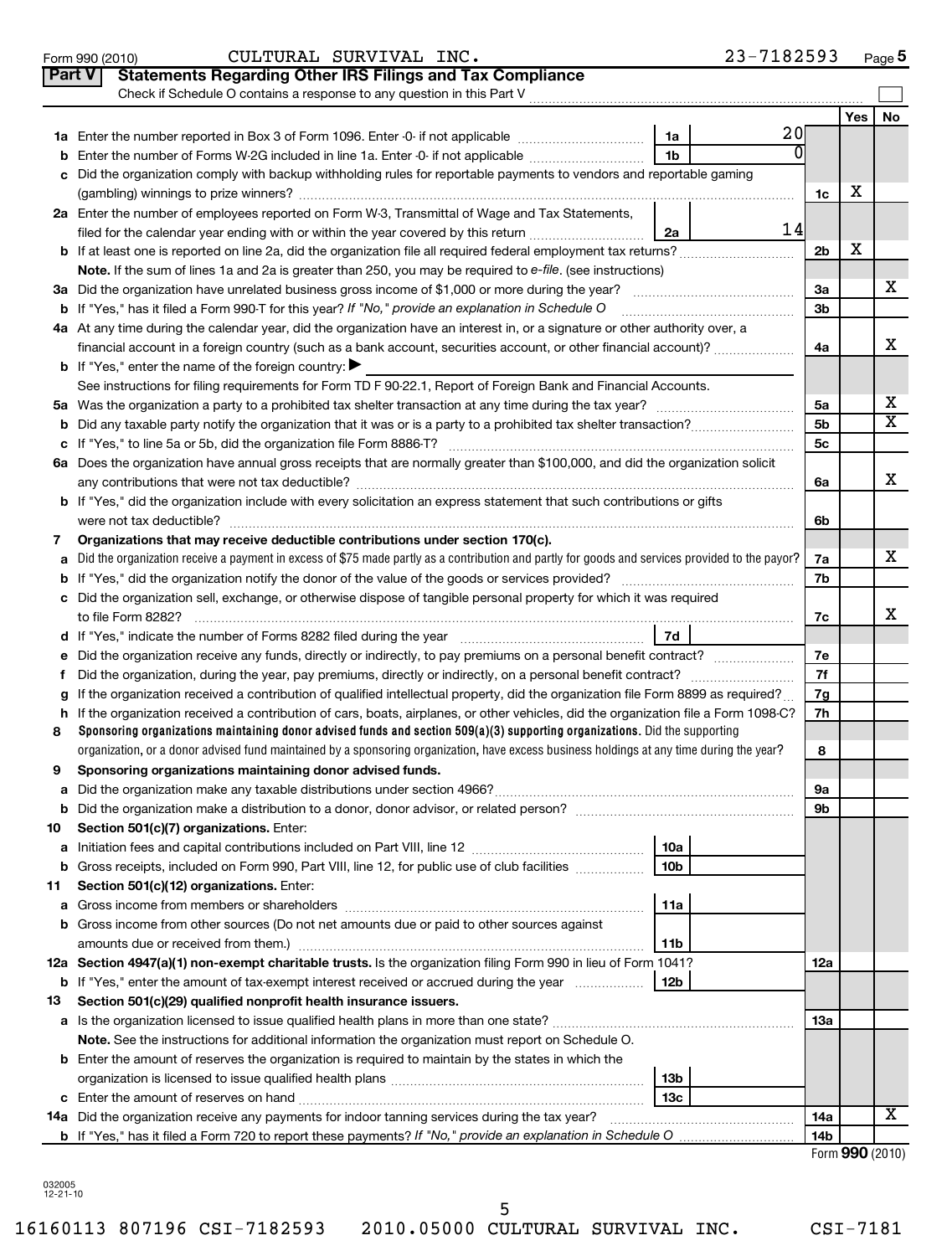|               | CULTURAL SURVIVAL INC.<br>Form 990 (2010)                                                                                                       |                        | 23-7182593 |                 |                 | Page 5                       |
|---------------|-------------------------------------------------------------------------------------------------------------------------------------------------|------------------------|------------|-----------------|-----------------|------------------------------|
| <b>Part V</b> | <b>Statements Regarding Other IRS Filings and Tax Compliance</b>                                                                                |                        |            |                 |                 |                              |
|               | Check if Schedule O contains a response to any question in this Part V                                                                          |                        |            |                 |                 |                              |
|               |                                                                                                                                                 |                        |            |                 | <b>Yes</b>      | <b>No</b>                    |
|               |                                                                                                                                                 | 1a                     | 20         |                 |                 |                              |
| b             | Enter the number of Forms W-2G included in line 1a. Enter -0- if not applicable                                                                 | 1 <sub>b</sub>         |            |                 |                 |                              |
| c             | Did the organization comply with backup withholding rules for reportable payments to vendors and reportable gaming                              |                        |            |                 |                 |                              |
|               |                                                                                                                                                 |                        |            | 1c              | х               |                              |
|               | 2a Enter the number of employees reported on Form W-3, Transmittal of Wage and Tax Statements,                                                  |                        |            |                 |                 |                              |
|               | filed for the calendar year ending with or within the year covered by this return                                                               | 2a                     | 14         |                 |                 |                              |
|               |                                                                                                                                                 |                        |            | 2 <sub>b</sub>  | X               |                              |
|               | Note. If the sum of lines 1a and 2a is greater than 250, you may be required to e-file. (see instructions)                                      |                        |            |                 |                 |                              |
| За            |                                                                                                                                                 |                        |            | За              |                 | х                            |
|               | <b>b</b> If "Yes," has it filed a Form 990-T for this year? If "No," provide an explanation in Schedule O                                       |                        |            | 3b              |                 |                              |
|               | 4a At any time during the calendar year, did the organization have an interest in, or a signature or other authority over, a                    |                        |            |                 |                 |                              |
|               | financial account in a foreign country (such as a bank account, securities account, or other financial account)?                                |                        |            | 4a              |                 | x                            |
|               | <b>b</b> If "Yes," enter the name of the foreign country:                                                                                       |                        |            |                 |                 |                              |
|               | See instructions for filing requirements for Form TD F 90-22.1, Report of Foreign Bank and Financial Accounts.                                  |                        |            |                 |                 |                              |
|               |                                                                                                                                                 |                        |            | 5a              |                 | х<br>$\overline{\textbf{X}}$ |
| b             |                                                                                                                                                 |                        |            | 5b              |                 |                              |
|               |                                                                                                                                                 |                        |            | 5 <sub>c</sub>  |                 |                              |
|               | 6a Does the organization have annual gross receipts that are normally greater than \$100,000, and did the organization solicit                  |                        |            |                 |                 | x                            |
|               | <b>b</b> If "Yes," did the organization include with every solicitation an express statement that such contributions or gifts                   |                        |            | 6a              |                 |                              |
|               |                                                                                                                                                 |                        |            | 6b              |                 |                              |
| 7             | Organizations that may receive deductible contributions under section 170(c).                                                                   |                        |            |                 |                 |                              |
| a             | Did the organization receive a payment in excess of \$75 made partly as a contribution and partly for goods and services provided to the payor? |                        |            | 7a              |                 | х                            |
| b             |                                                                                                                                                 |                        |            | 7b              |                 |                              |
|               | c Did the organization sell, exchange, or otherwise dispose of tangible personal property for which it was required                             |                        |            |                 |                 |                              |
|               |                                                                                                                                                 |                        |            | 7c              |                 | x                            |
|               |                                                                                                                                                 | 7d                     |            |                 |                 |                              |
| е             |                                                                                                                                                 |                        |            | 7е              |                 |                              |
| f             |                                                                                                                                                 |                        |            | 7f              |                 |                              |
| a             | If the organization received a contribution of qualified intellectual property, did the organization file Form 8899 as required?                |                        |            | 7g              |                 |                              |
| h.            | If the organization received a contribution of cars, boats, airplanes, or other vehicles, did the organization file a Form 1098-C?              |                        |            | 7h              |                 |                              |
| 8             | Sponsoring organizations maintaining donor advised funds and section 509(a)(3) supporting organizations. Did the supporting                     |                        |            |                 |                 |                              |
|               | organization, or a donor advised fund maintained by a sponsoring organization, have excess business holdings at any time during the year?       |                        |            | 8               |                 |                              |
|               | Sponsoring organizations maintaining donor advised funds.                                                                                       |                        |            |                 |                 |                              |
| а             |                                                                                                                                                 |                        |            | <b>9a</b>       |                 |                              |
| b             |                                                                                                                                                 |                        |            | 9b              |                 |                              |
| 10            | Section 501(c)(7) organizations. Enter:                                                                                                         |                        |            |                 |                 |                              |
| а             | Gross receipts, included on Form 990, Part VIII, line 12, for public use of club facilities                                                     | 10a<br>10 <sub>b</sub> |            |                 |                 |                              |
| b<br>11       | Section 501(c)(12) organizations. Enter:                                                                                                        |                        |            |                 |                 |                              |
| а             |                                                                                                                                                 | 11a                    |            |                 |                 |                              |
|               | <b>b</b> Gross income from other sources (Do not net amounts due or paid to other sources against                                               |                        |            |                 |                 |                              |
|               | amounts due or received from them.)                                                                                                             | 11b                    |            |                 |                 |                              |
|               | 12a Section 4947(a)(1) non-exempt charitable trusts. Is the organization filing Form 990 in lieu of Form 1041?                                  |                        |            | 12a             |                 |                              |
|               | <b>b</b> If "Yes," enter the amount of tax-exempt interest received or accrued during the year                                                  | 12b                    |            |                 |                 |                              |
| 13            | Section 501(c)(29) qualified nonprofit health insurance issuers.                                                                                |                        |            |                 |                 |                              |
|               | a Is the organization licensed to issue qualified health plans in more than one state?                                                          |                        |            | 1За             |                 |                              |
|               | Note. See the instructions for additional information the organization must report on Schedule O.                                               |                        |            |                 |                 |                              |
|               | <b>b</b> Enter the amount of reserves the organization is required to maintain by the states in which the                                       |                        |            |                 |                 |                              |
|               |                                                                                                                                                 | 13b                    |            |                 |                 |                              |
|               |                                                                                                                                                 | 13с                    |            |                 |                 |                              |
|               | 14a Did the organization receive any payments for indoor tanning services during the tax year?                                                  |                        |            | 14a             |                 | х                            |
|               | <b>b</b> If "Yes," has it filed a Form 720 to report these payments? If "No," provide an explanation in Schedule O                              |                        |            | 14 <sub>b</sub> |                 |                              |
|               |                                                                                                                                                 |                        |            |                 | Form 990 (2010) |                              |

032005 12-21-10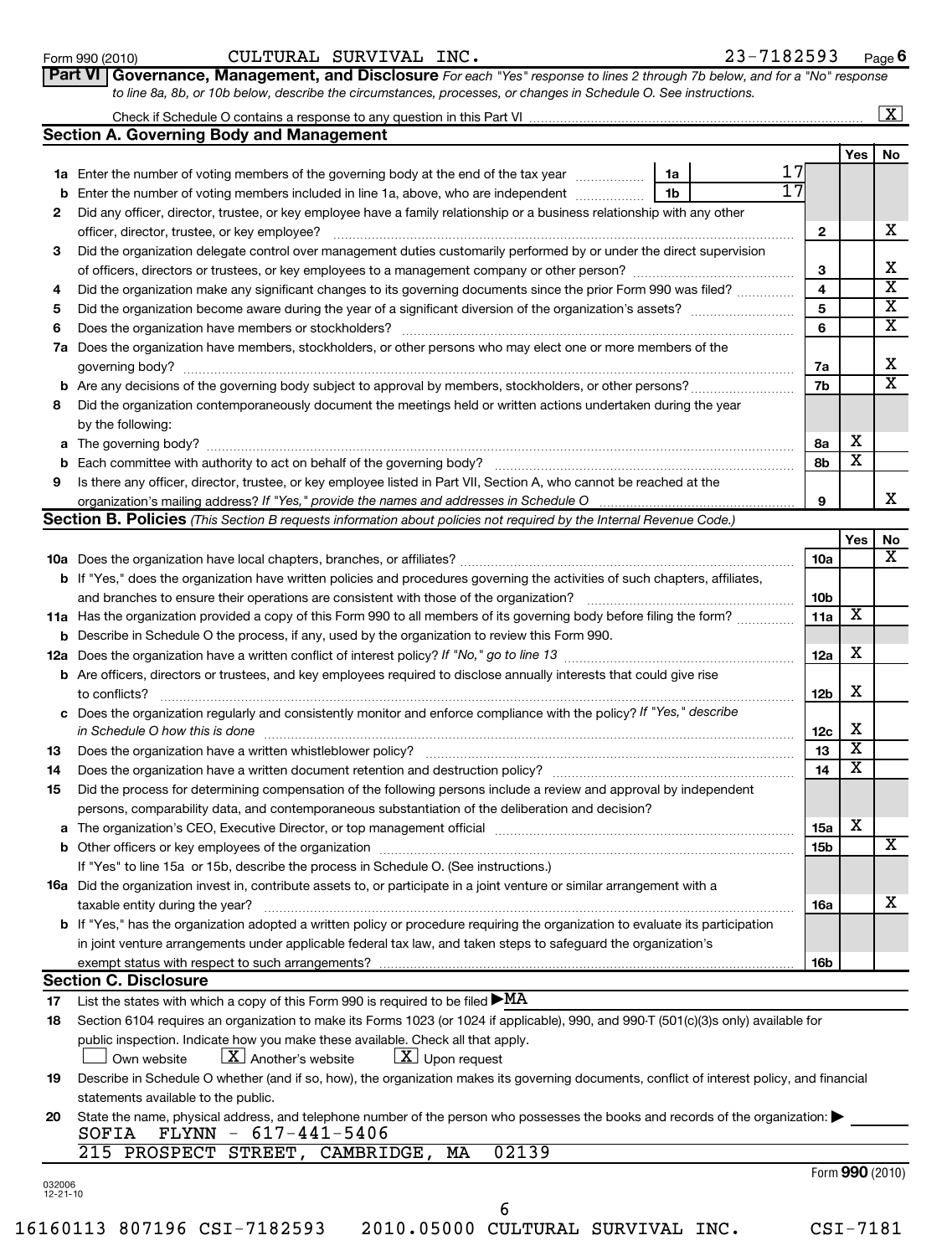|--|

| Form 990 (2010) | CULTURAL SURVIVAL<br>INC. | -7182593<br>Page |
|-----------------|---------------------------|------------------|
|-----------------|---------------------------|------------------|

| Part VI   Governance, Management, and Disclosure For each "Yes" response to lines 2 through 7b below, and for a "No" respons <sup>,</sup> |  |
|-------------------------------------------------------------------------------------------------------------------------------------------|--|
| to line 8a, 8b, or 10b below, describe the circumstances, processes, or changes in Schedule O. See instructions.                          |  |

| Check if Schedule O contains a response to any question in this Part VI | $\boxed{\text{X}}$ |
|-------------------------------------------------------------------------|--------------------|
| <b>Section A. Governing Body and Management</b>                         |                    |

|              |                                                                                                                            |    | Yes | No. |  |  |  |  |
|--------------|----------------------------------------------------------------------------------------------------------------------------|----|-----|-----|--|--|--|--|
| 1a           | 1a<br>Enter the number of voting members of the governing body at the end of the tax year                                  |    |     |     |  |  |  |  |
| b            | 1b<br>Enter the number of voting members included in line 1a, above, who are independent                                   |    |     |     |  |  |  |  |
| $\mathbf{2}$ | Did any officer, director, trustee, or key employee have a family relationship or a business relationship with any other   |    |     |     |  |  |  |  |
|              | officer, director, trustee, or key employee?                                                                               |    |     |     |  |  |  |  |
| 3            | Did the organization delegate control over management duties customarily performed by or under the direct supervision      |    |     |     |  |  |  |  |
|              |                                                                                                                            | 3  |     | х   |  |  |  |  |
| 4            | Did the organization make any significant changes to its governing documents since the prior Form 990 was filed?           | 4  |     | X   |  |  |  |  |
| 5            |                                                                                                                            | 5  |     | x   |  |  |  |  |
| 6            | Does the organization have members or stockholders?                                                                        | 6  |     | X   |  |  |  |  |
| 7a           | Does the organization have members, stockholders, or other persons who may elect one or more members of the                |    |     |     |  |  |  |  |
|              | governing body?                                                                                                            | 7a |     | х   |  |  |  |  |
|              | <b>b</b> Are any decisions of the governing body subject to approval by members, stockholders, or other persons?           | 7b |     | x   |  |  |  |  |
| 8            | Did the organization contemporaneously document the meetings held or written actions undertaken during the year            |    |     |     |  |  |  |  |
|              | by the following:                                                                                                          |    |     |     |  |  |  |  |
| a            | The governing body?                                                                                                        | 8a | X   |     |  |  |  |  |
| b            | Each committee with authority to act on behalf of the governing body?                                                      | 8b | х   |     |  |  |  |  |
| 9            | Is there any officer, director, trustee, or key employee listed in Part VII, Section A, who cannot be reached at the       |    |     |     |  |  |  |  |
|              |                                                                                                                            | 9  |     | х   |  |  |  |  |
|              | <b>Section B. Policies</b> (This Section B requests information about policies not required by the Internal Revenue Code.) |    |     |     |  |  |  |  |

|     |                                                                                                                                                                                                                                |                 | <b>Yes</b> | No |
|-----|--------------------------------------------------------------------------------------------------------------------------------------------------------------------------------------------------------------------------------|-----------------|------------|----|
|     |                                                                                                                                                                                                                                | 10a             |            | x  |
|     | b If "Yes," does the organization have written policies and procedures governing the activities of such chapters, affiliates,                                                                                                  |                 |            |    |
|     | and branches to ensure their operations are consistent with those of the organization?                                                                                                                                         | 10 <sub>b</sub> |            |    |
|     | 11a Has the organization provided a copy of this Form 990 to all members of its governing body before filing the form?                                                                                                         | 11a             | х          |    |
|     | <b>b</b> Describe in Schedule O the process, if any, used by the organization to review this Form 990.                                                                                                                         |                 |            |    |
| 12a |                                                                                                                                                                                                                                | 12a             | X          |    |
|     | <b>b</b> Are officers, directors or trustees, and key employees required to disclose annually interests that could give rise                                                                                                   |                 |            |    |
|     | to conflicts?                                                                                                                                                                                                                  | 12 <sub>b</sub> | X          |    |
|     | c Does the organization regularly and consistently monitor and enforce compliance with the policy? If "Yes," describe                                                                                                          |                 |            |    |
|     | in Schedule O how this is done                                                                                                                                                                                                 | 12c             | X          |    |
| 13  |                                                                                                                                                                                                                                | 13              | X          |    |
| 14  |                                                                                                                                                                                                                                | 14              | х          |    |
| 15  | Did the process for determining compensation of the following persons include a review and approval by independent                                                                                                             |                 |            |    |
|     | persons, comparability data, and contemporaneous substantiation of the deliberation and decision?                                                                                                                              |                 |            |    |
| a   | The organization's CEO, Executive Director, or top management official manufactured content content of the organization's CEO, Executive Director, or top management official manufactured content of the state of the state o | 15a             | X          |    |
|     |                                                                                                                                                                                                                                | <b>15b</b>      |            | x  |
|     | If "Yes" to line 15a or 15b, describe the process in Schedule O. (See instructions.)                                                                                                                                           |                 |            |    |
|     | <b>16a</b> Did the organization invest in, contribute assets to, or participate in a joint venture or similar arrangement with a                                                                                               |                 |            |    |
|     | taxable entity during the year?                                                                                                                                                                                                | <b>16a</b>      |            | х  |
|     | <b>b</b> If "Yes," has the organization adopted a written policy or procedure requiring the organization to evaluate its participation                                                                                         |                 |            |    |
|     | in joint venture arrangements under applicable federal tax law, and taken steps to safeguard the organization's                                                                                                                |                 |            |    |
|     |                                                                                                                                                                                                                                | 16b             |            |    |
|     | <b>Section C. Disclosure</b>                                                                                                                                                                                                   |                 |            |    |
|     | $\cdots$ $\cdots$ $\cdots$ $\cdots$                                                                                                                                                                                            |                 |            |    |

**17** List the states with which a copy of this Form 990 is required to be filed  $\blacktriangleright {\tt MA}$ 

|                      | 18 Section 6104 requires an organization to make its Forms 1023 (or 1024 if applicable), 990, and 990-T (501(c)(3)s only) available for |                                  |  |
|----------------------|-----------------------------------------------------------------------------------------------------------------------------------------|----------------------------------|--|
|                      | public inspection. Indicate how you make these available. Check all that apply.                                                         |                                  |  |
| <u>L</u> Own website | $\lfloor x \rfloor$ Another's website                                                                                                   | $\lfloor x \rfloor$ Upon request |  |

**19** Describe in Schedule O whether (and if so, how), the organization makes its governing documents, conflict of interest policy, and financial statements available to the public.

| $SOFIA$ FLYNN - $617-441-5406$                                                                                                   |
|----------------------------------------------------------------------------------------------------------------------------------|
|                                                                                                                                  |
| 20 State the name, physical address, and telephone number of the person who possesses the books and records of the organization: |

215 PROSPECT STREET, CAMBRIDGE, MA 02139

6

032006 12-21-10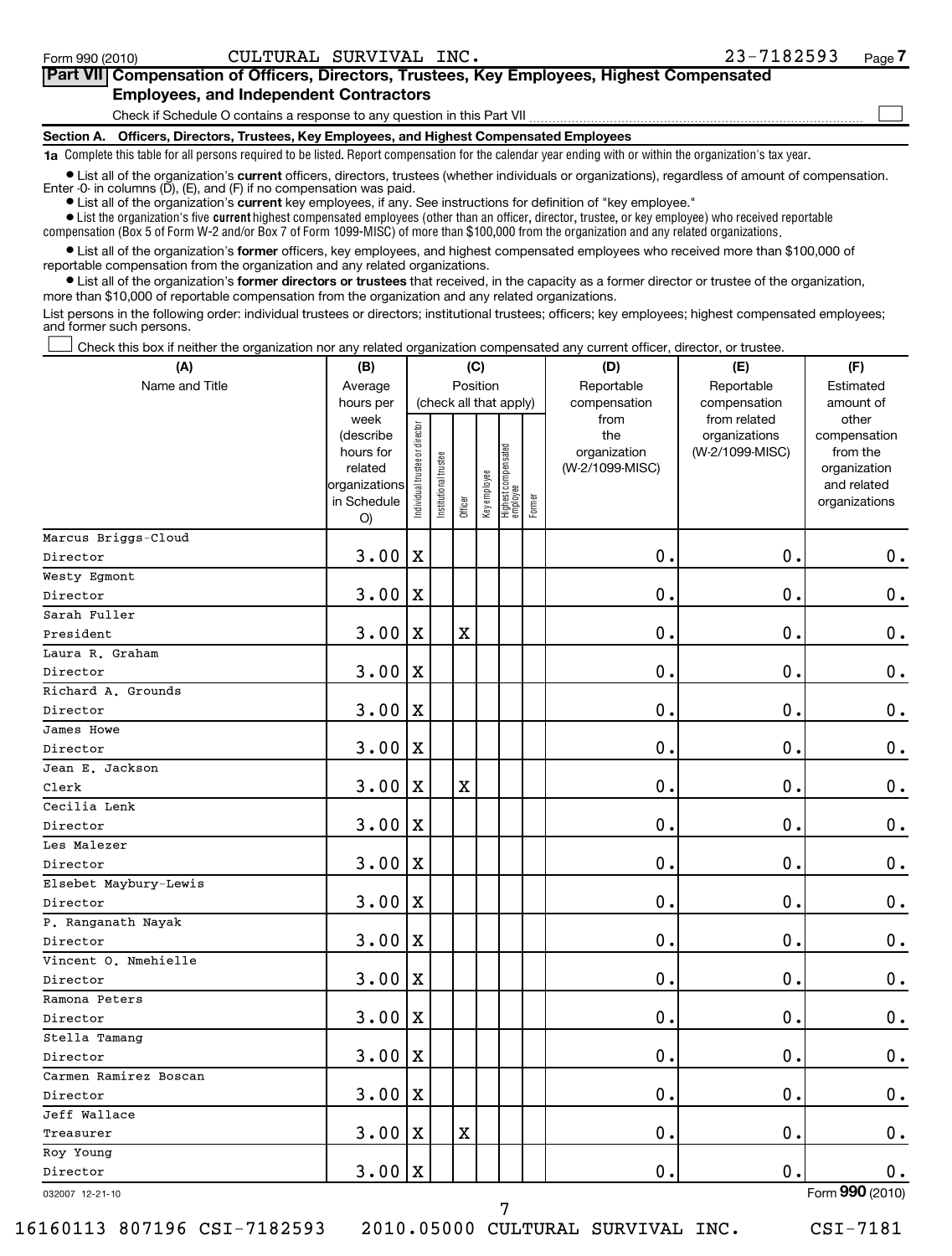| <b>Part VII</b> Compensation of Officers, Directors, Trustees, Key Employees, Highest Compensated |  |
|---------------------------------------------------------------------------------------------------|--|
| <b>Employees, and Independent Contractors</b>                                                     |  |
| Check if Schedule O contains a response to any question in this Part VII                          |  |
| Section A. Officers, Directors, Trustees, Key Employees, and Highest Compensated Employees        |  |

**1a**  Complete this table for all persons required to be listed. Report compensation for the calendar year ending with or within the organization's tax year.

**•** List all of the organization's current officers, directors, trustees (whether individuals or organizations), regardless of amount of compensation. Enter -0- in columns  $(D)$ ,  $(E)$ , and  $(F)$  if no compensation was paid.

**•** List all of the organization's **current** key employees, if any. See instructions for definition of "key employee."

 $\bullet$  List the organization's five  $\tt current$  highest compensated employees (other than an officer, director, trustee, or key employee) who received reportable compensation (Box 5 of Form W-2 and/or Box 7 of Form 1099-MISC) of more than \$100,000 from the organization and any related organizations .

 $\bullet$  List all of the organization's former officers, key employees, and highest compensated employees who received more than \$100,000 of reportable compensation from the organization and any related organizations.

**•** List all of the organization's former directors or trustees that received, in the capacity as a former director or trustee of the organization, more than \$10,000 of reportable compensation from the organization and any related organizations.

List persons in the following order: individual trustees or directors; institutional trustees; officers; key employees; highest compensated employees; and former such persons.

Check this box if neither the organization nor any related organization compensated any current officer, director, or trustee.  $\left\vert \cdot\right\vert$ 

| Position<br>Name and Title<br>Reportable<br>Reportable<br>Average<br>Estimated<br>(check all that apply)<br>hours per<br>compensation<br>compensation<br>amount of<br>week<br>from<br>from related<br>other<br>ndividual trustee or director<br>the<br>organizations<br>(describe<br>compensation<br>Highest compensated<br>employee<br>(W-2/1099-MISC)<br>hours for<br>organization<br>from the<br>Institutional trustee<br>related<br>(W-2/1099-MISC)<br>organization<br>Key employee<br>organizations<br>and related<br>Former<br>Officer<br>in Schedule<br>organizations<br>O)<br>Marcus Briggs-Cloud<br>3.00<br>X<br>$\mathbf 0$ .<br>$\mathbf 0$<br>$\boldsymbol{0}$ .<br>Director<br>Westy Egmont<br>$\mathbf 0$ .<br>$\mathbf 0$ .<br>3.00<br>$\mathbf 0$ .<br>X<br>Director<br>Sarah Fuller<br>$\mathbf 0$ .<br>$\mathbf 0$<br>$\mathbf 0$ .<br>3.00<br>$\mathbf X$<br>X<br>President<br>Laura R. Graham<br>$\mathbf 0$ .<br>3.00<br>0.<br>$\mathbf 0$ .<br>X<br>Director<br>Richard A. Grounds<br>$\boldsymbol{0}$ .<br>3.00<br>0.<br>$\mathbf 0$<br>X<br>Director<br>James Howe<br>$\mathbf 0$<br>$\mathbf 0$ .<br>$\mathbf 0$ .<br>3.00<br>X<br>Director<br>Jean E. Jackson<br>$\mathbf X$<br>$\mathbf 0$ .<br>3.00<br>$\mathbf X$<br>$\mathbf 0$ .<br>0<br>Clerk<br>Cecilia Lenk<br>$\mathbf 0$ .<br>0<br>$\mathbf 0$ .<br>3.00<br>X<br>Director<br>Les Malezer<br>$\mathbf 0$ .<br>3.00<br>$\mathbf X$<br>$\mathbf 0$ .<br>0<br>Director<br>Elsebet Maybury-Lewis<br>$\mathbf 0$ .<br>0<br>$\mathbf 0$ .<br>3.00<br>$\mathbf X$<br>Director<br>P. Ranganath Nayak<br>3.00<br>$\mathbf 0$ .<br>0<br>$\mathbf 0$ .<br>X<br>Director<br>Vincent O. Nmehielle<br>$\mathbf 0$ .<br>3.00<br>0.<br>0<br>X<br>Director<br>Ramona Peters<br>$\mathbf 0$ .<br>3.00<br>$\mathbf X$<br>$\mathbf 0$ .<br>0<br>Director<br>Stella Tamang<br>0.<br>$\mathbf 0$<br>$\mathbf 0$ .<br>3.00<br>$\mathbf X$<br>Director<br>Carmen Ramirez Boscan<br>0.<br>$\mathbf 0$<br>$\mathbf 0$ .<br>3.00<br>$\mathbf X$<br>Director<br>Jeff Wallace<br>3.00<br>$\mathbf X$<br>0.<br>$\mathbf 0$<br>$\mathbf 0$ .<br>$\mathbf X$<br>Treasurer<br>Roy Young<br>3.00<br>Director | (A) | (B) |   | (C) |  | (D) | (E)         | (F)           |
|---------------------------------------------------------------------------------------------------------------------------------------------------------------------------------------------------------------------------------------------------------------------------------------------------------------------------------------------------------------------------------------------------------------------------------------------------------------------------------------------------------------------------------------------------------------------------------------------------------------------------------------------------------------------------------------------------------------------------------------------------------------------------------------------------------------------------------------------------------------------------------------------------------------------------------------------------------------------------------------------------------------------------------------------------------------------------------------------------------------------------------------------------------------------------------------------------------------------------------------------------------------------------------------------------------------------------------------------------------------------------------------------------------------------------------------------------------------------------------------------------------------------------------------------------------------------------------------------------------------------------------------------------------------------------------------------------------------------------------------------------------------------------------------------------------------------------------------------------------------------------------------------------------------------------------------------------------------------------------------------------------------------------------------------------------------------------------------------------------------------------------------------------------------|-----|-----|---|-----|--|-----|-------------|---------------|
|                                                                                                                                                                                                                                                                                                                                                                                                                                                                                                                                                                                                                                                                                                                                                                                                                                                                                                                                                                                                                                                                                                                                                                                                                                                                                                                                                                                                                                                                                                                                                                                                                                                                                                                                                                                                                                                                                                                                                                                                                                                                                                                                                               |     |     |   |     |  |     |             |               |
|                                                                                                                                                                                                                                                                                                                                                                                                                                                                                                                                                                                                                                                                                                                                                                                                                                                                                                                                                                                                                                                                                                                                                                                                                                                                                                                                                                                                                                                                                                                                                                                                                                                                                                                                                                                                                                                                                                                                                                                                                                                                                                                                                               |     |     |   |     |  |     |             |               |
|                                                                                                                                                                                                                                                                                                                                                                                                                                                                                                                                                                                                                                                                                                                                                                                                                                                                                                                                                                                                                                                                                                                                                                                                                                                                                                                                                                                                                                                                                                                                                                                                                                                                                                                                                                                                                                                                                                                                                                                                                                                                                                                                                               |     |     |   |     |  |     |             |               |
|                                                                                                                                                                                                                                                                                                                                                                                                                                                                                                                                                                                                                                                                                                                                                                                                                                                                                                                                                                                                                                                                                                                                                                                                                                                                                                                                                                                                                                                                                                                                                                                                                                                                                                                                                                                                                                                                                                                                                                                                                                                                                                                                                               |     |     |   |     |  |     |             |               |
|                                                                                                                                                                                                                                                                                                                                                                                                                                                                                                                                                                                                                                                                                                                                                                                                                                                                                                                                                                                                                                                                                                                                                                                                                                                                                                                                                                                                                                                                                                                                                                                                                                                                                                                                                                                                                                                                                                                                                                                                                                                                                                                                                               |     |     |   |     |  |     |             |               |
|                                                                                                                                                                                                                                                                                                                                                                                                                                                                                                                                                                                                                                                                                                                                                                                                                                                                                                                                                                                                                                                                                                                                                                                                                                                                                                                                                                                                                                                                                                                                                                                                                                                                                                                                                                                                                                                                                                                                                                                                                                                                                                                                                               |     |     |   |     |  |     |             |               |
|                                                                                                                                                                                                                                                                                                                                                                                                                                                                                                                                                                                                                                                                                                                                                                                                                                                                                                                                                                                                                                                                                                                                                                                                                                                                                                                                                                                                                                                                                                                                                                                                                                                                                                                                                                                                                                                                                                                                                                                                                                                                                                                                                               |     |     |   |     |  |     |             |               |
|                                                                                                                                                                                                                                                                                                                                                                                                                                                                                                                                                                                                                                                                                                                                                                                                                                                                                                                                                                                                                                                                                                                                                                                                                                                                                                                                                                                                                                                                                                                                                                                                                                                                                                                                                                                                                                                                                                                                                                                                                                                                                                                                                               |     |     |   |     |  |     |             |               |
|                                                                                                                                                                                                                                                                                                                                                                                                                                                                                                                                                                                                                                                                                                                                                                                                                                                                                                                                                                                                                                                                                                                                                                                                                                                                                                                                                                                                                                                                                                                                                                                                                                                                                                                                                                                                                                                                                                                                                                                                                                                                                                                                                               |     |     |   |     |  |     |             |               |
|                                                                                                                                                                                                                                                                                                                                                                                                                                                                                                                                                                                                                                                                                                                                                                                                                                                                                                                                                                                                                                                                                                                                                                                                                                                                                                                                                                                                                                                                                                                                                                                                                                                                                                                                                                                                                                                                                                                                                                                                                                                                                                                                                               |     |     |   |     |  |     |             |               |
|                                                                                                                                                                                                                                                                                                                                                                                                                                                                                                                                                                                                                                                                                                                                                                                                                                                                                                                                                                                                                                                                                                                                                                                                                                                                                                                                                                                                                                                                                                                                                                                                                                                                                                                                                                                                                                                                                                                                                                                                                                                                                                                                                               |     |     |   |     |  |     |             |               |
|                                                                                                                                                                                                                                                                                                                                                                                                                                                                                                                                                                                                                                                                                                                                                                                                                                                                                                                                                                                                                                                                                                                                                                                                                                                                                                                                                                                                                                                                                                                                                                                                                                                                                                                                                                                                                                                                                                                                                                                                                                                                                                                                                               |     |     |   |     |  |     |             |               |
|                                                                                                                                                                                                                                                                                                                                                                                                                                                                                                                                                                                                                                                                                                                                                                                                                                                                                                                                                                                                                                                                                                                                                                                                                                                                                                                                                                                                                                                                                                                                                                                                                                                                                                                                                                                                                                                                                                                                                                                                                                                                                                                                                               |     |     |   |     |  |     |             |               |
|                                                                                                                                                                                                                                                                                                                                                                                                                                                                                                                                                                                                                                                                                                                                                                                                                                                                                                                                                                                                                                                                                                                                                                                                                                                                                                                                                                                                                                                                                                                                                                                                                                                                                                                                                                                                                                                                                                                                                                                                                                                                                                                                                               |     |     |   |     |  |     |             |               |
|                                                                                                                                                                                                                                                                                                                                                                                                                                                                                                                                                                                                                                                                                                                                                                                                                                                                                                                                                                                                                                                                                                                                                                                                                                                                                                                                                                                                                                                                                                                                                                                                                                                                                                                                                                                                                                                                                                                                                                                                                                                                                                                                                               |     |     |   |     |  |     |             |               |
|                                                                                                                                                                                                                                                                                                                                                                                                                                                                                                                                                                                                                                                                                                                                                                                                                                                                                                                                                                                                                                                                                                                                                                                                                                                                                                                                                                                                                                                                                                                                                                                                                                                                                                                                                                                                                                                                                                                                                                                                                                                                                                                                                               |     |     |   |     |  |     |             |               |
|                                                                                                                                                                                                                                                                                                                                                                                                                                                                                                                                                                                                                                                                                                                                                                                                                                                                                                                                                                                                                                                                                                                                                                                                                                                                                                                                                                                                                                                                                                                                                                                                                                                                                                                                                                                                                                                                                                                                                                                                                                                                                                                                                               |     |     |   |     |  |     |             |               |
|                                                                                                                                                                                                                                                                                                                                                                                                                                                                                                                                                                                                                                                                                                                                                                                                                                                                                                                                                                                                                                                                                                                                                                                                                                                                                                                                                                                                                                                                                                                                                                                                                                                                                                                                                                                                                                                                                                                                                                                                                                                                                                                                                               |     |     |   |     |  |     |             |               |
|                                                                                                                                                                                                                                                                                                                                                                                                                                                                                                                                                                                                                                                                                                                                                                                                                                                                                                                                                                                                                                                                                                                                                                                                                                                                                                                                                                                                                                                                                                                                                                                                                                                                                                                                                                                                                                                                                                                                                                                                                                                                                                                                                               |     |     |   |     |  |     |             |               |
|                                                                                                                                                                                                                                                                                                                                                                                                                                                                                                                                                                                                                                                                                                                                                                                                                                                                                                                                                                                                                                                                                                                                                                                                                                                                                                                                                                                                                                                                                                                                                                                                                                                                                                                                                                                                                                                                                                                                                                                                                                                                                                                                                               |     |     |   |     |  |     |             |               |
|                                                                                                                                                                                                                                                                                                                                                                                                                                                                                                                                                                                                                                                                                                                                                                                                                                                                                                                                                                                                                                                                                                                                                                                                                                                                                                                                                                                                                                                                                                                                                                                                                                                                                                                                                                                                                                                                                                                                                                                                                                                                                                                                                               |     |     |   |     |  |     |             |               |
|                                                                                                                                                                                                                                                                                                                                                                                                                                                                                                                                                                                                                                                                                                                                                                                                                                                                                                                                                                                                                                                                                                                                                                                                                                                                                                                                                                                                                                                                                                                                                                                                                                                                                                                                                                                                                                                                                                                                                                                                                                                                                                                                                               |     |     |   |     |  |     |             |               |
|                                                                                                                                                                                                                                                                                                                                                                                                                                                                                                                                                                                                                                                                                                                                                                                                                                                                                                                                                                                                                                                                                                                                                                                                                                                                                                                                                                                                                                                                                                                                                                                                                                                                                                                                                                                                                                                                                                                                                                                                                                                                                                                                                               |     |     |   |     |  |     |             |               |
|                                                                                                                                                                                                                                                                                                                                                                                                                                                                                                                                                                                                                                                                                                                                                                                                                                                                                                                                                                                                                                                                                                                                                                                                                                                                                                                                                                                                                                                                                                                                                                                                                                                                                                                                                                                                                                                                                                                                                                                                                                                                                                                                                               |     |     |   |     |  |     |             |               |
|                                                                                                                                                                                                                                                                                                                                                                                                                                                                                                                                                                                                                                                                                                                                                                                                                                                                                                                                                                                                                                                                                                                                                                                                                                                                                                                                                                                                                                                                                                                                                                                                                                                                                                                                                                                                                                                                                                                                                                                                                                                                                                                                                               |     |     |   |     |  |     |             |               |
|                                                                                                                                                                                                                                                                                                                                                                                                                                                                                                                                                                                                                                                                                                                                                                                                                                                                                                                                                                                                                                                                                                                                                                                                                                                                                                                                                                                                                                                                                                                                                                                                                                                                                                                                                                                                                                                                                                                                                                                                                                                                                                                                                               |     |     |   |     |  |     |             |               |
|                                                                                                                                                                                                                                                                                                                                                                                                                                                                                                                                                                                                                                                                                                                                                                                                                                                                                                                                                                                                                                                                                                                                                                                                                                                                                                                                                                                                                                                                                                                                                                                                                                                                                                                                                                                                                                                                                                                                                                                                                                                                                                                                                               |     |     |   |     |  |     |             |               |
|                                                                                                                                                                                                                                                                                                                                                                                                                                                                                                                                                                                                                                                                                                                                                                                                                                                                                                                                                                                                                                                                                                                                                                                                                                                                                                                                                                                                                                                                                                                                                                                                                                                                                                                                                                                                                                                                                                                                                                                                                                                                                                                                                               |     |     |   |     |  |     |             |               |
|                                                                                                                                                                                                                                                                                                                                                                                                                                                                                                                                                                                                                                                                                                                                                                                                                                                                                                                                                                                                                                                                                                                                                                                                                                                                                                                                                                                                                                                                                                                                                                                                                                                                                                                                                                                                                                                                                                                                                                                                                                                                                                                                                               |     |     |   |     |  |     |             |               |
|                                                                                                                                                                                                                                                                                                                                                                                                                                                                                                                                                                                                                                                                                                                                                                                                                                                                                                                                                                                                                                                                                                                                                                                                                                                                                                                                                                                                                                                                                                                                                                                                                                                                                                                                                                                                                                                                                                                                                                                                                                                                                                                                                               |     |     |   |     |  |     |             |               |
|                                                                                                                                                                                                                                                                                                                                                                                                                                                                                                                                                                                                                                                                                                                                                                                                                                                                                                                                                                                                                                                                                                                                                                                                                                                                                                                                                                                                                                                                                                                                                                                                                                                                                                                                                                                                                                                                                                                                                                                                                                                                                                                                                               |     |     |   |     |  |     |             |               |
|                                                                                                                                                                                                                                                                                                                                                                                                                                                                                                                                                                                                                                                                                                                                                                                                                                                                                                                                                                                                                                                                                                                                                                                                                                                                                                                                                                                                                                                                                                                                                                                                                                                                                                                                                                                                                                                                                                                                                                                                                                                                                                                                                               |     |     |   |     |  |     |             |               |
|                                                                                                                                                                                                                                                                                                                                                                                                                                                                                                                                                                                                                                                                                                                                                                                                                                                                                                                                                                                                                                                                                                                                                                                                                                                                                                                                                                                                                                                                                                                                                                                                                                                                                                                                                                                                                                                                                                                                                                                                                                                                                                                                                               |     |     |   |     |  |     |             |               |
|                                                                                                                                                                                                                                                                                                                                                                                                                                                                                                                                                                                                                                                                                                                                                                                                                                                                                                                                                                                                                                                                                                                                                                                                                                                                                                                                                                                                                                                                                                                                                                                                                                                                                                                                                                                                                                                                                                                                                                                                                                                                                                                                                               |     |     |   |     |  |     |             |               |
|                                                                                                                                                                                                                                                                                                                                                                                                                                                                                                                                                                                                                                                                                                                                                                                                                                                                                                                                                                                                                                                                                                                                                                                                                                                                                                                                                                                                                                                                                                                                                                                                                                                                                                                                                                                                                                                                                                                                                                                                                                                                                                                                                               |     |     |   |     |  |     |             |               |
|                                                                                                                                                                                                                                                                                                                                                                                                                                                                                                                                                                                                                                                                                                                                                                                                                                                                                                                                                                                                                                                                                                                                                                                                                                                                                                                                                                                                                                                                                                                                                                                                                                                                                                                                                                                                                                                                                                                                                                                                                                                                                                                                                               |     |     |   |     |  |     |             |               |
|                                                                                                                                                                                                                                                                                                                                                                                                                                                                                                                                                                                                                                                                                                                                                                                                                                                                                                                                                                                                                                                                                                                                                                                                                                                                                                                                                                                                                                                                                                                                                                                                                                                                                                                                                                                                                                                                                                                                                                                                                                                                                                                                                               |     |     | X |     |  | 0.  | $\mathbf 0$ | $\mathbf 0$ . |

032007 12-21-10

7

Form (2010) **990**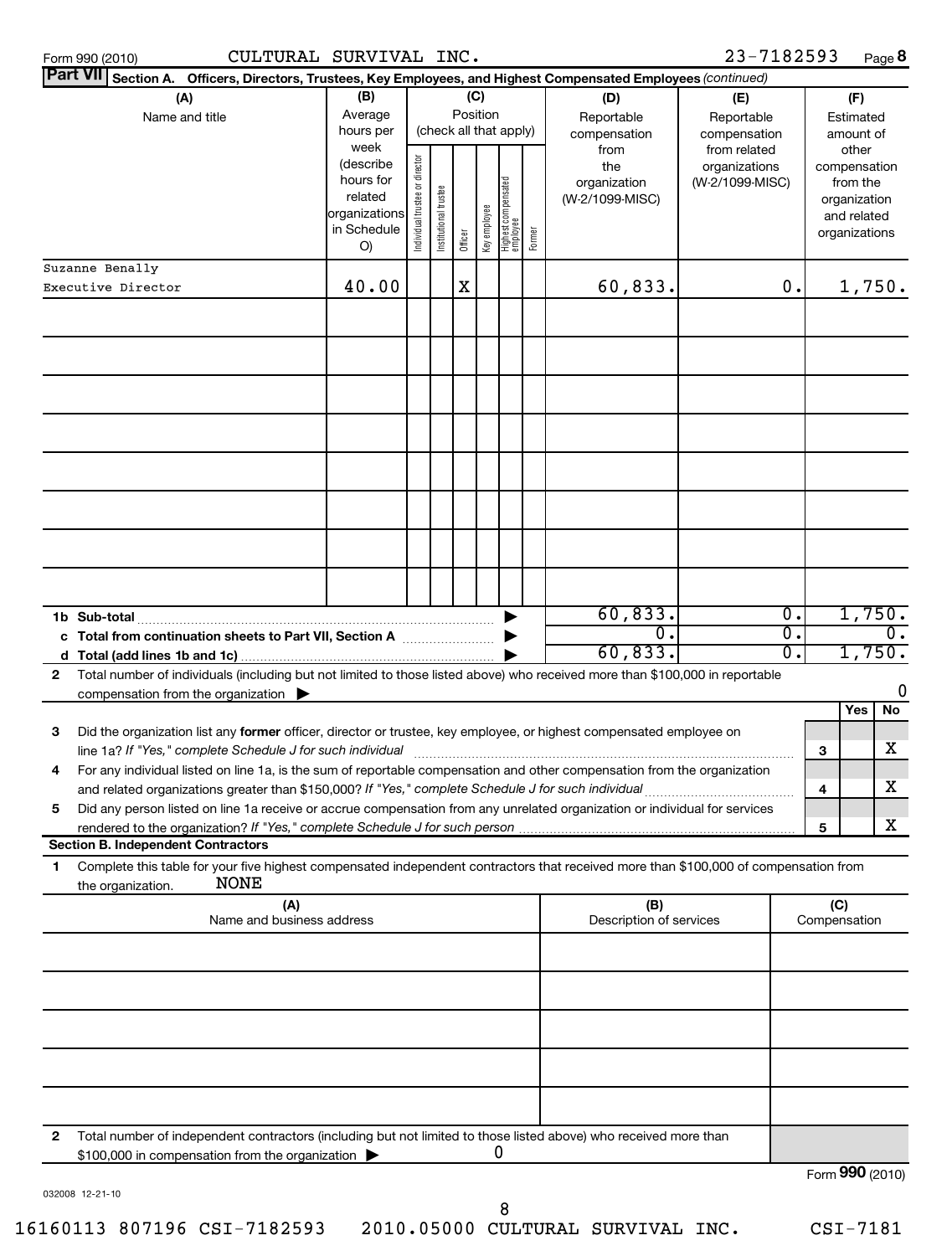| Form 990 (2010) |  |
|-----------------|--|
| <del>.</del>    |  |

 $23 - 7182593$  Page 8

|    | Part VII Section A. Officers, Directors, T <u>rustees, Key Employees, and Highest Compensated Employees (continued)</u>              |                              |                               |                      |         |              |                                 |        |                            |                               |                             |              |                             |                             |
|----|--------------------------------------------------------------------------------------------------------------------------------------|------------------------------|-------------------------------|----------------------|---------|--------------|---------------------------------|--------|----------------------------|-------------------------------|-----------------------------|--------------|-----------------------------|-----------------------------|
|    | (A)                                                                                                                                  | (B)<br>(C)                   |                               |                      |         |              |                                 |        | (D)                        | (E)                           |                             |              | (F)                         |                             |
|    | Name and title                                                                                                                       | Average<br>hours per<br>week |                               |                      |         | Position     | (check all that apply)          |        | Reportable<br>compensation | Reportable<br>compensation    |                             |              | Estimated<br>amount of      |                             |
|    |                                                                                                                                      | (describe                    |                               |                      |         |              |                                 |        | from<br>the                | from related<br>organizations |                             |              | other<br>compensation       |                             |
|    |                                                                                                                                      | hours for                    |                               |                      |         |              |                                 |        | organization               | (W-2/1099-MISC)               |                             |              | from the                    |                             |
|    |                                                                                                                                      | related<br>organizations     |                               |                      |         |              |                                 |        | (W-2/1099-MISC)            |                               |                             |              | organization<br>and related |                             |
|    |                                                                                                                                      | in Schedule                  | ndividual trustee or director | nstitutional trustee | Officer | Key employee | Highest compensated<br>employee | Former |                            |                               |                             |              | organizations               |                             |
|    |                                                                                                                                      | O)                           |                               |                      |         |              |                                 |        |                            |                               |                             |              |                             |                             |
|    | Suzanne Benally<br>Executive Director                                                                                                | 40.00                        |                               |                      | X       |              |                                 |        | 60,833.                    |                               | $\mathbf 0$ .               |              |                             | 1,750.                      |
|    |                                                                                                                                      |                              |                               |                      |         |              |                                 |        |                            |                               |                             |              |                             |                             |
|    |                                                                                                                                      |                              |                               |                      |         |              |                                 |        |                            |                               |                             |              |                             |                             |
|    |                                                                                                                                      |                              |                               |                      |         |              |                                 |        |                            |                               |                             |              |                             |                             |
|    |                                                                                                                                      |                              |                               |                      |         |              |                                 |        |                            |                               |                             |              |                             |                             |
|    |                                                                                                                                      |                              |                               |                      |         |              |                                 |        |                            |                               |                             |              |                             |                             |
|    |                                                                                                                                      |                              |                               |                      |         |              |                                 |        |                            |                               |                             |              |                             |                             |
|    |                                                                                                                                      |                              |                               |                      |         |              |                                 |        |                            |                               |                             |              |                             |                             |
|    |                                                                                                                                      |                              |                               |                      |         |              |                                 |        |                            |                               |                             |              |                             |                             |
|    |                                                                                                                                      |                              |                               |                      |         |              |                                 |        |                            |                               |                             |              |                             |                             |
|    |                                                                                                                                      |                              |                               |                      |         |              |                                 |        |                            |                               |                             |              |                             |                             |
|    |                                                                                                                                      |                              |                               |                      |         |              |                                 |        |                            |                               |                             |              |                             |                             |
|    |                                                                                                                                      |                              |                               |                      |         |              |                                 |        |                            |                               |                             |              |                             |                             |
|    |                                                                                                                                      |                              |                               |                      |         |              |                                 |        |                            |                               |                             |              |                             |                             |
|    |                                                                                                                                      |                              |                               |                      |         |              |                                 |        | 60,833.                    |                               | $\overline{\mathfrak{0}}$ . |              |                             | 1,750.                      |
|    | c Total from continuation sheets to Part VII, Section A                                                                              |                              |                               |                      |         |              |                                 |        | $\mathbf 0$ .              |                               | $\overline{0}$ .            |              |                             | $\overline{\mathfrak{0}}$ . |
|    |                                                                                                                                      |                              |                               |                      |         |              |                                 |        | 60,833.                    |                               | $\overline{0}$ .            |              |                             | 1,750.                      |
| 2  | Total number of individuals (including but not limited to those listed above) who received more than \$100,000 in reportable         |                              |                               |                      |         |              |                                 |        |                            |                               |                             |              |                             |                             |
|    | compensation from the organization $\blacktriangleright$                                                                             |                              |                               |                      |         |              |                                 |        |                            |                               |                             |              |                             | 0<br><b>No</b>              |
| 3  | Did the organization list any former officer, director or trustee, key employee, or highest compensated employee on                  |                              |                               |                      |         |              |                                 |        |                            |                               |                             |              | Yes                         |                             |
|    | line 1a? If "Yes," complete Schedule J for such individual                                                                           |                              |                               |                      |         |              |                                 |        |                            |                               |                             | 3            |                             | x                           |
| 4  | For any individual listed on line 1a, is the sum of reportable compensation and other compensation from the organization             |                              |                               |                      |         |              |                                 |        |                            |                               |                             |              |                             |                             |
|    | and related organizations greater than \$150,000? If "Yes," complete Schedule J for such individual                                  |                              |                               |                      |         |              |                                 |        |                            |                               |                             | 4            |                             | X                           |
| 5  | Did any person listed on line 1a receive or accrue compensation from any unrelated organization or individual for services           |                              |                               |                      |         |              |                                 |        |                            |                               |                             |              |                             |                             |
|    | <b>Section B. Independent Contractors</b>                                                                                            |                              |                               |                      |         |              |                                 |        |                            |                               |                             | 5            |                             | x.                          |
| 1. | Complete this table for your five highest compensated independent contractors that received more than \$100,000 of compensation from |                              |                               |                      |         |              |                                 |        |                            |                               |                             |              |                             |                             |
|    | <b>NONE</b><br>the organization.                                                                                                     |                              |                               |                      |         |              |                                 |        |                            |                               |                             |              |                             |                             |
|    | (A)<br>Name and business address                                                                                                     |                              |                               |                      |         |              |                                 |        | (B)                        |                               |                             |              | (C)                         |                             |
|    |                                                                                                                                      |                              |                               |                      |         |              |                                 |        | Description of services    |                               |                             | Compensation |                             |                             |
|    |                                                                                                                                      |                              |                               |                      |         |              |                                 |        |                            |                               |                             |              |                             |                             |
|    |                                                                                                                                      |                              |                               |                      |         |              |                                 |        |                            |                               |                             |              |                             |                             |
|    |                                                                                                                                      |                              |                               |                      |         |              |                                 |        |                            |                               |                             |              |                             |                             |
|    |                                                                                                                                      |                              |                               |                      |         |              |                                 |        |                            |                               |                             |              |                             |                             |
|    |                                                                                                                                      |                              |                               |                      |         |              |                                 |        |                            |                               |                             |              |                             |                             |
|    |                                                                                                                                      |                              |                               |                      |         |              |                                 |        |                            |                               |                             |              |                             |                             |
|    |                                                                                                                                      |                              |                               |                      |         |              |                                 |        |                            |                               |                             |              |                             |                             |
|    |                                                                                                                                      |                              |                               |                      |         |              |                                 |        |                            |                               |                             |              |                             |                             |
| 2  | Total number of independent contractors (including but not limited to those listed above) who received more than                     |                              |                               |                      |         |              |                                 |        |                            |                               |                             |              |                             |                             |
|    | \$100,000 in compensation from the organization                                                                                      |                              |                               |                      |         |              | 0                               |        |                            |                               |                             |              |                             | Form 990 (2010)             |
|    | 032008 12-21-10                                                                                                                      |                              |                               |                      |         |              |                                 |        |                            |                               |                             |              |                             |                             |

16160113 807196 CSI-7182593 2010.05000 CULTURAL SURVIVAL INC. CSI-7181

8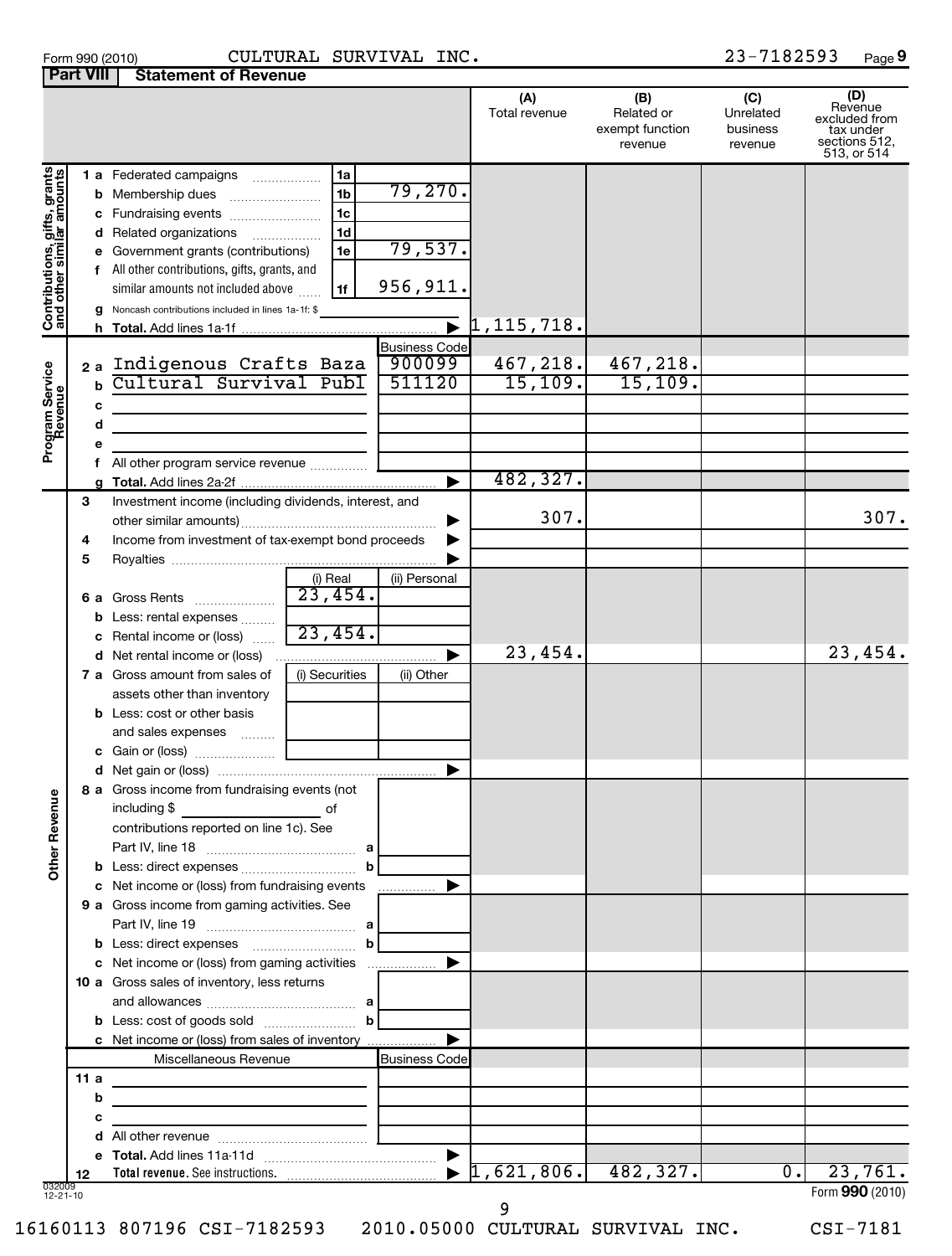| Form 990 (2010) | <b>CULTURA</b>                          |
|-----------------|-----------------------------------------|
|                 | <b>Part VIII   Statement of Revenue</b> |

## Form 990 (2010) CULTURAL SURVIVAL INC. 23-7182593 Page

23-7182593 Page 9

|                                                           |      |                                                                                   |                       |                       | (A)<br>Total revenue         | (B)<br>Related or          | (C)<br>Unrelated    | (D)<br>Revenue<br>excluded from           |
|-----------------------------------------------------------|------|-----------------------------------------------------------------------------------|-----------------------|-----------------------|------------------------------|----------------------------|---------------------|-------------------------------------------|
|                                                           |      |                                                                                   |                       |                       |                              | exempt function<br>revenue | business<br>revenue | tax under<br>sections 512,<br>513, or 514 |
|                                                           |      | 1 a Federated campaigns                                                           | 1a                    |                       |                              |                            |                     |                                           |
|                                                           |      | <b>b</b> Membership dues                                                          | 1 <sub>b</sub>        | 79,270.               |                              |                            |                     |                                           |
| Contributions, gifts, grants<br>and other similar amounts |      | c Fundraising events                                                              | 1 <sub>c</sub>        |                       |                              |                            |                     |                                           |
|                                                           |      | d Related organizations                                                           | 1 <sub>d</sub>        | 79,537.               |                              |                            |                     |                                           |
|                                                           |      | e Government grants (contributions)                                               | 1e                    |                       |                              |                            |                     |                                           |
|                                                           |      | All other contributions, gifts, grants, and<br>similar amounts not included above | 1f                    | 956,911.              |                              |                            |                     |                                           |
|                                                           |      | <b>g</b> Noncash contributions included in lines 1a-1f: \$                        |                       |                       |                              |                            |                     |                                           |
|                                                           |      |                                                                                   |                       |                       | $\bar{\bullet}$ 1, 115, 718. |                            |                     |                                           |
|                                                           |      |                                                                                   |                       | <b>Business Code</b>  |                              |                            |                     |                                           |
|                                                           |      | 2a Indigenous Crafts Baza                                                         |                       | 900099                | 467,218.                     | 467,218.                   |                     |                                           |
|                                                           | b    | Cultural Survival Publ                                                            |                       | 511120                | 15, 109.                     | 15, 109.                   |                     |                                           |
|                                                           | с    |                                                                                   |                       |                       |                              |                            |                     |                                           |
|                                                           | d    |                                                                                   |                       |                       |                              |                            |                     |                                           |
| Program Service<br>Revenue                                |      |                                                                                   |                       |                       |                              |                            |                     |                                           |
|                                                           |      | All other program service revenue                                                 |                       |                       | 482,327.                     |                            |                     |                                           |
|                                                           | 3    | Investment income (including dividends, interest, and                             |                       |                       |                              |                            |                     |                                           |
|                                                           |      |                                                                                   |                       | ▶                     | 307.                         |                            |                     | 307.                                      |
|                                                           | 4    | Income from investment of tax-exempt bond proceeds                                |                       |                       |                              |                            |                     |                                           |
|                                                           | 5    |                                                                                   |                       |                       |                              |                            |                     |                                           |
|                                                           |      |                                                                                   | (i) Real              | (ii) Personal         |                              |                            |                     |                                           |
|                                                           |      | 6 a Gross Rents                                                                   | $\overline{23,454}$ . |                       |                              |                            |                     |                                           |
|                                                           |      | <b>b</b> Less: rental expenses                                                    |                       |                       |                              |                            |                     |                                           |
|                                                           |      | c Rental income or (loss)                                                         | 23,454.               |                       |                              |                            |                     |                                           |
|                                                           |      | d Net rental income or (loss)                                                     |                       |                       | 23,454.                      |                            |                     | 23,454.                                   |
|                                                           |      | <b>7 a</b> Gross amount from sales of                                             | (i) Securities        | (ii) Other            |                              |                            |                     |                                           |
|                                                           |      | assets other than inventory<br><b>b</b> Less: cost or other basis                 |                       |                       |                              |                            |                     |                                           |
|                                                           |      | and sales expenses                                                                |                       |                       |                              |                            |                     |                                           |
|                                                           |      |                                                                                   |                       |                       |                              |                            |                     |                                           |
|                                                           |      |                                                                                   |                       |                       |                              |                            |                     |                                           |
| ٩                                                         |      | 8 a Gross income from fundraising events (not                                     |                       |                       |                              |                            |                     |                                           |
|                                                           |      | including \$                                                                      | of                    |                       |                              |                            |                     |                                           |
|                                                           |      | contributions reported on line 1c). See                                           |                       |                       |                              |                            |                     |                                           |
| Other Reven                                               |      |                                                                                   |                       |                       |                              |                            |                     |                                           |
|                                                           |      |                                                                                   | b                     |                       |                              |                            |                     |                                           |
|                                                           |      | c Net income or (loss) from fundraising events                                    |                       | .                     |                              |                            |                     |                                           |
|                                                           |      | 9 a Gross income from gaming activities. See                                      |                       |                       |                              |                            |                     |                                           |
|                                                           |      |                                                                                   | $\mathbf b$           |                       |                              |                            |                     |                                           |
|                                                           |      | c Net income or (loss) from gaming activities                                     |                       |                       |                              |                            |                     |                                           |
|                                                           |      | 10 a Gross sales of inventory, less returns                                       |                       |                       |                              |                            |                     |                                           |
|                                                           |      |                                                                                   |                       |                       |                              |                            |                     |                                           |
|                                                           |      |                                                                                   | $\mathbf{b}$          |                       |                              |                            |                     |                                           |
|                                                           |      | c Net income or (loss) from sales of inventory                                    |                       |                       |                              |                            |                     |                                           |
|                                                           |      | Miscellaneous Revenue                                                             |                       | <b>Business Code</b>  |                              |                            |                     |                                           |
|                                                           | 11 a | <u> 1989 - Johann Barbara, martxa alemaniar a</u>                                 |                       |                       |                              |                            |                     |                                           |
|                                                           | b    | <u> 1989 - Johann Barn, mars an t-Amerikaansk politiker (</u>                     |                       |                       |                              |                            |                     |                                           |
|                                                           |      | the control of the control of the control of the control of                       |                       |                       |                              |                            |                     |                                           |
|                                                           |      |                                                                                   |                       | ▶                     |                              |                            |                     |                                           |
|                                                           | 12   |                                                                                   |                       | $\blacktriangleright$ | 1,621,806.                   | 482, 327.                  | $\overline{0}$ .    | 23,761.                                   |
| 032009<br>$12 - 21 - 10$                                  |      |                                                                                   |                       |                       |                              |                            |                     | Form 990 (2010)                           |
|                                                           |      |                                                                                   |                       |                       | 9                            |                            |                     |                                           |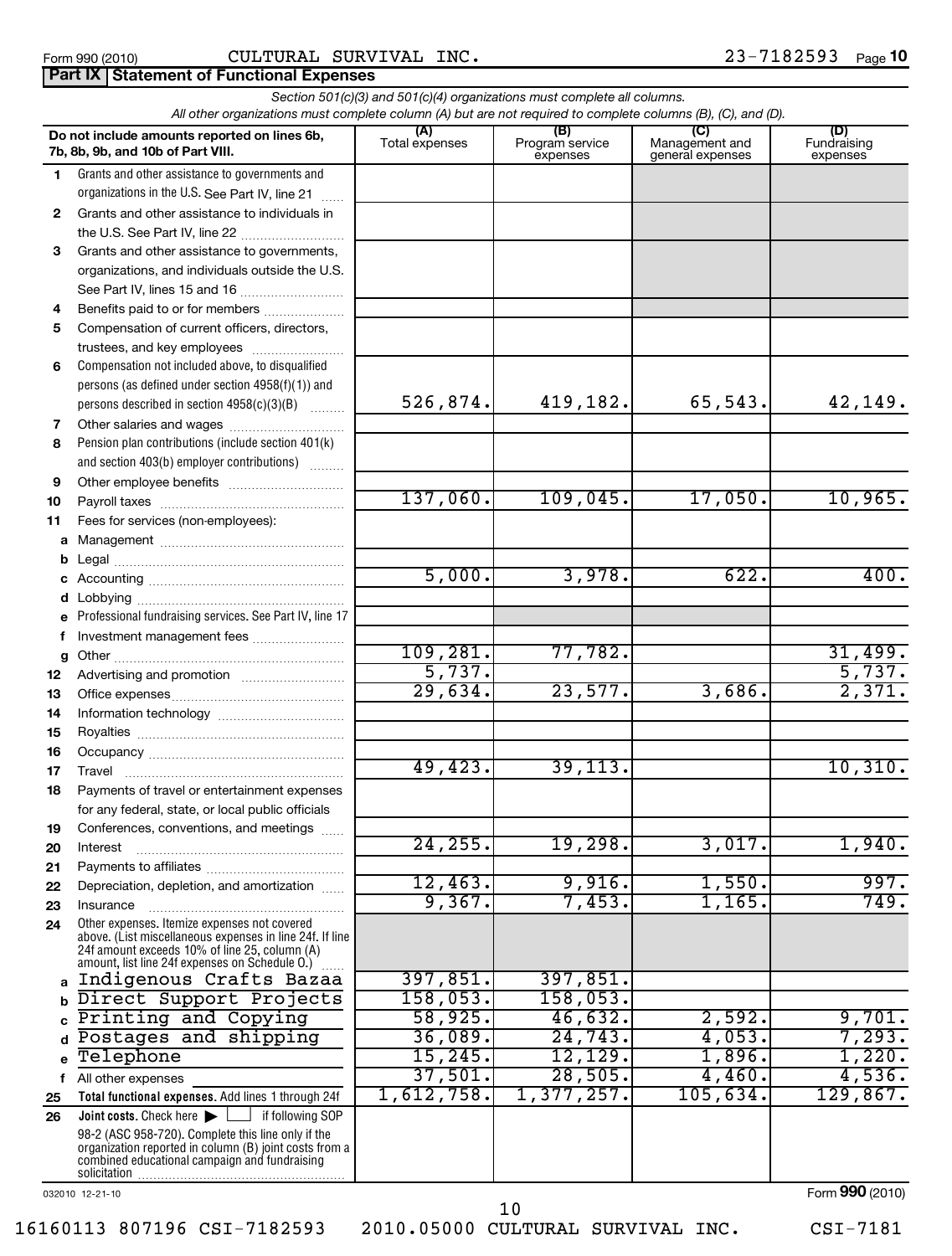## Form 990 (2010) CULTURAL SURVIVAL INC . 23-7182593 Page **Part IX Statement of Functional Expenses**

|              | All other organizations must complete column (A) but are not required to complete columns (B), (C), and (D). |                       | Section 501(c)(3) and 501(c)(4) organizations must complete all columns. |                                           |                                |
|--------------|--------------------------------------------------------------------------------------------------------------|-----------------------|--------------------------------------------------------------------------|-------------------------------------------|--------------------------------|
|              | Do not include amounts reported on lines 6b,<br>7b, 8b, 9b, and 10b of Part VIII.                            | (A)<br>Total expenses | (B)<br>Program service<br>expenses                                       | (C)<br>Management and<br>general expenses | (D)<br>Fundraising<br>expenses |
| 1.           | Grants and other assistance to governments and                                                               |                       |                                                                          |                                           |                                |
|              | organizations in the U.S. See Part IV, line 21<br>.                                                          |                       |                                                                          |                                           |                                |
| $\mathbf{2}$ | Grants and other assistance to individuals in                                                                |                       |                                                                          |                                           |                                |
|              | the U.S. See Part IV, line 22                                                                                |                       |                                                                          |                                           |                                |
| 3            | Grants and other assistance to governments,                                                                  |                       |                                                                          |                                           |                                |
|              | organizations, and individuals outside the U.S.                                                              |                       |                                                                          |                                           |                                |
|              |                                                                                                              |                       |                                                                          |                                           |                                |
| 4            | Benefits paid to or for members                                                                              |                       |                                                                          |                                           |                                |
| 5            | Compensation of current officers, directors,                                                                 |                       |                                                                          |                                           |                                |
|              | trustees, and key employees                                                                                  |                       |                                                                          |                                           |                                |
| 6            | Compensation not included above, to disqualified                                                             |                       |                                                                          |                                           |                                |
|              | persons (as defined under section 4958(f)(1)) and                                                            | 526,874.              | 419,182.                                                                 | 65,543.                                   |                                |
|              | persons described in section 4958(c)(3)(B)                                                                   |                       |                                                                          |                                           | 42,149.                        |
| 7<br>8       | Other salaries and wages<br>Pension plan contributions (include section 401(k)                               |                       |                                                                          |                                           |                                |
|              | and section 403(b) employer contributions)                                                                   |                       |                                                                          |                                           |                                |
| 9            |                                                                                                              |                       |                                                                          |                                           |                                |
| 10           |                                                                                                              | 137,060.              | 109,045.                                                                 | 17,050.                                   | 10,965.                        |
| 11           | Fees for services (non-employees):                                                                           |                       |                                                                          |                                           |                                |
| a            |                                                                                                              |                       |                                                                          |                                           |                                |
| b            |                                                                                                              |                       |                                                                          |                                           |                                |
| c            |                                                                                                              | 5,000.                | 3,978.                                                                   | 622.                                      | 400.                           |
| d            |                                                                                                              |                       |                                                                          |                                           |                                |
| e            | Professional fundraising services. See Part IV, line 17                                                      |                       |                                                                          |                                           |                                |
| f            | Investment management fees                                                                                   | 109, 281.             |                                                                          |                                           |                                |
| g            |                                                                                                              | 5,737.                | 77,782.                                                                  |                                           | 31,499.<br>5,737.              |
| 12           |                                                                                                              | 29,634.               | 23,577.                                                                  | 3,686.                                    | 2,371.                         |
| 13<br>14     |                                                                                                              |                       |                                                                          |                                           |                                |
| 15           |                                                                                                              |                       |                                                                          |                                           |                                |
| 16           |                                                                                                              |                       |                                                                          |                                           |                                |
| 17           | Travel                                                                                                       | 49,423.               | 39, 113.                                                                 |                                           | 10, 310.                       |
| 18           | Payments of travel or entertainment expenses                                                                 |                       |                                                                          |                                           |                                |
|              | for any federal, state, or local public officials                                                            |                       |                                                                          |                                           |                                |
| 19           | Conferences, conventions, and meetings                                                                       |                       |                                                                          |                                           |                                |
| 20           | Interest                                                                                                     | 24, 255.              | 19,298.                                                                  | 3,017.                                    | 1,940.                         |
| 21           |                                                                                                              |                       |                                                                          |                                           |                                |
| 22           | Depreciation, depletion, and amortization                                                                    | 12,463.<br>9,367.     | 9,916.<br>7,453.                                                         | 1,550.<br>1,165.                          | 997.<br>749.                   |
| 23           | Insurance<br>Other expenses. Itemize expenses not covered                                                    |                       |                                                                          |                                           |                                |
| 24           | above. (List miscellaneous expenses in line 24f. If line                                                     |                       |                                                                          |                                           |                                |
|              | 24f amount exceeds 10% of line 25, column (A)<br>amount, list line 24f expenses on Schedule O.)              |                       |                                                                          |                                           |                                |
| a            | Indigenous Crafts Bazaa                                                                                      | 397,851.              | 397,851.                                                                 |                                           |                                |
|              | Direct Support Projects                                                                                      | 158,053.              | 158,053.                                                                 |                                           |                                |
|              | Printing and Copying                                                                                         | 58,925.               | 46,632.                                                                  | 2,592.                                    | 9,701.                         |
| d            | Postages and shipping                                                                                        | 36,089.               | 24,743.                                                                  | 4,053.                                    | 7,293.                         |
| e            | Telephone                                                                                                    | 15, 245.              | 12, 129.                                                                 | 1,896.                                    | 1,220.                         |
| f            | All other expenses                                                                                           | 37,501.               | 28,505.                                                                  | 4,460.                                    | 4,536.                         |
| 25           | Total functional expenses. Add lines 1 through 24f                                                           | 1,612,758.            | 1,377,257.                                                               | 105,634.                                  | 129,867.                       |
| 26           | Joint costs. Check here<br>if following SOP                                                                  |                       |                                                                          |                                           |                                |
|              | 98-2 (ASC 958-720). Complete this line only if the<br>organization reported in column (B) joint costs from a |                       |                                                                          |                                           |                                |
|              | combined educational campaign and fundraising                                                                |                       |                                                                          |                                           |                                |
|              |                                                                                                              |                       |                                                                          |                                           |                                |

032010 12-21-10

Form (2010) **990**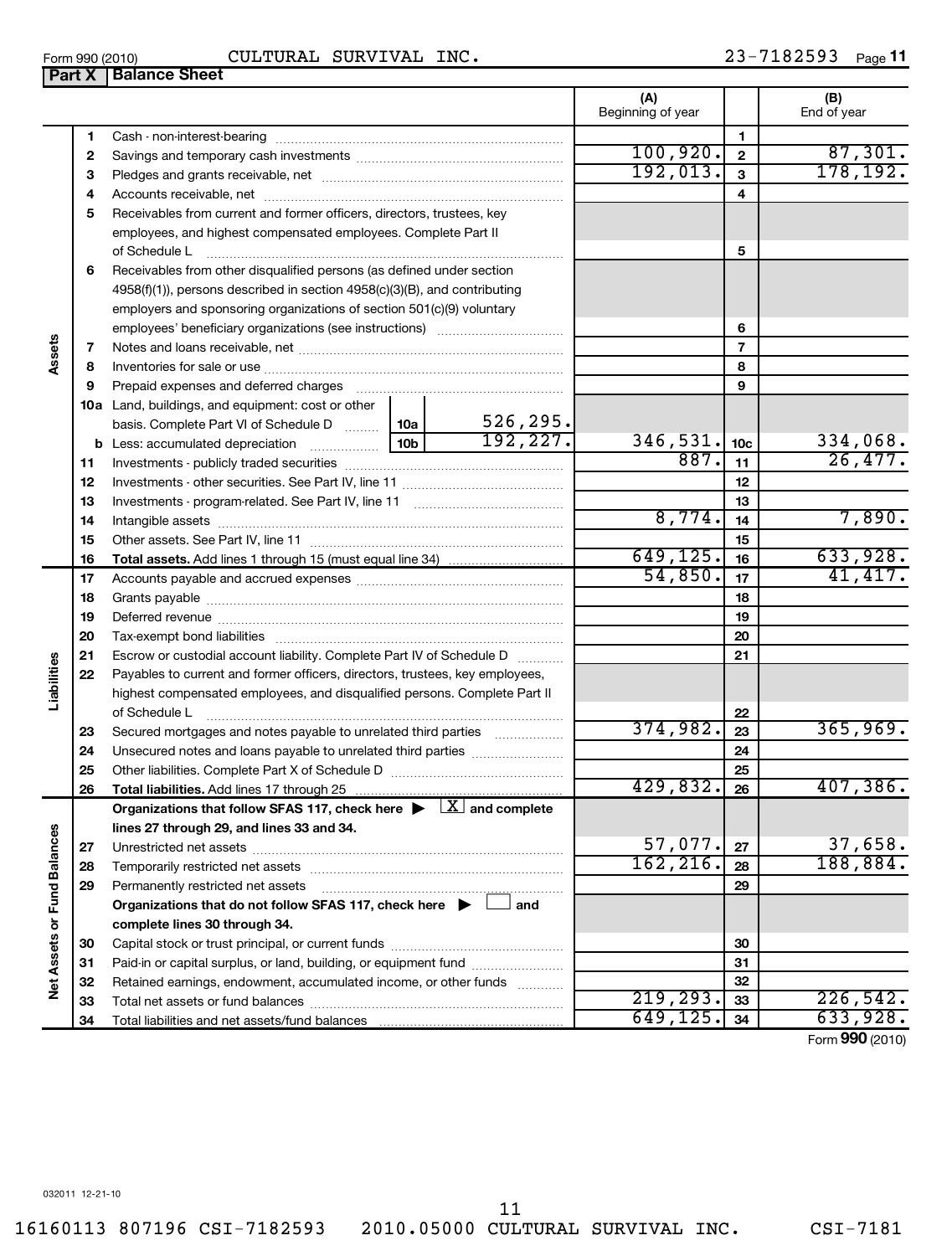16160113 807196 CSI-7182593 2010.05000 CULTURAL SURVIVAL INC. CSI-7181

**Part X Balance Sheet** 

|                             |    |                                                                                                                             |          |                         | Beginning of year |                         | End of year |
|-----------------------------|----|-----------------------------------------------------------------------------------------------------------------------------|----------|-------------------------|-------------------|-------------------------|-------------|
|                             | 1  |                                                                                                                             |          |                         |                   | 1                       |             |
|                             | 2  |                                                                                                                             |          |                         | 100, 920.         | $\overline{\mathbf{2}}$ | 87,301.     |
|                             | З  |                                                                                                                             | 192,013. | $\overline{\mathbf{3}}$ | 178,192.          |                         |             |
|                             | 4  |                                                                                                                             |          |                         | 4                 |                         |             |
|                             | 5  | Receivables from current and former officers, directors, trustees, key                                                      |          |                         |                   |                         |             |
|                             |    | employees, and highest compensated employees. Complete Part II                                                              |          |                         |                   |                         |             |
|                             |    | of Schedule L                                                                                                               |          | 5                       |                   |                         |             |
|                             | 6  | Receivables from other disqualified persons (as defined under section                                                       |          |                         |                   |                         |             |
|                             |    | 4958(f)(1)), persons described in section 4958(c)(3)(B), and contributing                                                   |          |                         |                   |                         |             |
|                             |    | employers and sponsoring organizations of section 501(c)(9) voluntary                                                       |          |                         |                   |                         |             |
|                             |    |                                                                                                                             |          |                         |                   | 6                       |             |
|                             | 7  |                                                                                                                             |          |                         |                   | $\overline{7}$          |             |
| Assets                      | 8  |                                                                                                                             |          |                         |                   | 8                       |             |
|                             | 9  | Prepaid expenses and deferred charges                                                                                       |          |                         |                   | 9                       |             |
|                             |    | 10a Land, buildings, and equipment: cost or other                                                                           |          |                         |                   |                         |             |
|                             |    | basis. Complete Part VI of Schedule D  10a                                                                                  |          | 526,295.                |                   |                         |             |
|                             |    | <b>b</b> Less: accumulated depreciation                                                                                     | 10b      | 192, 227.               | 346,531.          | 10 <sub>c</sub>         | 334,068.    |
|                             | 11 |                                                                                                                             |          |                         | 887.              | 11                      | 26,477.     |
|                             | 12 |                                                                                                                             |          |                         |                   | 12                      |             |
|                             | 13 |                                                                                                                             |          |                         |                   | 13                      |             |
|                             | 14 |                                                                                                                             |          |                         | 8,774.            | 14                      | 7,890.      |
|                             | 15 |                                                                                                                             |          |                         |                   | 15                      |             |
|                             | 16 | <b>Total assets.</b> Add lines 1 through 15 (must equal line 34) <i></i>                                                    |          |                         | 649, 125.         | 16                      | 633,928.    |
|                             | 17 |                                                                                                                             | 54,850.  | 17                      | 41,417.           |                         |             |
|                             | 18 |                                                                                                                             |          | 18                      |                   |                         |             |
|                             | 19 |                                                                                                                             |          |                         |                   | 19                      |             |
|                             | 20 |                                                                                                                             |          |                         |                   | 20                      |             |
|                             | 21 | Escrow or custodial account liability. Complete Part IV of Schedule D                                                       |          |                         |                   | 21                      |             |
| Liabilities                 | 22 | Payables to current and former officers, directors, trustees, key employees,                                                |          |                         |                   |                         |             |
|                             |    | highest compensated employees, and disqualified persons. Complete Part II                                                   |          |                         |                   |                         |             |
|                             |    | of Schedule L                                                                                                               |          |                         |                   | 22                      |             |
|                             | 23 | Secured mortgages and notes payable to unrelated third parties                                                              |          |                         | 374,982.          | 23                      | 365,969.    |
|                             | 24 | Unsecured notes and loans payable to unrelated third parties                                                                |          |                         |                   | 24                      |             |
|                             | 25 |                                                                                                                             |          |                         |                   | 25                      |             |
|                             | 26 | Total liabilities. Add lines 17 through 25                                                                                  |          |                         | 429,832.          | 26                      | 407,386.    |
|                             |    | Organizations that follow SFAS 117, check here $\blacktriangleright \begin{array}{c} \boxed{X} \\ \end{array}$ and complete |          |                         |                   |                         |             |
|                             |    | lines 27 through 29, and lines 33 and 34.                                                                                   |          |                         | 57,077.           |                         | 37,658.     |
|                             | 27 |                                                                                                                             |          |                         | 162, 216.         | 27                      | 188, 884.   |
|                             | 28 | Temporarily restricted net assets                                                                                           |          | 28                      |                   |                         |             |
|                             | 29 | Permanently restricted net assets                                                                                           |          | 29                      |                   |                         |             |
|                             |    | Organizations that do not follow SFAS 117, check here $\blacktriangleright$                                                 | and      |                         |                   |                         |             |
|                             |    | complete lines 30 through 34.                                                                                               |          |                         |                   |                         |             |
|                             | 30 |                                                                                                                             |          | 30                      |                   |                         |             |
|                             | 31 | Paid-in or capital surplus, or land, building, or equipment fund                                                            |          |                         |                   | 31<br>32                |             |
| Net Assets or Fund Balances | 32 | Retained earnings, endowment, accumulated income, or other funds                                                            |          |                         | 219, 293.         | 33                      | 226,542.    |
|                             | 33 |                                                                                                                             |          |                         | 649, 125.         | 34                      | 633,928.    |
|                             | 34 |                                                                                                                             |          |                         |                   |                         |             |

**(A) (B)**

Form (2010) **990**

11

|  | Form 990 (2010) |  |
|--|-----------------|--|
|  |                 |  |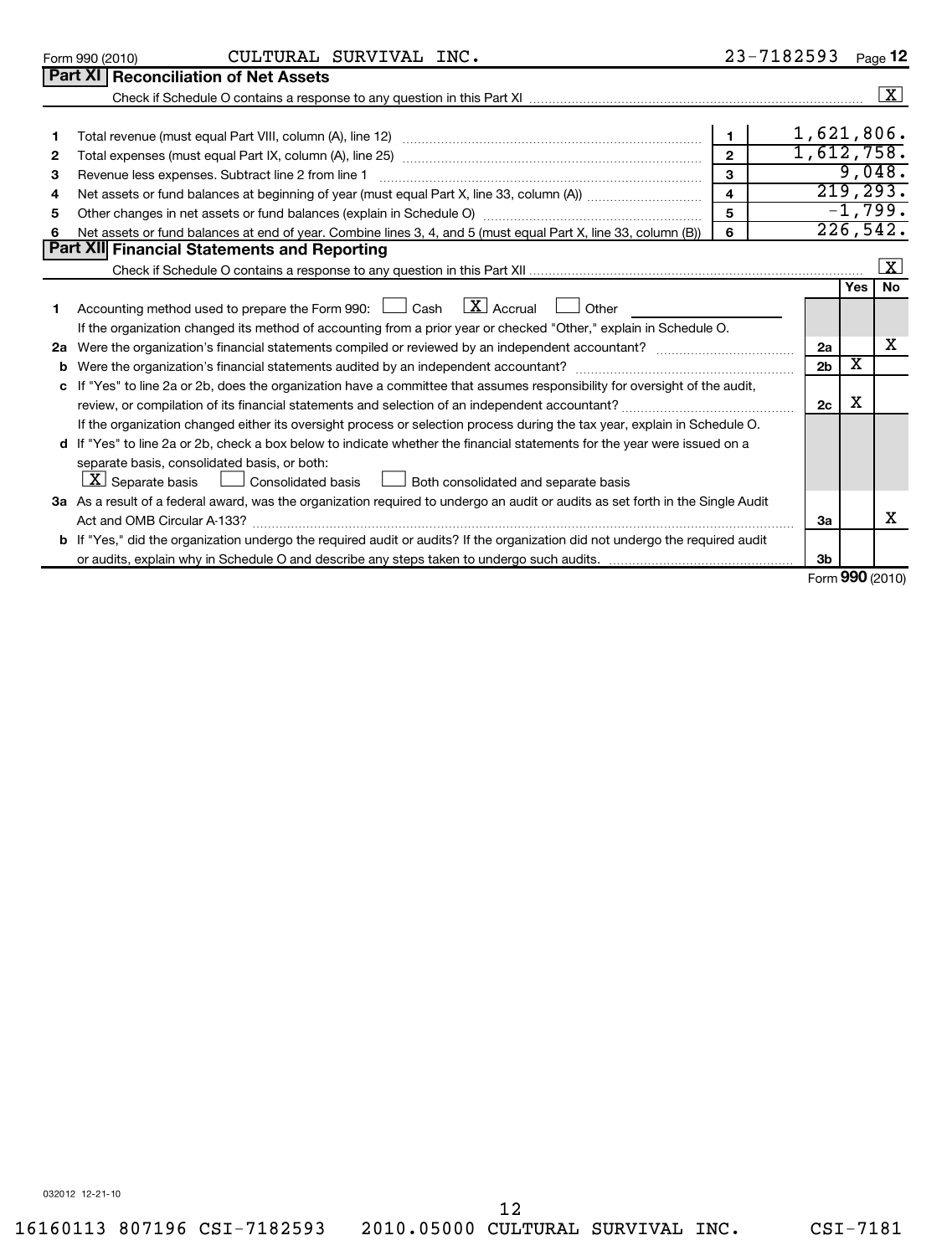|    | CULTURAL SURVIVAL INC.<br>Form 990 (2010)                                                                                            |                         | 23-7182593     |                         | Page 12              |  |
|----|--------------------------------------------------------------------------------------------------------------------------------------|-------------------------|----------------|-------------------------|----------------------|--|
|    | Part XI   Reconciliation of Net Assets                                                                                               |                         |                |                         |                      |  |
|    |                                                                                                                                      |                         |                |                         | $\boxed{\text{X}}$   |  |
|    |                                                                                                                                      |                         |                |                         |                      |  |
| 1  |                                                                                                                                      | $\mathbf{1}$            | 1,621,806.     |                         |                      |  |
| 2  |                                                                                                                                      | $\overline{2}$          | 1,612,758.     |                         |                      |  |
| 3  | Revenue less expenses. Subtract line 2 from line 1                                                                                   | 3                       |                |                         | 9,048.               |  |
| 4  |                                                                                                                                      | $\overline{\mathbf{4}}$ |                |                         | 219,293.             |  |
| 5  |                                                                                                                                      | 5                       |                |                         | $-1,799.$            |  |
| 6  | Net assets or fund balances at end of year. Combine lines 3, 4, and 5 (must equal Part X, line 33, column (B))                       | 6                       |                |                         | 226,542.             |  |
|    | Part XII Financial Statements and Reporting                                                                                          |                         |                |                         |                      |  |
|    |                                                                                                                                      |                         |                |                         | $\boxed{\mathbf{x}}$ |  |
|    |                                                                                                                                      |                         |                | <b>Yes</b>              | No                   |  |
| 1. | Accounting method used to prepare the Form 990: $\Box$ Cash $\Box X$ Accrual $\Box$<br>Other                                         |                         |                |                         |                      |  |
|    | If the organization changed its method of accounting from a prior year or checked "Other," explain in Schedule O.                    |                         |                |                         |                      |  |
| 2a |                                                                                                                                      |                         | 2a             |                         | x                    |  |
| b  |                                                                                                                                      |                         | 2 <sub>b</sub> | $\overline{\textbf{x}}$ |                      |  |
|    | c If "Yes" to line 2a or 2b, does the organization have a committee that assumes responsibility for oversight of the audit,          |                         |                |                         |                      |  |
|    |                                                                                                                                      |                         | 2c             | х                       |                      |  |
|    | If the organization changed either its oversight process or selection process during the tax year, explain in Schedule O.            |                         |                |                         |                      |  |
|    | d If "Yes" to line 2a or 2b, check a box below to indicate whether the financial statements for the year were issued on a            |                         |                |                         |                      |  |
|    | separate basis, consolidated basis, or both:                                                                                         |                         |                |                         |                      |  |
|    | $ \mathbf{X} $ Separate basis<br>Consolidated basis <u>L</u> J Both consolidated and separate basis                                  |                         |                |                         |                      |  |
|    | 3a As a result of a federal award, was the organization required to undergo an audit or audits as set forth in the Single Audit      |                         |                |                         |                      |  |
|    |                                                                                                                                      |                         | За             |                         | х                    |  |
|    | <b>b</b> If "Yes," did the organization undergo the required audit or audits? If the organization did not undergo the required audit |                         |                |                         |                      |  |
|    |                                                                                                                                      |                         | 3 <sub>b</sub> |                         |                      |  |
|    |                                                                                                                                      |                         |                |                         | Form 990 (2010)      |  |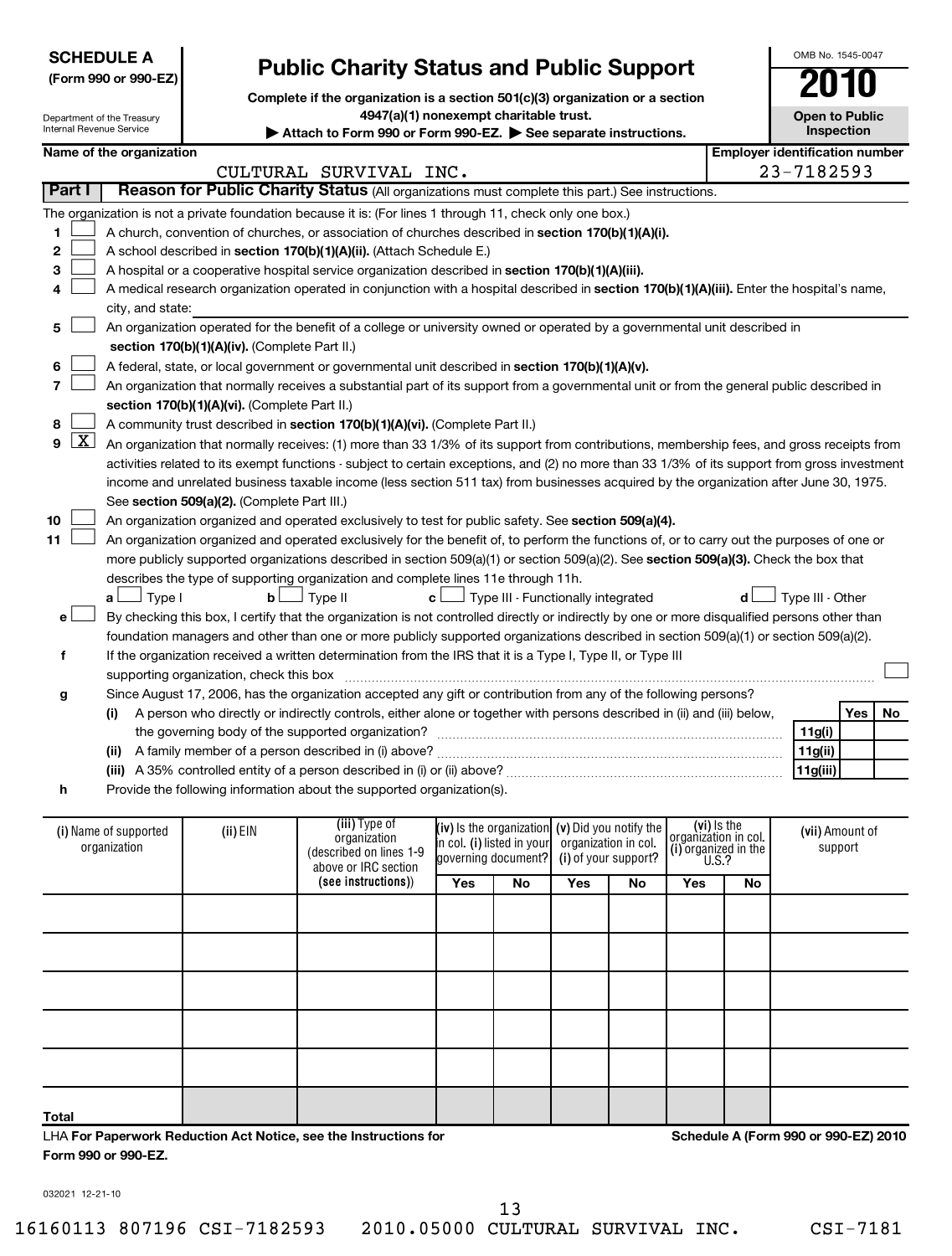| <b>SCHEDULE A</b>    |  |
|----------------------|--|
| (Form 990 or 990-FZ) |  |

Department of the Treasury

|                                                                               | UIVID INU. 1040-004 |
|-------------------------------------------------------------------------------|---------------------|
| <b>Public Charity Status and Public Support</b>                               | 2010                |
| Complete if the organization is a section 501(c)(3) organization or a section |                     |

**4947(a)(1) nonexempt charitable trust.**

Internal Revenue Service **(iii)**  Type of **(see instructions)** ) **(iv)**  Is the organization **i**n col. **(i)** listed in your **(v)**  Did you notify the **(i)**  of your support? **(vi)** Is the **(i)**  (i) Name of supported **(ii)** EIN (ii)  $\frac{1}{2}$  croanization (IV) Is the organization (V) Did you notify the croanization in col Attach to Form 990 or Form 990-EZ. See separate instructions. **Inspection Name of the organization Employer identification number 1 2 3 4 5 6 7 8 9 10 11** A church, convention of churches, or association of churches described in section 170(b)(1)(A)(i). A school described in **section 170(b)(1)(A)(ii).** (Attach Schedule E.) A hospital or a cooperative hospital service organization described in section 170(b)(1)(A)(iii). A medical research organization operated in conjunction with a hospital described in **section 170(b)(1)(A)(iii).** Enter the hospital's name, **section 170(b)(1)(A)(iv).**  (Complete Part II.) A federal, state, or local government or governmental unit described in **section 170(b)(1)(A)(v). section 170(b)(1)(A)(vi).** (Complete Part II.) A community trust described in **section 170(b)(1)(A)(vi).** (Complete Part II.) See s**ection 509(a)(2).** (Complete Part III.) An organization organized and operated exclusively to test for public safety. See **section 509(a)(4).** more publicly supported organizations described in section 509(a)(1) or section 509(a)(2). See **section 509(a)(3).** Check the box that **a b c d** Type I Type II Type III - Functionally integrated Type III - Other † † † † **e f g h (i) (ii)** A family member of a person described in (i) above? ~~~~~~~~~~~~~~~~~~~~~~~~~~~~~~ **(iii)** A 35% controlled entity of a person described in (i) or (ii) above? ~~~~~~~~~~~~~~~~~~~~~~~~ **Yes No 11g(i) 11g(ii) 11g(iii) Yes No Yes No Yes No** organization (described on lines 1-9 above or IRC section governing document? organization in col. organization in col.<br>(i) organized in the<br>U.S.? organization (ii) EIN  $\begin{bmatrix} \text{tr}(x) & \text{tr}(y) & \text{tr}(y) \end{bmatrix}$  (iv) is the organization (v) Did you notify the  $\begin{bmatrix} \text{tr}(y) & \text{tr}(y) & \text{tr}(y) \end{bmatrix}$  (vii) Amount of support **Part I** | Reason for Public Charity Status (All organizations must complete this part.) See instructions. The organization is not a private foundation because it is: (For lines 1 through 11, check only one box.) city, and state: An organization operated for the benefit of a college or university owned or operated by a governmental unit described in An organization that normally receives a substantial part of its support from a governmental unit or from the general public described in An organization that normally receives: (1) more than 33 1/3% of its support from contributions, membership fees, and gross receipts from activities related to its exempt functions - subject to certain exceptions, and (2) no more than 33 1/3% of its support from gross investment income and unrelated business taxable income (less section 511 tax) from businesses acquired by the organization after June 30, 1975. An organization organized and operated exclusively for the benefit of, to perform the functions of, or to carry out the purposes of one or describes the type of supporting organization and complete lines 11e through 11h. By checking this box, I certify that the organization is not controlled directly or indirectly by one or more disqualified persons other than foundation managers and other than one or more publicly supported organizations described in section 509(a)(1) or section 509(a)(2). If the organization received a written determination from the IRS that it is a Type I, Type II, or Type III supporting organization, check this box ~~~~~~~~~~~~~~~~~~~~~~~~~~~~~~~~~~~~~~~~~~~~~~ Since August 17, 2006, has the organization accepted any gift or contribution from any of the following persons? A person who directly or indirectly controls, either alone or together with persons described in (ii) and (iii) below, the governing body of the supported organization? ~~~~~~~~~~~~~~~~~~~~~~~~~~~~~~ Provide the following information about the supported organization(s).  $\sim$  $\sim$  $\sim$  $\sim$  $\sim$  $\sim$  $\sim$  $\sim$  $\lfloor x \rfloor$  $\sim$  $\sim$ †  $\left\vert \cdot\right\vert$ CULTURAL SURVIVAL INC. 23-7182593

| Total |  |  |  |  |  |
|-------|--|--|--|--|--|
|       |  |  |  |  |  |
|       |  |  |  |  |  |
|       |  |  |  |  |  |
|       |  |  |  |  |  |

LHA **For Paperwork Reduction Act Notice, see the Instructions for Form 990 or 990-EZ.**

**Schedule A (Form 990 or 990-EZ) 2010**

032021 12-21-10

13

16160113 807196 CSI-7182593 2010.05000 CULTURAL SURVIVAL INC. CSI-7181

OMB No. 1545-0047

**Open to Public**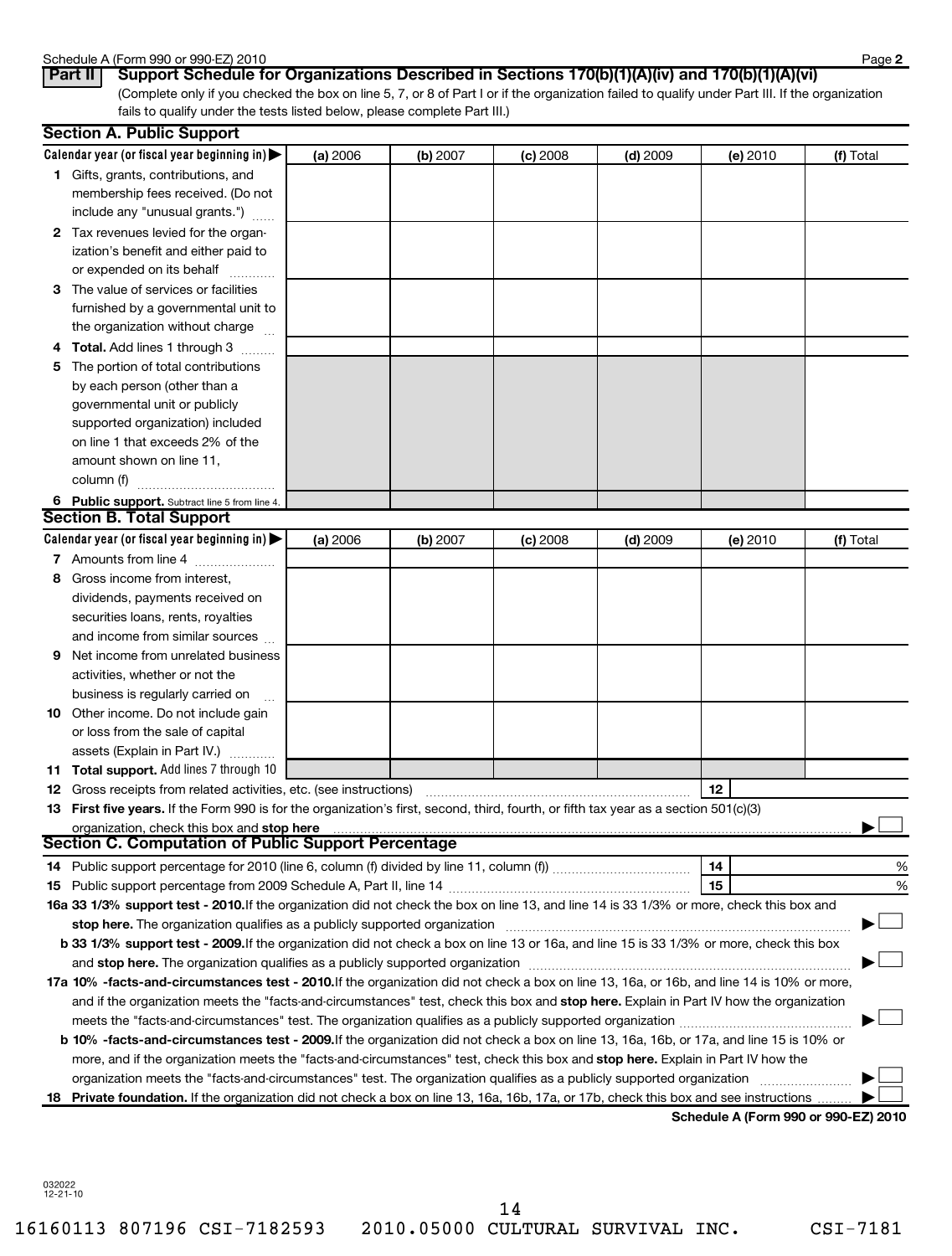### Schedule A (Form 990 or 990-EZ) 2010

| <b>PUBLISHE A (LOITE AGE</b>              |              |  |  |
|-------------------------------------------|--------------|--|--|
| $\sim$ $\sim$ $\sim$ $\sim$ $\sim$ $\sim$ | $\mathbf{a}$ |  |  |

(Complete only if you checked the box on line 5, 7, or 8 of Part I or if the organization failed to qualify under Part III. If the organization fails to qualify under the tests listed below, please complete Part III.) **Part II Support Schedule for Organizations Described in Sections 170(b)(1)(A)(iv) and 170(b)(1)(A)(vi)**

|    | <b>Section A. Public Support</b>                                                                                                           |          |          |            |            |          |           |
|----|--------------------------------------------------------------------------------------------------------------------------------------------|----------|----------|------------|------------|----------|-----------|
|    | Calendar year (or fiscal year beginning in) $\blacktriangleright$                                                                          | (a) 2006 | (b) 2007 | $(c)$ 2008 | $(d)$ 2009 | (e) 2010 | (f) Total |
|    | 1 Gifts, grants, contributions, and<br>membership fees received. (Do not                                                                   |          |          |            |            |          |           |
|    | include any "unusual grants.")                                                                                                             |          |          |            |            |          |           |
|    | 2 Tax revenues levied for the organ-                                                                                                       |          |          |            |            |          |           |
|    | ization's benefit and either paid to                                                                                                       |          |          |            |            |          |           |
|    | or expended on its behalf                                                                                                                  |          |          |            |            |          |           |
|    | 3 The value of services or facilities                                                                                                      |          |          |            |            |          |           |
|    | furnished by a governmental unit to                                                                                                        |          |          |            |            |          |           |
|    | the organization without charge                                                                                                            |          |          |            |            |          |           |
|    | <b>Total.</b> Add lines 1 through 3                                                                                                        |          |          |            |            |          |           |
| 5  | The portion of total contributions                                                                                                         |          |          |            |            |          |           |
|    | by each person (other than a                                                                                                               |          |          |            |            |          |           |
|    | governmental unit or publicly                                                                                                              |          |          |            |            |          |           |
|    | supported organization) included                                                                                                           |          |          |            |            |          |           |
|    | on line 1 that exceeds 2% of the                                                                                                           |          |          |            |            |          |           |
|    | amount shown on line 11,                                                                                                                   |          |          |            |            |          |           |
|    | column (f)                                                                                                                                 |          |          |            |            |          |           |
|    | 6 Public support. Subtract line 5 from line 4.                                                                                             |          |          |            |            |          |           |
|    | <b>Section B. Total Support</b>                                                                                                            |          |          |            |            |          |           |
|    | Calendar year (or fiscal year beginning in) $\blacktriangleright$                                                                          | (a) 2006 | (b) 2007 | $(c)$ 2008 | $(d)$ 2009 | (e) 2010 | (f) Total |
|    | 7 Amounts from line 4                                                                                                                      |          |          |            |            |          |           |
| 8  | Gross income from interest,                                                                                                                |          |          |            |            |          |           |
|    | dividends, payments received on                                                                                                            |          |          |            |            |          |           |
|    | securities loans, rents, royalties                                                                                                         |          |          |            |            |          |           |
|    | and income from similar sources                                                                                                            |          |          |            |            |          |           |
| 9  | Net income from unrelated business                                                                                                         |          |          |            |            |          |           |
|    | activities, whether or not the                                                                                                             |          |          |            |            |          |           |
|    | business is regularly carried on                                                                                                           |          |          |            |            |          |           |
| 10 | Other income. Do not include gain                                                                                                          |          |          |            |            |          |           |
|    | or loss from the sale of capital                                                                                                           |          |          |            |            |          |           |
|    | assets (Explain in Part IV.)                                                                                                               |          |          |            |            |          |           |
|    | 11 Total support. Add lines 7 through 10                                                                                                   |          |          |            |            |          |           |
|    | <b>12</b> Gross receipts from related activities, etc. (see instructions)                                                                  |          |          |            |            | 12       |           |
|    | 13 First five years. If the Form 990 is for the organization's first, second, third, fourth, or fifth tax year as a section 501(c)(3)      |          |          |            |            |          |           |
|    | organization, check this box and stop here                                                                                                 |          |          |            |            |          |           |
|    | <b>Section C. Computation of Public Support Percentage</b>                                                                                 |          |          |            |            |          |           |
|    |                                                                                                                                            |          |          |            |            | 14       | %         |
|    |                                                                                                                                            |          |          |            |            | 15       | %         |
|    | 16a 33 1/3% support test - 2010.If the organization did not check the box on line 13, and line 14 is 33 1/3% or more, check this box and   |          |          |            |            |          |           |
|    | stop here. The organization qualifies as a publicly supported organization                                                                 |          |          |            |            |          |           |
|    | b 33 1/3% support test - 2009. If the organization did not check a box on line 13 or 16a, and line 15 is 33 1/3% or more, check this box   |          |          |            |            |          |           |
|    |                                                                                                                                            |          |          |            |            |          |           |
|    | 17a 10% -facts-and-circumstances test - 2010. If the organization did not check a box on line 13, 16a, or 16b, and line 14 is 10% or more, |          |          |            |            |          |           |
|    | and if the organization meets the "facts-and-circumstances" test, check this box and stop here. Explain in Part IV how the organization    |          |          |            |            |          |           |
|    |                                                                                                                                            |          |          |            |            |          |           |
|    | b 10% -facts-and-circumstances test - 2009. If the organization did not check a box on line 13, 16a, 16b, or 17a, and line 15 is 10% or    |          |          |            |            |          |           |
|    | more, and if the organization meets the "facts-and-circumstances" test, check this box and stop here. Explain in Part IV how the           |          |          |            |            |          |           |
|    | organization meets the "facts-and-circumstances" test. The organization qualifies as a publicly supported organization                     |          |          |            |            |          |           |
| 18 | Private foundation. If the organization did not check a box on line 13, 16a, 16b, 17a, or 17b, check this box and see instructions         |          |          |            |            |          |           |
|    |                                                                                                                                            |          |          |            |            |          |           |

**Schedule A (Form 990 or 990-EZ) 2010**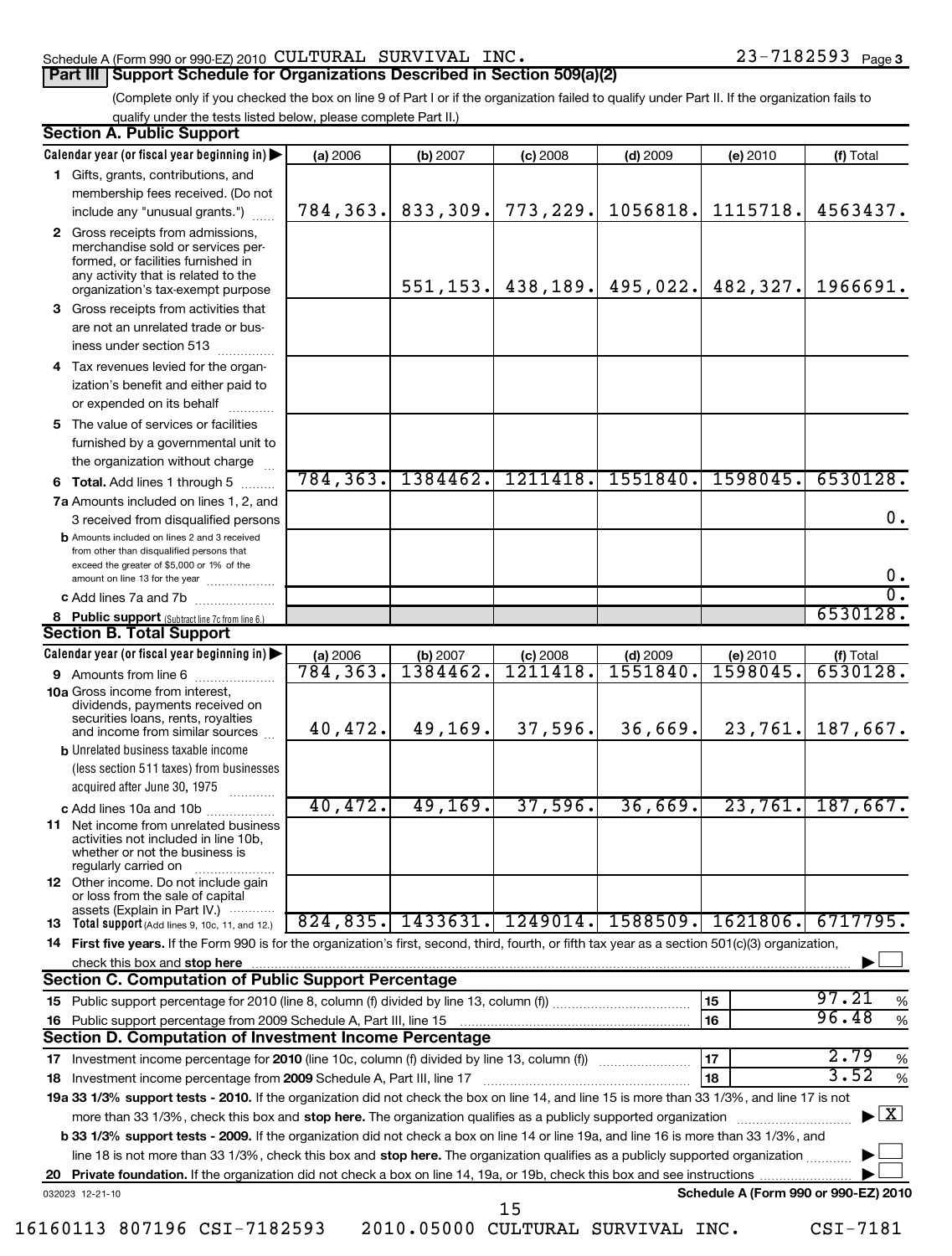### Schedule A (Form 990 or 990-EZ) 2010 Page CULTURAL SURVIVAL INC. 23-7182593 **Part III** Support Schedule for Organizations Described in Section 509(a)(2)

# (Complete only if you checked the box on line 9 of Part I or if the organization failed to qualify under Part II. If the organization fails to

qualify under the tests listed below, please complete Part II.)

|    | <b>Section A. Public Support</b>                                                                                                                                                         |                       |                      |                        |                       |                                      |                                          |
|----|------------------------------------------------------------------------------------------------------------------------------------------------------------------------------------------|-----------------------|----------------------|------------------------|-----------------------|--------------------------------------|------------------------------------------|
|    | Calendar year (or fiscal year beginning in)                                                                                                                                              | (a) 2006              | (b) 2007             | (c) 2008               | $(d)$ 2009            | (e) 2010                             | (f) Total                                |
|    | 1 Gifts, grants, contributions, and                                                                                                                                                      |                       |                      |                        |                       |                                      |                                          |
|    | membership fees received. (Do not                                                                                                                                                        |                       |                      |                        |                       |                                      |                                          |
|    | include any "unusual grants.")                                                                                                                                                           | 784, 363.             | 833,309.             | 773,229.               | 1056818.              | 1115718.                             | 4563437.                                 |
|    | 2 Gross receipts from admissions,<br>merchandise sold or services per-<br>formed, or facilities furnished in<br>any activity that is related to the<br>organization's tax-exempt purpose |                       | 551, 153.            |                        | $438, 189.$ 495, 022. | 482,327.                             | 1966691.                                 |
| 3  | Gross receipts from activities that                                                                                                                                                      |                       |                      |                        |                       |                                      |                                          |
|    | are not an unrelated trade or bus-<br>iness under section 513                                                                                                                            |                       |                      |                        |                       |                                      |                                          |
| 4  | Tax revenues levied for the organ-                                                                                                                                                       |                       |                      |                        |                       |                                      |                                          |
|    | ization's benefit and either paid to<br>or expended on its behalf                                                                                                                        |                       |                      |                        |                       |                                      |                                          |
| 5. | The value of services or facilities                                                                                                                                                      |                       |                      |                        |                       |                                      |                                          |
|    | furnished by a governmental unit to                                                                                                                                                      |                       |                      |                        |                       |                                      |                                          |
|    | the organization without charge                                                                                                                                                          |                       |                      |                        |                       |                                      |                                          |
|    | 6 Total. Add lines 1 through 5                                                                                                                                                           | 784,363.              | 1384462.             | 1211418.               | 1551840.              | 1598045.                             | 6530128.                                 |
|    | 7a Amounts included on lines 1, 2, and                                                                                                                                                   |                       |                      |                        |                       |                                      |                                          |
|    | 3 received from disqualified persons                                                                                                                                                     |                       |                      |                        |                       |                                      | 0.                                       |
|    | <b>b</b> Amounts included on lines 2 and 3 received<br>from other than disqualified persons that<br>exceed the greater of \$5,000 or 1% of the                                           |                       |                      |                        |                       |                                      |                                          |
|    | amount on line 13 for the year                                                                                                                                                           |                       |                      |                        |                       |                                      | 0.<br>$\overline{0}$ .                   |
|    | c Add lines 7a and 7b                                                                                                                                                                    |                       |                      |                        |                       |                                      | 6530128.                                 |
|    | 8 Public support (Subtract line 7c from line 6.)                                                                                                                                         |                       |                      |                        |                       |                                      |                                          |
|    | <b>Section B. Total Support</b>                                                                                                                                                          |                       |                      |                        |                       |                                      |                                          |
|    | Calendar year (or fiscal year beginning in)                                                                                                                                              | (a) 2006<br>784, 363. | (b) 2007<br>1384462. | $(c)$ 2008<br>1211418. | $(d)$ 2009<br>1551840 | (e) 2010<br>1598045                  | (f) Total<br>6530128.                    |
|    | <b>9</b> Amounts from line 6<br><b>10a</b> Gross income from interest,                                                                                                                   |                       |                      |                        |                       |                                      |                                          |
|    | dividends, payments received on<br>securities loans, rents, royalties                                                                                                                    |                       |                      |                        |                       |                                      |                                          |
|    | and income from similar sources                                                                                                                                                          | 40,472.               | 49,169.              | 37,596.                | 36,669.               | 23,761.                              | 187,667.                                 |
|    | <b>b</b> Unrelated business taxable income                                                                                                                                               |                       |                      |                        |                       |                                      |                                          |
|    | (less section 511 taxes) from businesses                                                                                                                                                 |                       |                      |                        |                       |                                      |                                          |
|    | acquired after June 30, 1975                                                                                                                                                             | 40,472.               | 49,169.              | 37,596.                |                       | 23,761.                              | 187,667.                                 |
|    | c Add lines 10a and 10b<br><b>11</b> Net income from unrelated business<br>activities not included in line 10b.                                                                          |                       |                      |                        | 36,669.               |                                      |                                          |
|    | whether or not the business is<br>regularly carried on                                                                                                                                   |                       |                      |                        |                       |                                      |                                          |
|    | <b>12</b> Other income. Do not include gain<br>or loss from the sale of capital<br>assets (Explain in Part IV.)                                                                          |                       |                      |                        |                       |                                      |                                          |
|    | 13 Total support (Add lines 9, 10c, 11, and 12.)                                                                                                                                         |                       | 824,835. 1433631.    |                        | 1249014. 1588509.     | 1621806.                             | 6717795.                                 |
|    | 14 First five years. If the Form 990 is for the organization's first, second, third, fourth, or fifth tax year as a section 501(c)(3) organization,                                      |                       |                      |                        |                       |                                      |                                          |
|    | check this box and stop here www.communications.communications.com/                                                                                                                      |                       |                      |                        |                       |                                      |                                          |
|    | <b>Section C. Computation of Public Support Percentage</b>                                                                                                                               |                       |                      |                        |                       |                                      |                                          |
| 15 |                                                                                                                                                                                          |                       |                      |                        |                       | 15                                   | 97.21<br>%                               |
| 16 |                                                                                                                                                                                          |                       |                      |                        |                       | 16                                   | 96.48<br>$\%$                            |
|    | Section D. Computation of Investment Income Percentage                                                                                                                                   |                       |                      |                        |                       |                                      |                                          |
| 17 |                                                                                                                                                                                          |                       |                      |                        |                       | 17                                   | 2.79<br>$\%$                             |
| 18 | Investment income percentage from 2009 Schedule A, Part III, line 17                                                                                                                     |                       |                      |                        |                       | 18                                   | 3.52<br>$\%$                             |
|    | 19a 33 1/3% support tests - 2010. If the organization did not check the box on line 14, and line 15 is more than 33 1/3%, and line 17 is not                                             |                       |                      |                        |                       |                                      |                                          |
|    | more than 33 1/3%, check this box and stop here. The organization qualifies as a publicly supported organization <i>marrouum</i> manner                                                  |                       |                      |                        |                       |                                      | $\blacktriangleright$ $\boxed{\text{X}}$ |
|    | b 33 1/3% support tests - 2009. If the organization did not check a box on line 14 or line 19a, and line 16 is more than 33 1/3%, and                                                    |                       |                      |                        |                       |                                      |                                          |
|    | line 18 is not more than 33 1/3%, check this box and stop here. The organization qualifies as a publicly supported organization                                                          |                       |                      |                        |                       |                                      |                                          |
| 20 |                                                                                                                                                                                          |                       |                      |                        |                       |                                      |                                          |
|    | 032023 12-21-10                                                                                                                                                                          |                       |                      |                        |                       | Schedule A (Form 990 or 990-EZ) 2010 |                                          |
|    |                                                                                                                                                                                          |                       |                      | 15                     |                       |                                      |                                          |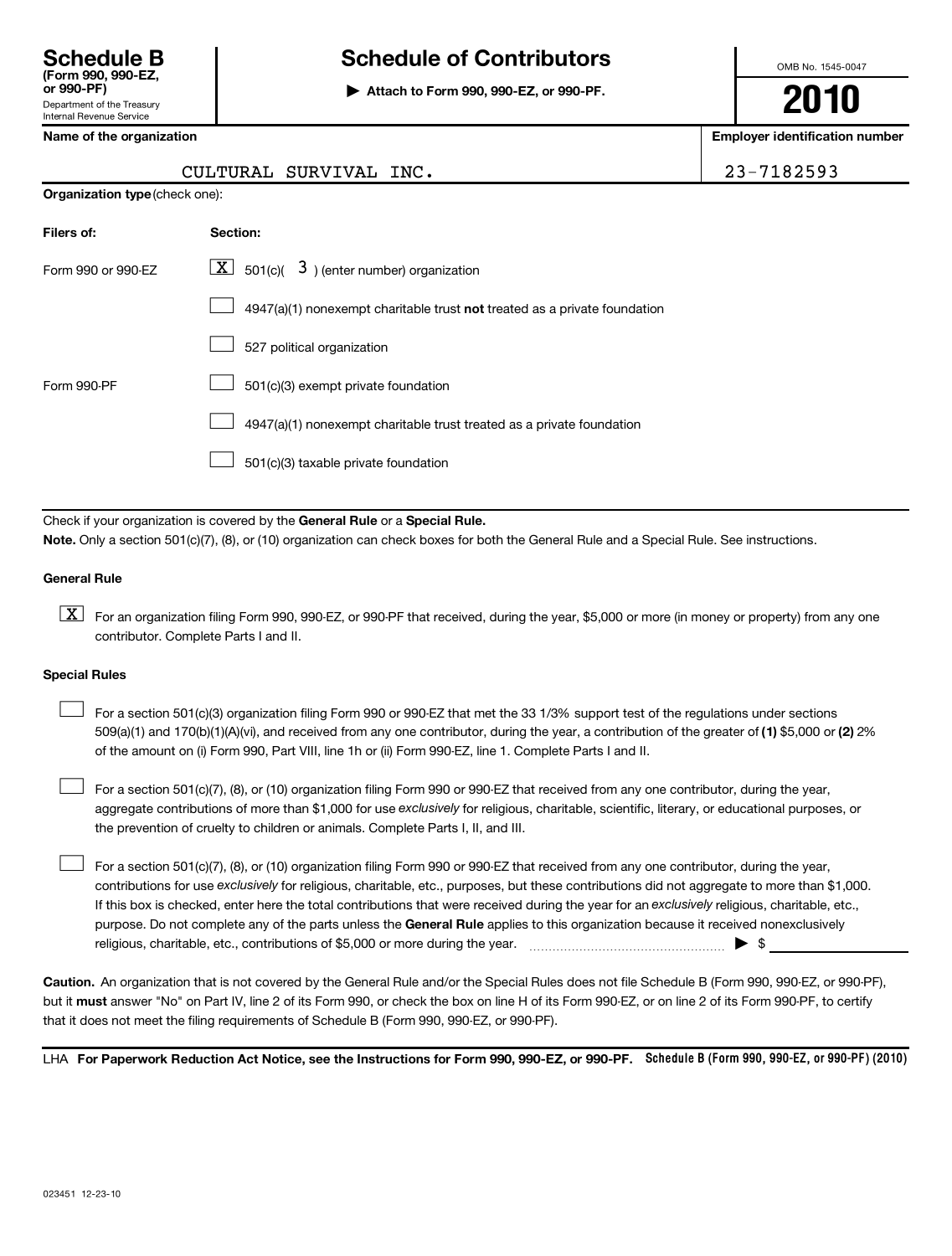# **Schedule B Schedule of Contributors**

**or 990-PF) | Attach to Form 990, 990-EZ, or 990-PF.**

OMB No. 1545-0047

**2010**

**Name of the organization Employer identification number**

|  |  |  |  | Name of the organization |  |  |
|--|--|--|--|--------------------------|--|--|
|--|--|--|--|--------------------------|--|--|

| CULTURAL SURVIVAL INC. | 23-7182593 |
|------------------------|------------|
|                        |            |

**Organization type** (check one):

| Filers of:         | Section:                                                                           |
|--------------------|------------------------------------------------------------------------------------|
| Form 990 or 990-EZ | $\lfloor \underline{X} \rfloor$ 501(c)( 3) (enter number) organization             |
|                    | $4947(a)(1)$ nonexempt charitable trust <b>not</b> treated as a private foundation |
|                    | 527 political organization                                                         |
| Form 990-PF        | 501(c)(3) exempt private foundation                                                |
|                    | 4947(a)(1) nonexempt charitable trust treated as a private foundation              |
|                    | 501(c)(3) taxable private foundation                                               |

Check if your organization is covered by the General Rule or a Special Rule. **Note.**  Only a section 501(c)(7), (8), or (10) organization can check boxes for both the General Rule and a Special Rule. See instructions.

### **General Rule**

 $\boxed{\textbf{X}}$  For an organization filing Form 990, 990-EZ, or 990-PF that received, during the year, \$5,000 or more (in money or property) from any one contributor. Complete Parts I and II.

### **Special Rules**

509(a)(1) and 170(b)(1)(A)(vi), and received from any one contributor, during the year, a contribution of the greater of (1) \$5,000 or (2) 2% For a section 501(c)(3) organization filing Form 990 or 990-EZ that met the 33 1/3% support test of the regulations under sections of the amount on (i) Form 990, Part VIII, line 1h or (ii) Form 990-EZ, line 1. Complete Parts I and II.  $\left\vert \cdot\right\vert$ 

aggregate contributions of more than \$1,000 for use exclusively for religious, charitable, scientific, literary, or educational purposes, or For a section 501(c)(7), (8), or (10) organization filing Form 990 or 990-EZ that received from any one contributor, during the year, the prevention of cruelty to children or animals. Complete Parts I, II, and III.  $\left\vert \cdot\right\vert$ 

purpose. Do not complete any of the parts unless the General Rule applies to this organization because it received nonexclusively contributions for use exclusively for religious, charitable, etc., purposes, but these contributions did not aggregate to more than \$1,000. If this box is checked, enter here the total contributions that were received during the year for an exclusively religious, charitable, etc., For a section 501(c)(7), (8), or (10) organization filing Form 990 or 990-EZ that received from any one contributor, during the year, religious, charitable, etc., contributions of \$5,000 or more during the year. ~~~~~~~~~~~~~~~~~ | \$  $\left\vert \cdot\right\vert$ 

**Caution.** An organization that is not covered by the General Rule and/or the Special Rules does not file Schedule B (Form 990, 990-EZ, or 990-PF), but it **must** answer "No" on Part IV, line 2 of its Form 990, or check the box on line H of its Form 990-EZ, or on line 2 of its Form 990-PF, to certify that it does not meet the filing requirements of Schedule B (Form 990, 990-EZ, or 990-PF).

LHA For Paperwork Reduction Act Notice, see the Instructions for Form 990, 990-EZ, or 990-PF. Schedule B (Form 990, 990-EZ, or 990-PF) (2010)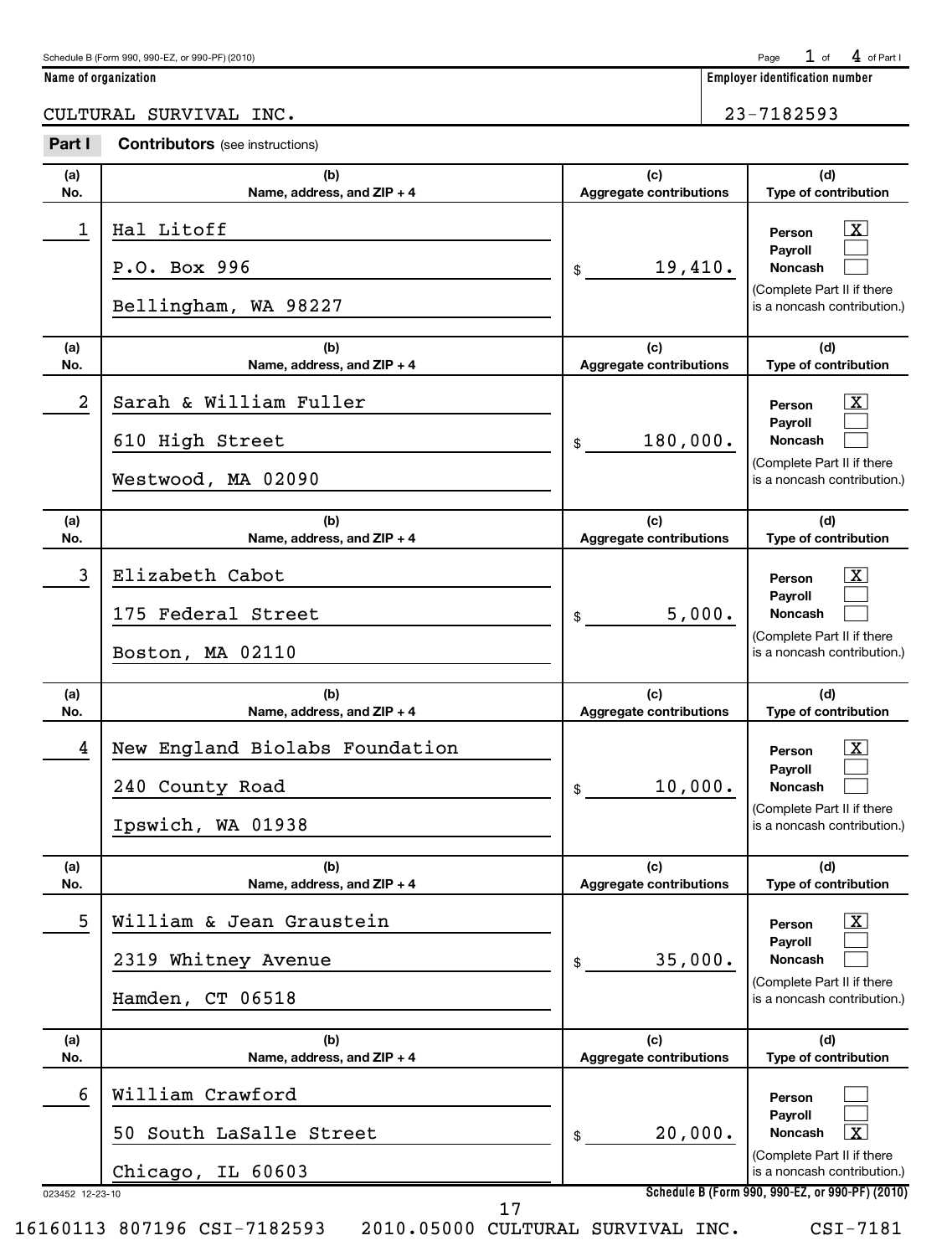| Schedule B (Form 990, 990-EZ, or 990-PF) (2010) | Page $1$ of $4$ of Part I |  |  |  |
|-------------------------------------------------|---------------------------|--|--|--|
|-------------------------------------------------|---------------------------|--|--|--|

**Name of organization Employer identification number**

CULTURAL SURVIVAL INC. 23-7182593

**Part I Contributors** (see instructions)

| (a)<br>No.           | (b)<br>Name, address, and ZIP + 4                                      | (c)<br><b>Aggregate contributions</b> | (d)<br>Type of contribution                                                                                                                         |
|----------------------|------------------------------------------------------------------------|---------------------------------------|-----------------------------------------------------------------------------------------------------------------------------------------------------|
| 1                    | Hal Litoff<br>P.O. Box 996<br>Bellingham, WA 98227                     | 19,410.<br>$\frac{1}{2}$              | $\lfloor x \rfloor$<br>Person<br>Payroll<br><b>Noncash</b><br>(Complete Part II if there<br>is a noncash contribution.)                             |
| (a)<br>No.           | (b)<br>Name, address, and ZIP + 4                                      | (c)<br><b>Aggregate contributions</b> | (d)<br>Type of contribution                                                                                                                         |
| $\boldsymbol{2}$     | Sarah & William Fuller<br>610 High Street<br>Westwood, MA 02090        | 180,000.<br>$\mathbb{S}$              | $\lfloor x \rfloor$<br>Person<br>Payroll<br><b>Noncash</b><br>(Complete Part II if there<br>is a noncash contribution.)                             |
| (a)<br>No.           | (b)<br>Name, address, and ZIP + 4                                      | (c)<br><b>Aggregate contributions</b> | (d)<br>Type of contribution                                                                                                                         |
| $\mathbf{3}$         | Elizabeth Cabot<br>175 Federal Street<br>Boston, MA 02110              | 5,000.<br>\$                          | $\lfloor x \rfloor$<br>Person<br>Payroll<br>Noncash<br>(Complete Part II if there<br>is a noncash contribution.)                                    |
| (a)                  | (b)                                                                    | (c)<br><b>Aggregate contributions</b> | (d)<br>Type of contribution                                                                                                                         |
| No.                  | Name, address, and ZIP + 4                                             |                                       |                                                                                                                                                     |
| 4                    | New England Biolabs Foundation<br>240 County Road<br>Ipswich, WA 01938 | 10,000.<br>$\mathsf{\$}$              | $\mathbf{X}$<br>Person<br>Payroll<br><b>Noncash</b><br>(Complete Part II if there<br>is a noncash contribution.)                                    |
| (a)<br>No.           | (b)<br>Name, address, and ZIP + 4                                      | (c)<br><b>Aggregate contributions</b> | (d)<br>Type of contribution                                                                                                                         |
| 5                    | William & Jean Graustein<br>2319 Whitney Avenue<br>Hamden, CT 06518    | 35,000.<br>\$                         | $\boxed{\textbf{X}}$<br>Person<br>Payroll<br><b>Noncash</b><br>(Complete Part II if there<br>is a noncash contribution.)                            |
| (a)<br>No.           | (b)<br>Name, address, and ZIP + 4                                      | (c)<br><b>Aggregate contributions</b> | (d)<br>Type of contribution                                                                                                                         |
| 6<br>023452 12-23-10 | William Crawford<br>50 South LaSalle Street<br>Chicago, IL 60603<br>17 | 20,000.<br>\$                         | Person<br>Payroll<br>Noncash<br>l X<br>(Complete Part II if there<br>is a noncash contribution.)<br>Schedule B (Form 990, 990-EZ, or 990-PF) (2010) |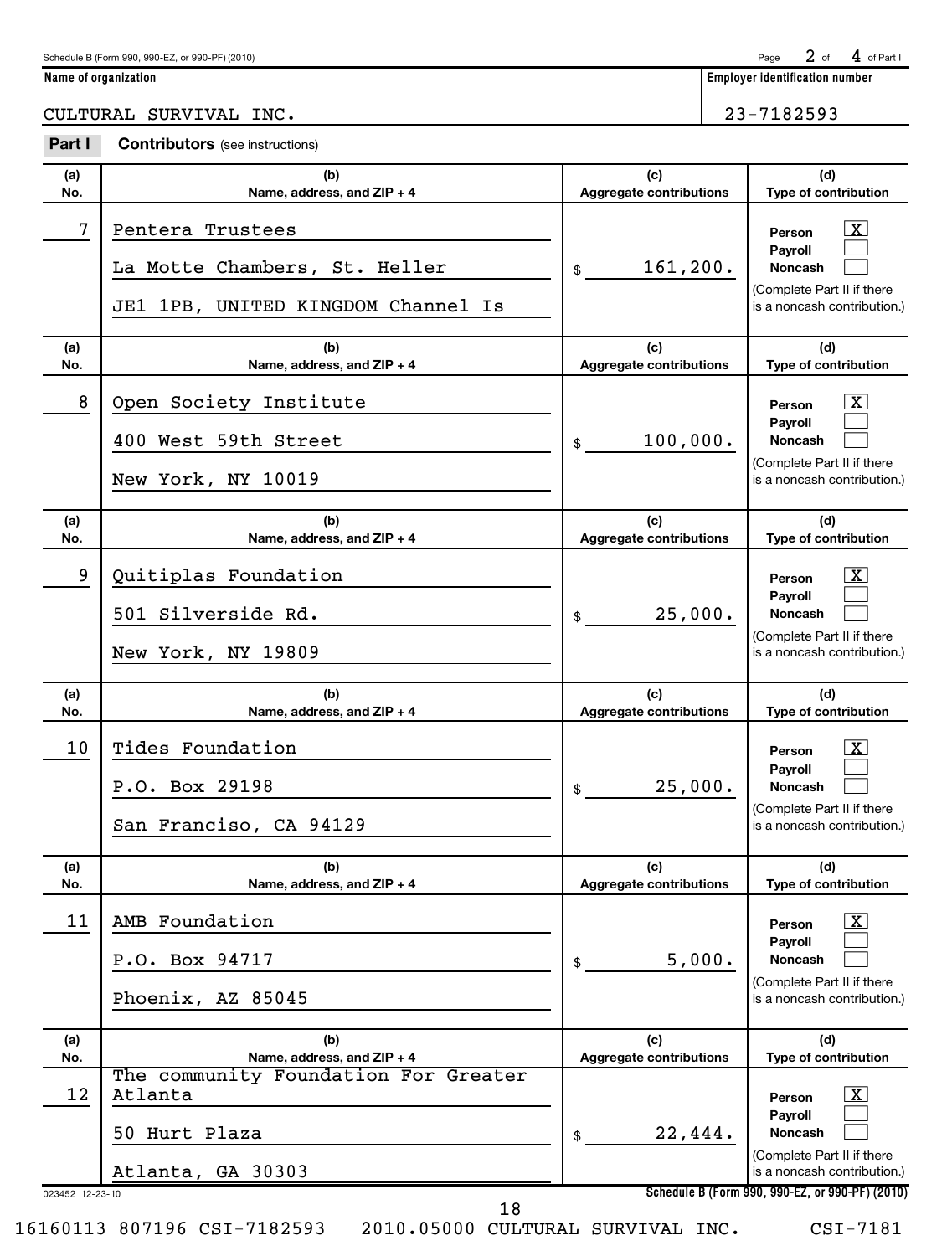$2$  of  $4$  of Part I

**Name of organization Employer identification number**

CULTURAL SURVIVAL INC. 23-7182593

| Part I                | <b>Contributors</b> (see instructions)                                                  |                                       |                                                                                                                                                                     |
|-----------------------|-----------------------------------------------------------------------------------------|---------------------------------------|---------------------------------------------------------------------------------------------------------------------------------------------------------------------|
| (a)<br>No.            | (b)<br>Name, address, and ZIP + 4                                                       | (c)<br><b>Aggregate contributions</b> | (d)<br>Type of contribution                                                                                                                                         |
| 7                     | Pentera Trustees<br>La Motte Chambers, St. Heller<br>JE1 1PB, UNITED KINGDOM Channel Is | 161, 200.<br>\$                       | $\mathbf{X}$<br>Person<br>Payroll<br><b>Noncash</b><br>(Complete Part II if there<br>is a noncash contribution.)                                                    |
| (a)<br>No.            | (b)<br>Name, address, and ZIP + 4                                                       | (c)<br><b>Aggregate contributions</b> | (d)<br>Type of contribution                                                                                                                                         |
| 8                     | Open Society Institute<br>400 West 59th Street<br>New York, NY 10019                    | 100,000.<br>\$                        | $\mathbf{X}$<br>Person<br>Payroll<br><b>Noncash</b><br>(Complete Part II if there<br>is a noncash contribution.)                                                    |
| (a)<br>No.            | (b)<br>Name, address, and ZIP + 4                                                       | (c)<br><b>Aggregate contributions</b> | (d)<br>Type of contribution                                                                                                                                         |
| 9                     | Quitiplas Foundation<br>501 Silverside Rd.<br>New York, NY 19809                        | 25,000.<br>\$                         | $\mathbf{X}$<br>Person<br>Payroll<br><b>Noncash</b><br>(Complete Part II if there<br>is a noncash contribution.)                                                    |
|                       | (b)                                                                                     |                                       |                                                                                                                                                                     |
| (a)<br>No.            | Name, address, and ZIP + 4                                                              | (c)<br><b>Aggregate contributions</b> | (d)<br>Type of contribution                                                                                                                                         |
| 10                    | Tides Foundation<br>P.O. Box 29198<br>San Franciso, CA 94129                            | 25,000.<br>\$                         | $\mathbf{X}$<br>Person<br>Payroll<br><b>Noncash</b><br>(Complete Part II if there<br>is a noncash contribution.)                                                    |
| (a)<br>No.            | (b)<br>Name, address, and ZIP + 4                                                       | (c)<br><b>Aggregate contributions</b> | (d)<br>Type of contribution                                                                                                                                         |
| 11                    | AMB Foundation<br>P.O. Box 94717<br>Phoenix, AZ 85045                                   | 5,000.<br>\$                          | $\mathbf{X}$<br>Person<br>Payroll<br><b>Noncash</b><br>(Complete Part II if there<br>is a noncash contribution.)                                                    |
| (a)<br>No.            | (b)<br>Name, address, and ZIP + 4                                                       | (c)<br>Aggregate contributions        | (d)<br>Type of contribution                                                                                                                                         |
| 12<br>023452 12-23-10 | The community Foundation For Greater<br>Atlanta<br>50 Hurt Plaza<br>Atlanta, GA 30303   | 22,444.<br>\$                         | $\mathbf{X}$<br>Person<br>Payroll<br><b>Noncash</b><br>(Complete Part II if there<br>is a noncash contribution.)<br>Schedule B (Form 990, 990-EZ, or 990-PF) (2010) |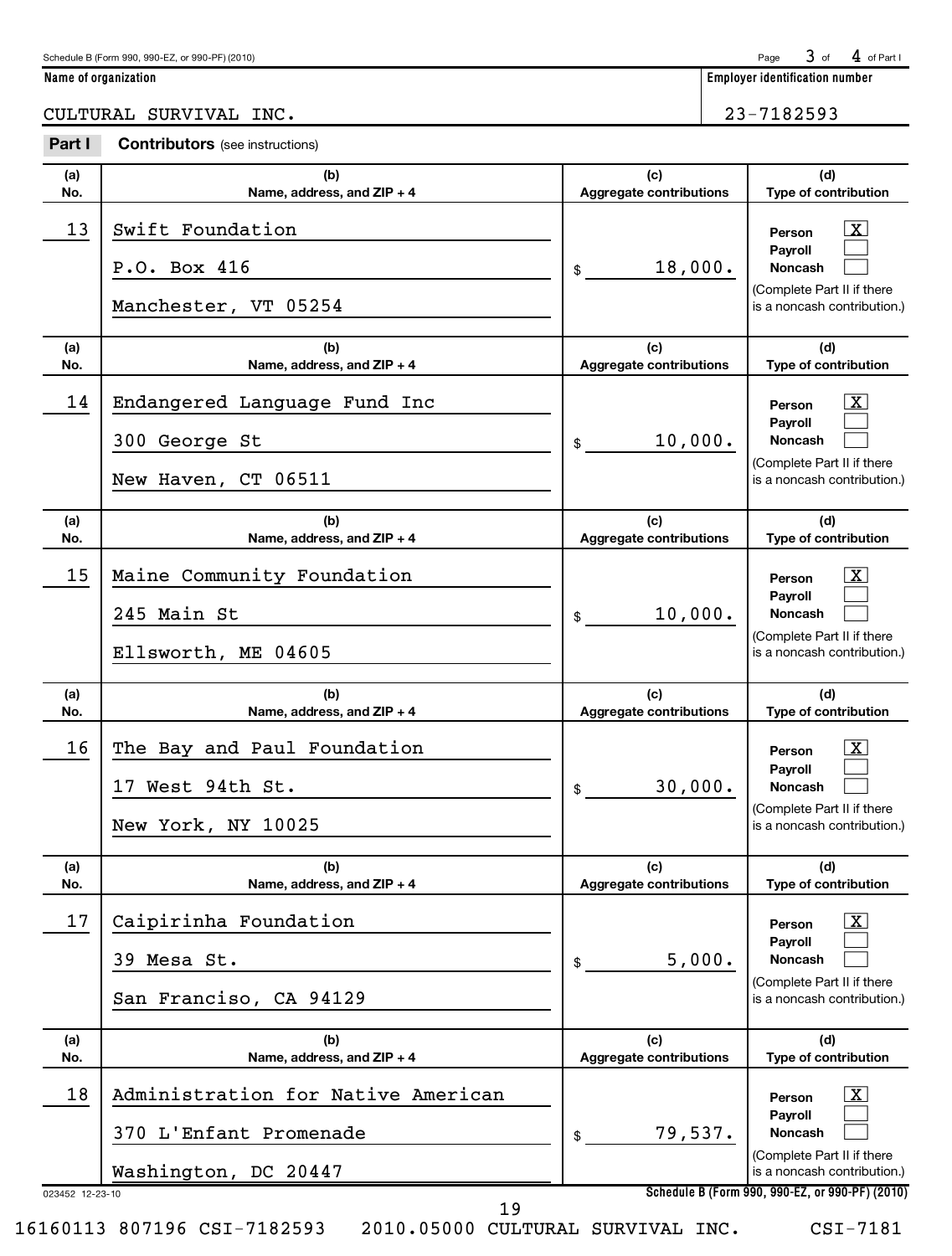$3$  of  $4$  of Part I

**Name of organization Employer identification number**

CULTURAL SURVIVAL INC. 23-7182593

| Part I                | <b>Contributors</b> (see instructions)                                               |                                       |                                                                                                                                                                            |
|-----------------------|--------------------------------------------------------------------------------------|---------------------------------------|----------------------------------------------------------------------------------------------------------------------------------------------------------------------------|
| (a)<br>No.            | (b)<br>Name, address, and ZIP + 4                                                    | (c)<br><b>Aggregate contributions</b> | (d)<br>Type of contribution                                                                                                                                                |
| 13                    | Swift Foundation<br>P.O. Box 416<br>Manchester, VT 05254                             | 18,000.<br>\$                         | <u>  x</u><br>Person<br>Pavroll<br><b>Noncash</b><br>(Complete Part II if there<br>is a noncash contribution.)                                                             |
| (a)<br>No.            | (b)<br>Name, address, and ZIP + 4                                                    | (c)<br><b>Aggregate contributions</b> | (d)<br>Type of contribution                                                                                                                                                |
| 14                    | Endangered Language Fund Inc<br>300 George St<br>New Haven, CT 06511                 | 10,000.<br>\$                         | $\boxed{\text{X}}$<br>Person<br>Payroll<br><b>Noncash</b><br>(Complete Part II if there<br>is a noncash contribution.)                                                     |
| (a)<br>No.            | (b)<br>Name, address, and ZIP + 4                                                    | (c)<br><b>Aggregate contributions</b> | (d)<br>Type of contribution                                                                                                                                                |
| 15                    | Maine Community Foundation<br>245 Main St<br>Ellsworth, ME 04605                     | 10,000.<br>\$                         | $\lfloor x \rfloor$<br>Person<br>Payroll<br><b>Noncash</b><br>(Complete Part II if there<br>is a noncash contribution.)                                                    |
| (a)<br>No.            | (b)<br>Name, address, and ZIP + 4                                                    | (c)<br><b>Aggregate contributions</b> | (d)<br>Type of contribution                                                                                                                                                |
| 16                    | The Bay and Paul Foundation<br>17 West 94th St.<br>New York, NY 10025                | 30,000.<br>\$                         | $\lfloor x \rfloor$<br>Person<br>Payroll<br><b>Noncash</b><br>(Complete Part II if there<br>is a noncash contribution.)                                                    |
| (a)<br>No.            | (b)<br>Name, address, and ZIP + 4                                                    | (c)<br><b>Aggregate contributions</b> | (d)<br>Type of contribution                                                                                                                                                |
| 17                    | Caipirinha Foundation<br>39 Mesa St.<br>San Franciso, CA 94129                       | 5,000.<br>\$                          | $\mathbf{X}$<br>Person<br>Payroll<br><b>Noncash</b><br>(Complete Part II if there<br>is a noncash contribution.)                                                           |
|                       |                                                                                      |                                       |                                                                                                                                                                            |
| (a)<br>No.            | (b)<br>Name, address, and ZIP + 4                                                    | (c)<br><b>Aggregate contributions</b> | (d)<br>Type of contribution                                                                                                                                                |
| 18<br>023452 12-23-10 | Administration for Native American<br>370 L'Enfant Promenade<br>Washington, DC 20447 | 79,537.<br>\$                         | $\lfloor x \rfloor$<br>Person<br>Payroll<br><b>Noncash</b><br>(Complete Part II if there<br>is a noncash contribution.)<br>Schedule B (Form 990, 990-EZ, or 990-PF) (2010) |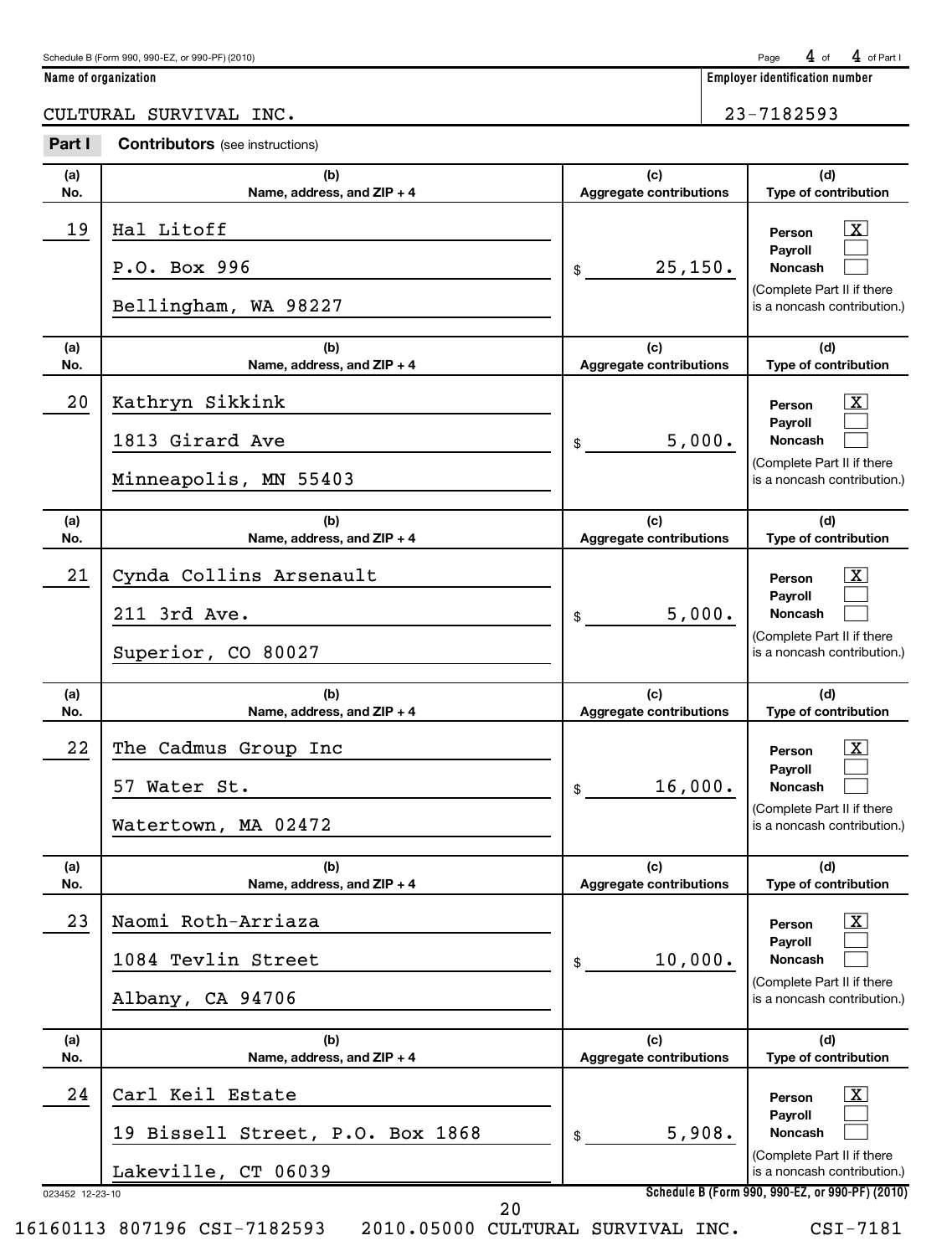| Schedule B (Form 990, 990-EZ, or 990-PF) (2010) | Page $4$ of $4$ of Part |  |  |  |
|-------------------------------------------------|-------------------------|--|--|--|
|-------------------------------------------------|-------------------------|--|--|--|

**Name of organization Employer identification number**

CULTURAL SURVIVAL INC. 23-7182593

| Part I     | <b>Contributors</b> (see instructions)                                      |                                       |                                                                                                                                                                            |
|------------|-----------------------------------------------------------------------------|---------------------------------------|----------------------------------------------------------------------------------------------------------------------------------------------------------------------------|
| (a)<br>No. | (b)<br>Name, address, and ZIP + 4                                           | (c)<br><b>Aggregate contributions</b> | (d)<br>Type of contribution                                                                                                                                                |
| 19         | Hal Litoff<br>P.O. Box 996<br>Bellingham, WA 98227                          | 25,150.<br>\$                         | $\lfloor x \rfloor$<br>Person<br>Payroll<br><b>Noncash</b><br>(Complete Part II if there<br>is a noncash contribution.)                                                    |
| (a)<br>No. | (b)<br>Name, address, and ZIP + 4                                           | (c)<br><b>Aggregate contributions</b> | (d)<br>Type of contribution                                                                                                                                                |
| 20         | Kathryn Sikkink<br>1813 Girard Ave<br>Minneapolis, MN 55403                 | 5,000.<br>\$                          | $\lfloor x \rfloor$<br>Person<br>Payroll<br><b>Noncash</b><br>(Complete Part II if there<br>is a noncash contribution.)                                                    |
| (a)<br>No. | (b)<br>Name, address, and ZIP + 4                                           | (c)<br><b>Aggregate contributions</b> | (d)<br>Type of contribution                                                                                                                                                |
| 21         | Cynda Collins Arsenault<br>211 3rd Ave.<br>Superior, CO 80027               | 5,000.<br>\$                          | $\mathbf{X}$<br>Person<br>Payroll<br><b>Noncash</b><br>(Complete Part II if there<br>is a noncash contribution.)                                                           |
|            |                                                                             |                                       |                                                                                                                                                                            |
| (a)<br>No. | (b)<br>Name, address, and ZIP + 4                                           | (c)<br><b>Aggregate contributions</b> | (d)<br>Type of contribution                                                                                                                                                |
| 22         | The Cadmus Group Inc<br>57 Water St.<br>Watertown, MA 02472                 | 16,000.<br>\$                         | $\mathbf{X}$<br>Person<br>Payroll<br><b>Noncash</b><br>(Complete Part II if there<br>is a noncash contribution.)                                                           |
| (a)<br>No. | (b)<br>Name, address, and ZIP + 4                                           | (c)<br><b>Aggregate contributions</b> | (d)<br>Type of contribution                                                                                                                                                |
| 23         | Naomi Roth-Arriaza<br>1084 Tevlin Street<br>Albany, CA 94706                | 10,000.<br>\$                         | $\lfloor x \rfloor$<br>Person<br>Payroll<br><b>Noncash</b><br>(Complete Part II if there<br>is a noncash contribution.)                                                    |
| (a)<br>No. | (b)<br>Name, address, and ZIP + 4                                           | (c)<br>Aggregate contributions        | (d)<br>Type of contribution                                                                                                                                                |
| 24         | Carl Keil Estate<br>19 Bissell Street, P.O. Box 1868<br>Lakeville, CT 06039 | 5,908.<br>\$                          | $\lfloor x \rfloor$<br>Person<br>Payroll<br><b>Noncash</b><br>(Complete Part II if there<br>is a noncash contribution.)<br>Schedule B (Form 990, 990-EZ, or 990-PF) (2010) |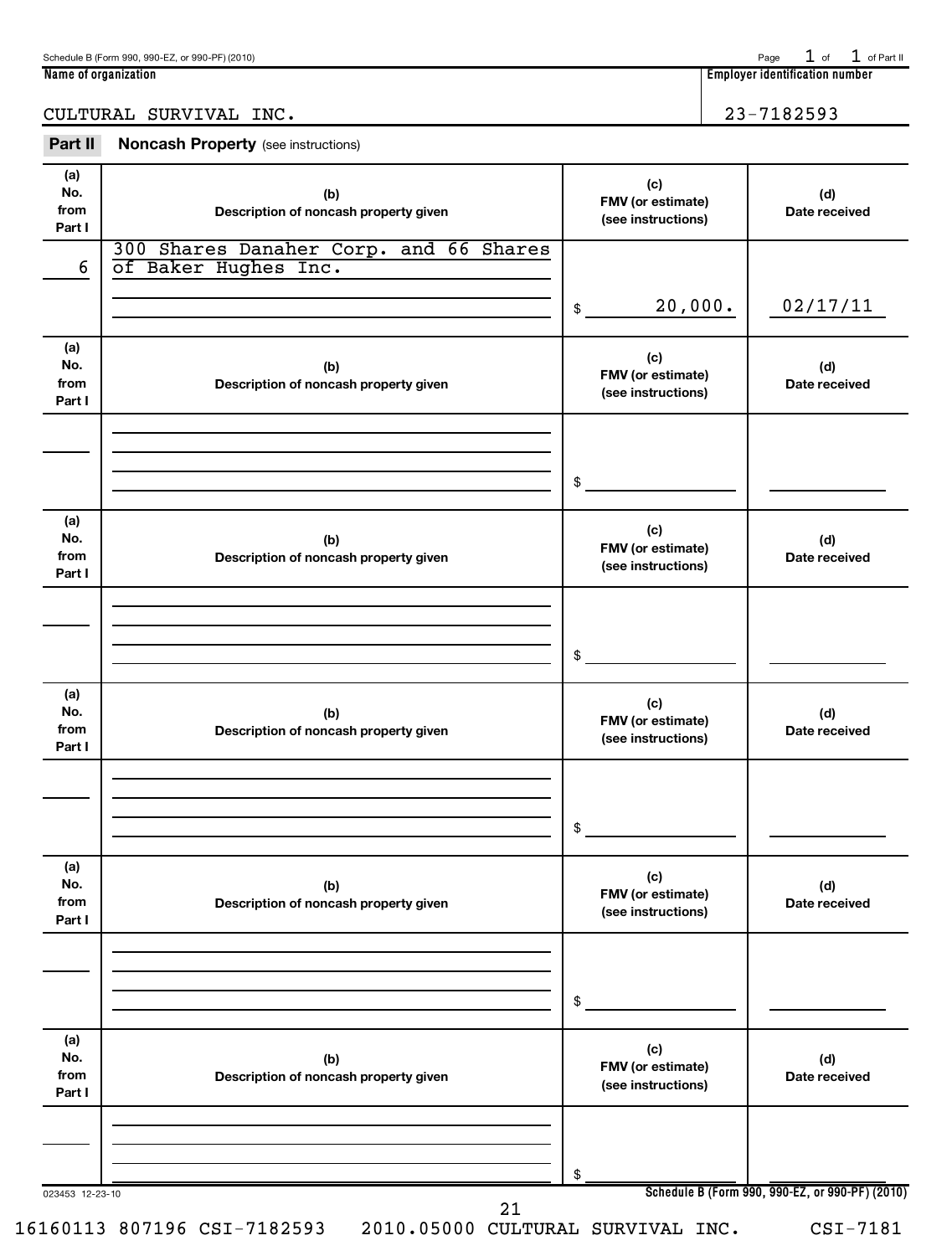$1$  of  $1$  of Part II

**Name of organization Employer identification number**

# CULTURAL SURVIVAL INC. 23-7182593

| Part II                      | <b>Noncash Property</b> (see instructions)                     |                                                |                                             |
|------------------------------|----------------------------------------------------------------|------------------------------------------------|---------------------------------------------|
| (a)<br>No.<br>from<br>Part I | (b)<br>Description of noncash property given                   | (c)<br>FMV (or estimate)<br>(see instructions) | (d)<br>Date received                        |
| 6                            | 300 Shares Danaher Corp. and 66 Shares<br>of Baker Hughes Inc. |                                                |                                             |
|                              |                                                                | 20,000.<br>\$                                  | 02/17/11                                    |
| (a)<br>No.<br>from<br>Part I | (b)<br>Description of noncash property given                   | (c)<br>FMV (or estimate)<br>(see instructions) | (d)<br>Date received                        |
|                              |                                                                | \$                                             |                                             |
| (a)<br>No.<br>from<br>Part I | (b)<br>Description of noncash property given                   | (c)<br>FMV (or estimate)<br>(see instructions) | (d)<br>Date received                        |
|                              |                                                                | \$                                             |                                             |
| (a)<br>No.<br>from<br>Part I | (b)<br>Description of noncash property given                   | (c)<br>FMV (or estimate)<br>(see instructions) | (d)<br>Date received                        |
|                              |                                                                | \$                                             |                                             |
| (a)<br>No.<br>from<br>Part I | (b)<br>Description of noncash property given                   | (c)<br>FMV (or estimate)<br>(see instructions) | (d)<br>Date received                        |
|                              |                                                                | \$                                             |                                             |
| (a)<br>No.<br>from<br>Part I | (b)<br>Description of noncash property given                   | (c)<br>FMV (or estimate)<br>(see instructions) | (d)<br>Date received                        |
|                              |                                                                | \$                                             |                                             |
| 023453 12-23-10              | 21                                                             |                                                | Schedule B (Form 990, 990-EZ, or 990-PF) (2 |

16160113 807196 CSI-7182593 2010.05000 CULTURAL SURVIVAL INC. CSI-7181

**Schedule B (Form 990, 990-EZ, or 990-PF) (2010)**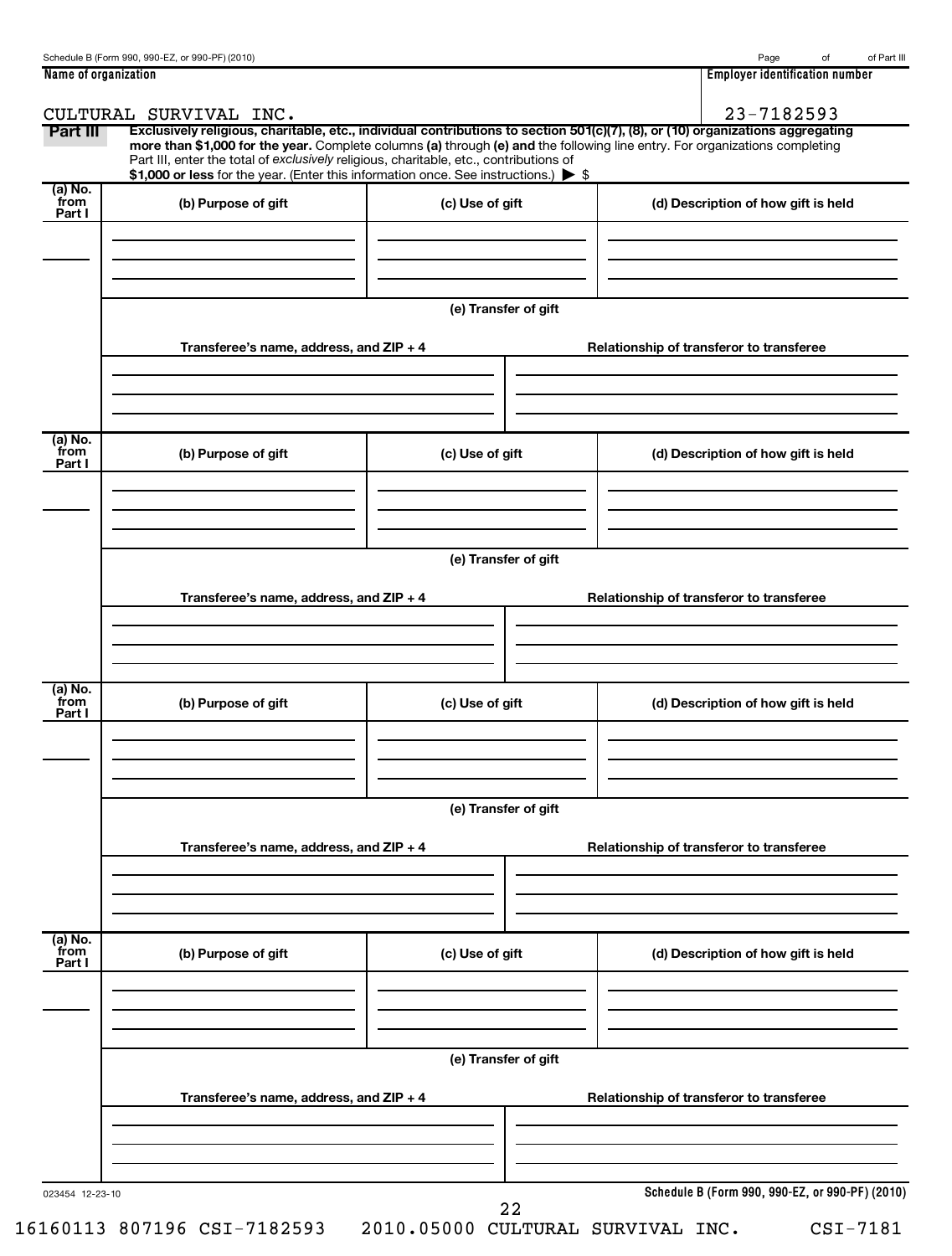| Name of organization      |                                                                                                                                                                               |                      | <b>Employer identification number</b>                                                                                                                                                                                                                         |
|---------------------------|-------------------------------------------------------------------------------------------------------------------------------------------------------------------------------|----------------------|---------------------------------------------------------------------------------------------------------------------------------------------------------------------------------------------------------------------------------------------------------------|
|                           | CULTURAL SURVIVAL INC.                                                                                                                                                        |                      | 23-7182593                                                                                                                                                                                                                                                    |
| Part III                  | Part III, enter the total of exclusively religious, charitable, etc., contributions of<br>\$1,000 or less for the year. (Enter this information once. See instructions.) > \$ |                      | Exclusively religious, charitable, etc., individual contributions to section 501(c)(7), (8), or (10) organizations aggregating<br>more than \$1,000 for the year. Complete columns (a) through (e) and the following line entry. For organizations completing |
| (a) No.<br>from           | (b) Purpose of gift                                                                                                                                                           | (c) Use of gift      |                                                                                                                                                                                                                                                               |
| Part I                    |                                                                                                                                                                               |                      | (d) Description of how gift is held                                                                                                                                                                                                                           |
|                           |                                                                                                                                                                               | (e) Transfer of gift |                                                                                                                                                                                                                                                               |
|                           | Transferee's name, address, and ZIP + 4                                                                                                                                       |                      | Relationship of transferor to transferee                                                                                                                                                                                                                      |
| (a) No.<br>from           | (b) Purpose of gift                                                                                                                                                           | (c) Use of gift      | (d) Description of how gift is held                                                                                                                                                                                                                           |
| Part I                    |                                                                                                                                                                               |                      |                                                                                                                                                                                                                                                               |
|                           |                                                                                                                                                                               | (e) Transfer of gift |                                                                                                                                                                                                                                                               |
|                           | Transferee's name, address, and ZIP + 4                                                                                                                                       |                      | Relationship of transferor to transferee                                                                                                                                                                                                                      |
| (a) No.<br>from<br>Part I | (b) Purpose of gift                                                                                                                                                           | (c) Use of gift      | (d) Description of how gift is held                                                                                                                                                                                                                           |
|                           | Transferee's name, address, and ZIP + 4                                                                                                                                       | (e) Transfer of gift | Relationship of transferor to transferee                                                                                                                                                                                                                      |
|                           |                                                                                                                                                                               |                      |                                                                                                                                                                                                                                                               |
| (a) No.<br>from<br>Part I | (b) Purpose of gift                                                                                                                                                           | (c) Use of gift      | (d) Description of how gift is held                                                                                                                                                                                                                           |
|                           |                                                                                                                                                                               |                      |                                                                                                                                                                                                                                                               |
|                           | Transferee's name, address, and ZIP + 4                                                                                                                                       | (e) Transfer of gift | Relationship of transferor to transferee                                                                                                                                                                                                                      |
|                           |                                                                                                                                                                               |                      |                                                                                                                                                                                                                                                               |
| 023454 12-23-10           |                                                                                                                                                                               |                      | Schedule B (Form 990, 990-EZ, or 990-PF) (2010)                                                                                                                                                                                                               |

22

**Schedule B (Form 990, 990-EZ, or 990-PF) (2010)**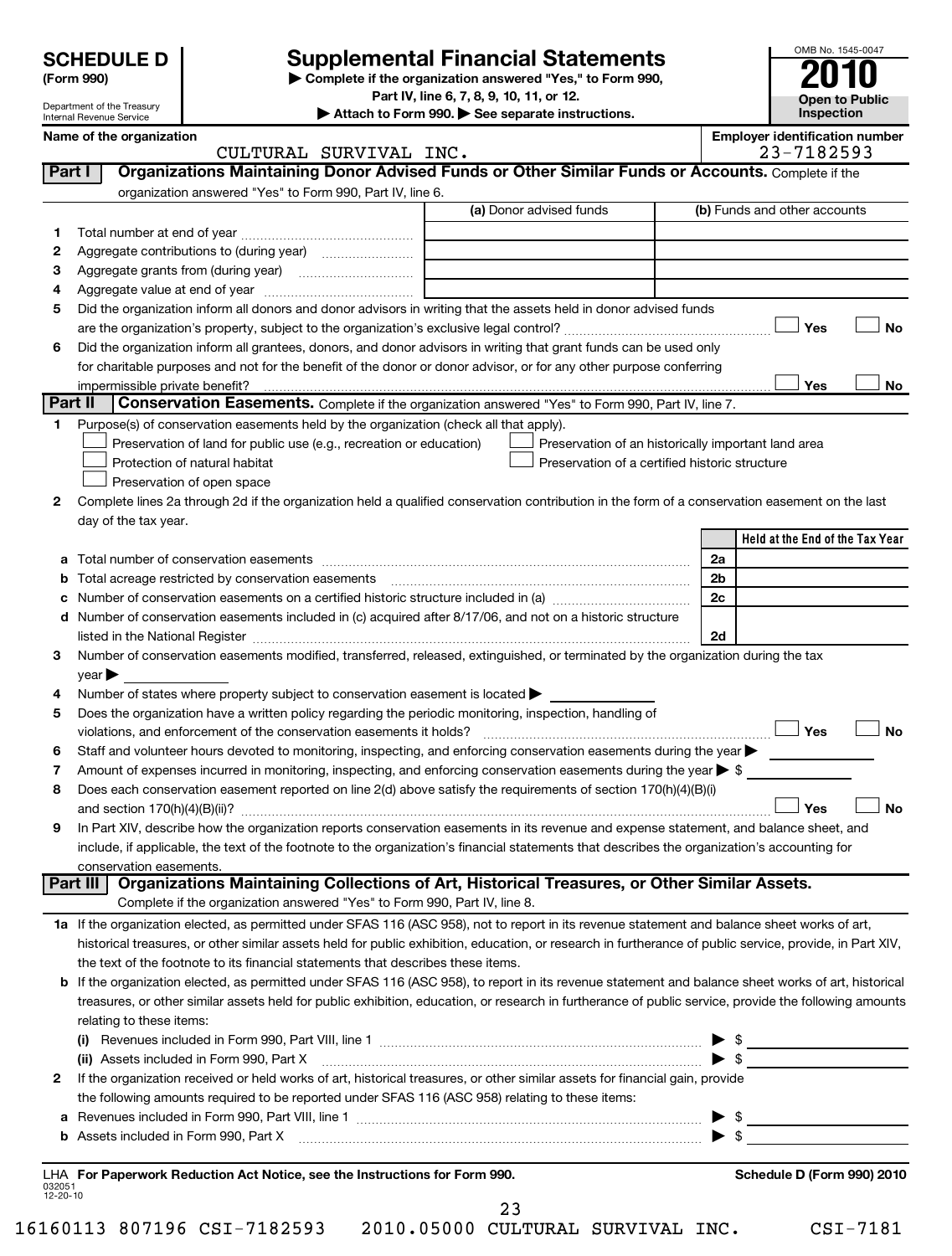Department of the Treasury Internal Revenue Service

# **Supplemental Financial Statements**

**(Form 990) | Complete if the organization answered "Yes," to Form 990,**

**Part IV, line 6, 7, 8, 9, 10, 11, or 12.**

**| Attach to Form 990. | See separate instructions.**

| OMB No. 1545-0047     |
|-----------------------|
| 010                   |
|                       |
| <b>Open to Public</b> |
| Inspection            |

**Name of the organization**<br> **Employer identification number**<br>
2019/02/2020

|                    | CULTURAL SURVIVAL INC.                                                                                                                                                             | 23-7182593                      |
|--------------------|------------------------------------------------------------------------------------------------------------------------------------------------------------------------------------|---------------------------------|
| Part I             | Organizations Maintaining Donor Advised Funds or Other Similar Funds or Accounts. Complete if the                                                                                  |                                 |
|                    | organization answered "Yes" to Form 990, Part IV, line 6.                                                                                                                          |                                 |
|                    | (a) Donor advised funds                                                                                                                                                            | (b) Funds and other accounts    |
| 1.                 |                                                                                                                                                                                    |                                 |
| 2                  |                                                                                                                                                                                    |                                 |
| 3                  |                                                                                                                                                                                    |                                 |
| 4                  |                                                                                                                                                                                    |                                 |
| 5                  | Did the organization inform all donors and donor advisors in writing that the assets held in donor advised funds                                                                   |                                 |
|                    |                                                                                                                                                                                    | Yes<br><b>No</b>                |
| 6                  | Did the organization inform all grantees, donors, and donor advisors in writing that grant funds can be used only                                                                  |                                 |
|                    | for charitable purposes and not for the benefit of the donor or donor advisor, or for any other purpose conferring                                                                 |                                 |
|                    |                                                                                                                                                                                    | Yes<br>No                       |
| Part II            | <b>Conservation Easements.</b> Complete if the organization answered "Yes" to Form 990, Part IV, line 7.                                                                           |                                 |
| 1                  | Purpose(s) of conservation easements held by the organization (check all that apply).                                                                                              |                                 |
|                    | Preservation of land for public use (e.g., recreation or education)<br>Preservation of an historically important land area                                                         |                                 |
|                    | Preservation of a certified historic structure<br>Protection of natural habitat                                                                                                    |                                 |
|                    | Preservation of open space                                                                                                                                                         |                                 |
| 2                  | Complete lines 2a through 2d if the organization held a qualified conservation contribution in the form of a conservation easement on the last                                     |                                 |
|                    | day of the tax year.                                                                                                                                                               |                                 |
|                    |                                                                                                                                                                                    | Held at the End of the Tax Year |
|                    |                                                                                                                                                                                    | 2a                              |
| а<br>b             | Total acreage restricted by conservation easements                                                                                                                                 | 2b                              |
| с                  |                                                                                                                                                                                    | 2 <sub>c</sub>                  |
| d                  | Number of conservation easements included in (c) acquired after 8/17/06, and not on a historic structure                                                                           |                                 |
|                    |                                                                                                                                                                                    | 2d                              |
| 3                  | Number of conservation easements modified, transferred, released, extinguished, or terminated by the organization during the tax                                                   |                                 |
|                    | year                                                                                                                                                                               |                                 |
| 4                  | Number of states where property subject to conservation easement is located >                                                                                                      |                                 |
| 5                  | Does the organization have a written policy regarding the periodic monitoring, inspection, handling of                                                                             |                                 |
|                    | violations, and enforcement of the conservation easements it holds?                                                                                                                | Yes<br><b>No</b>                |
| 6                  | Staff and volunteer hours devoted to monitoring, inspecting, and enforcing conservation easements during the year                                                                  |                                 |
| 7                  | Amount of expenses incurred in monitoring, inspecting, and enforcing conservation easements during the year $\triangleright$ \$                                                    |                                 |
| 8                  | Does each conservation easement reported on line 2(d) above satisfy the requirements of section 170(h)(4)(B)(i)                                                                    |                                 |
|                    |                                                                                                                                                                                    | <b>No</b><br>Yes                |
| 9                  | In Part XIV, describe how the organization reports conservation easements in its revenue and expense statement, and balance sheet, and                                             |                                 |
|                    | include, if applicable, the text of the footnote to the organization's financial statements that describes the organization's accounting for                                       |                                 |
|                    | conservation easements.                                                                                                                                                            |                                 |
|                    | Organizations Maintaining Collections of Art, Historical Treasures, or Other Similar Assets.<br>Part III                                                                           |                                 |
|                    | Complete if the organization answered "Yes" to Form 990, Part IV, line 8.                                                                                                          |                                 |
|                    | 1a If the organization elected, as permitted under SFAS 116 (ASC 958), not to report in its revenue statement and balance sheet works of art,                                      |                                 |
|                    | historical treasures, or other similar assets held for public exhibition, education, or research in furtherance of public service, provide, in Part XIV,                           |                                 |
|                    | the text of the footnote to its financial statements that describes these items.                                                                                                   |                                 |
|                    | b If the organization elected, as permitted under SFAS 116 (ASC 958), to report in its revenue statement and balance sheet works of art, historical                                |                                 |
|                    | treasures, or other similar assets held for public exhibition, education, or research in furtherance of public service, provide the following amounts                              |                                 |
|                    | relating to these items:                                                                                                                                                           |                                 |
|                    | (i) Revenues included in Form 990, Part VIII, line 1 $\ldots$ $\ldots$ $\ldots$ $\ldots$ $\ldots$ $\ldots$ $\ldots$ $\ldots$ $\ldots$ $\ldots$ $\ldots$ $\ldots$ $\ldots$ $\ldots$ |                                 |
|                    | $\overbrace{\hspace{1.5cm}}$ $\overbrace{\hspace{1.5cm}}$ $\overbrace{\hspace{1.5cm}}$<br>(ii) Assets included in Form 990, Part X                                                 |                                 |
| 2                  | If the organization received or held works of art, historical treasures, or other similar assets for financial gain, provide                                                       |                                 |
|                    | the following amounts required to be reported under SFAS 116 (ASC 958) relating to these items:                                                                                    |                                 |
| а                  |                                                                                                                                                                                    |                                 |
|                    |                                                                                                                                                                                    |                                 |
|                    |                                                                                                                                                                                    |                                 |
|                    | LHA For Paperwork Reduction Act Notice, see the Instructions for Form 990.                                                                                                         | Schedule D (Form 990) 2010      |
| 032051<br>12-20-10 |                                                                                                                                                                                    |                                 |

23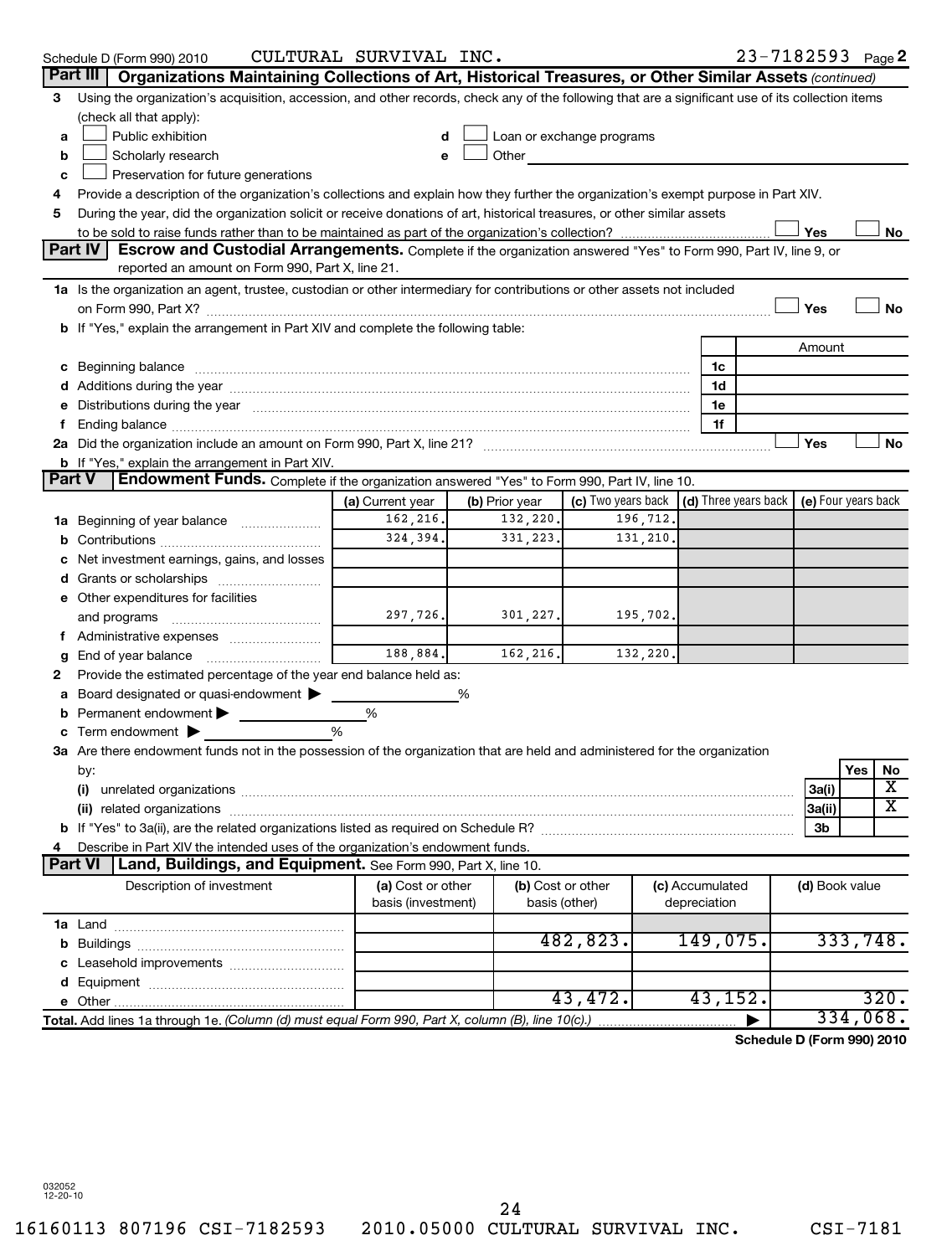|                | Schedule D (Form 990) 2010                                                                                                                                                                                                     | CULTURAL SURVIVAL INC.        |                            |                                                                                                                                                                                                                               |                 | 23-7182593 Page 2                          |                     |
|----------------|--------------------------------------------------------------------------------------------------------------------------------------------------------------------------------------------------------------------------------|-------------------------------|----------------------------|-------------------------------------------------------------------------------------------------------------------------------------------------------------------------------------------------------------------------------|-----------------|--------------------------------------------|---------------------|
|                | Part III   Organizations Maintaining Collections of Art, Historical Treasures, or Other Similar Assets (continued)                                                                                                             |                               |                            |                                                                                                                                                                                                                               |                 |                                            |                     |
| 3              | Using the organization's acquisition, accession, and other records, check any of the following that are a significant use of its collection items                                                                              |                               |                            |                                                                                                                                                                                                                               |                 |                                            |                     |
|                | (check all that apply):                                                                                                                                                                                                        |                               |                            |                                                                                                                                                                                                                               |                 |                                            |                     |
| a              | Public exhibition                                                                                                                                                                                                              | d                             |                            | Loan or exchange programs                                                                                                                                                                                                     |                 |                                            |                     |
| b              | Scholarly research                                                                                                                                                                                                             |                               |                            | Other and the contract of the contract of the contract of the contract of the contract of the contract of the contract of the contract of the contract of the contract of the contract of the contract of the contract of the |                 |                                            |                     |
| c              | Preservation for future generations                                                                                                                                                                                            |                               |                            |                                                                                                                                                                                                                               |                 |                                            |                     |
| 4              | Provide a description of the organization's collections and explain how they further the organization's exempt purpose in Part XIV.                                                                                            |                               |                            |                                                                                                                                                                                                                               |                 |                                            |                     |
| 5              | During the year, did the organization solicit or receive donations of art, historical treasures, or other similar assets                                                                                                       |                               |                            |                                                                                                                                                                                                                               |                 |                                            |                     |
|                |                                                                                                                                                                                                                                |                               |                            |                                                                                                                                                                                                                               |                 | Yes                                        | No                  |
|                | <b>Part IV</b><br>Escrow and Custodial Arrangements. Complete if the organization answered "Yes" to Form 990, Part IV, line 9, or                                                                                              |                               |                            |                                                                                                                                                                                                                               |                 |                                            |                     |
|                | reported an amount on Form 990, Part X, line 21.                                                                                                                                                                               |                               |                            |                                                                                                                                                                                                                               |                 |                                            |                     |
|                | 1a Is the organization an agent, trustee, custodian or other intermediary for contributions or other assets not included                                                                                                       |                               |                            |                                                                                                                                                                                                                               |                 |                                            |                     |
|                |                                                                                                                                                                                                                                |                               |                            |                                                                                                                                                                                                                               |                 | Yes                                        | <b>No</b>           |
|                | If "Yes," explain the arrangement in Part XIV and complete the following table:                                                                                                                                                |                               |                            |                                                                                                                                                                                                                               |                 |                                            |                     |
|                |                                                                                                                                                                                                                                |                               |                            |                                                                                                                                                                                                                               |                 | Amount                                     |                     |
| с              |                                                                                                                                                                                                                                |                               |                            |                                                                                                                                                                                                                               | 1c              |                                            |                     |
|                |                                                                                                                                                                                                                                |                               |                            |                                                                                                                                                                                                                               | 1d              |                                            |                     |
|                | Distributions during the year manufactured and an account of the year manufactured and the year manufactured and the year manufactured and the year manufactured and the year manufactured and the year manufactured and the y |                               |                            |                                                                                                                                                                                                                               | 1e              |                                            |                     |
|                |                                                                                                                                                                                                                                |                               |                            |                                                                                                                                                                                                                               | 1f              |                                            |                     |
|                |                                                                                                                                                                                                                                |                               |                            |                                                                                                                                                                                                                               |                 | Yes                                        | No                  |
| <b>Part V</b>  | <b>b</b> If "Yes," explain the arrangement in Part XIV.                                                                                                                                                                        |                               |                            |                                                                                                                                                                                                                               |                 |                                            |                     |
|                | Endowment Funds. Complete if the organization answered "Yes" to Form 990, Part IV, line 10.                                                                                                                                    |                               |                            | (c) Two years back $\vert$ (d) Three years back                                                                                                                                                                               |                 |                                            |                     |
|                |                                                                                                                                                                                                                                | (a) Current year<br>162, 216. | (b) Prior year<br>132,220. | 196,712.                                                                                                                                                                                                                      |                 |                                            | (e) Four years back |
| 1a             | Beginning of year balance                                                                                                                                                                                                      | 324,394.                      | 331, 223.                  | 131,210,                                                                                                                                                                                                                      |                 |                                            |                     |
|                |                                                                                                                                                                                                                                |                               |                            |                                                                                                                                                                                                                               |                 |                                            |                     |
|                | Net investment earnings, gains, and losses                                                                                                                                                                                     |                               |                            |                                                                                                                                                                                                                               |                 |                                            |                     |
|                | Grants or scholarships                                                                                                                                                                                                         |                               |                            |                                                                                                                                                                                                                               |                 |                                            |                     |
|                | e Other expenditures for facilities                                                                                                                                                                                            | 297,726.                      | 301,227.                   | 195,702.                                                                                                                                                                                                                      |                 |                                            |                     |
|                |                                                                                                                                                                                                                                |                               |                            |                                                                                                                                                                                                                               |                 |                                            |                     |
|                |                                                                                                                                                                                                                                | 188,884.                      | 162, 216.                  | 132,220.                                                                                                                                                                                                                      |                 |                                            |                     |
|                | End of year balance<br>Provide the estimated percentage of the year end balance held as:                                                                                                                                       |                               |                            |                                                                                                                                                                                                                               |                 |                                            |                     |
| 2              |                                                                                                                                                                                                                                |                               |                            |                                                                                                                                                                                                                               |                 |                                            |                     |
|                | Board designated or quasi-endowment<br>Permanent endowment                                                                                                                                                                     | %                             | %                          |                                                                                                                                                                                                                               |                 |                                            |                     |
|                | Term endowment $\blacktriangleright$                                                                                                                                                                                           | %                             |                            |                                                                                                                                                                                                                               |                 |                                            |                     |
|                | 3a Are there endowment funds not in the possession of the organization that are held and administered for the organization                                                                                                     |                               |                            |                                                                                                                                                                                                                               |                 |                                            |                     |
|                | by:                                                                                                                                                                                                                            |                               |                            |                                                                                                                                                                                                                               |                 |                                            | Yes<br>No           |
|                | (i)                                                                                                                                                                                                                            |                               |                            |                                                                                                                                                                                                                               |                 | 3a(i)                                      | х                   |
|                | (ii) related organizations                                                                                                                                                                                                     |                               |                            |                                                                                                                                                                                                                               |                 | 3a(ii)                                     | х                   |
|                |                                                                                                                                                                                                                                |                               |                            |                                                                                                                                                                                                                               |                 | 3b                                         |                     |
| 4              | Describe in Part XIV the intended uses of the organization's endowment funds.                                                                                                                                                  |                               |                            |                                                                                                                                                                                                                               |                 |                                            |                     |
| <b>Part VI</b> | Land, Buildings, and Equipment. See Form 990, Part X, line 10.                                                                                                                                                                 |                               |                            |                                                                                                                                                                                                                               |                 |                                            |                     |
|                | Description of investment                                                                                                                                                                                                      | (a) Cost or other             |                            | (b) Cost or other                                                                                                                                                                                                             | (c) Accumulated | (d) Book value                             |                     |
|                |                                                                                                                                                                                                                                | basis (investment)            |                            | basis (other)                                                                                                                                                                                                                 | depreciation    |                                            |                     |
|                |                                                                                                                                                                                                                                |                               |                            |                                                                                                                                                                                                                               |                 |                                            |                     |
| b              |                                                                                                                                                                                                                                |                               |                            | 482,823.                                                                                                                                                                                                                      | 149,075.        |                                            | 333,748.            |
|                | Leasehold improvements                                                                                                                                                                                                         |                               |                            |                                                                                                                                                                                                                               |                 |                                            |                     |
| d              |                                                                                                                                                                                                                                |                               |                            |                                                                                                                                                                                                                               |                 |                                            |                     |
|                |                                                                                                                                                                                                                                |                               |                            | 43,472.                                                                                                                                                                                                                       | 43,152.         |                                            | 320.                |
|                | Total. Add lines 1a through 1e. (Column (d) must equal Form 990, Part X, column (B), line 10(c).)                                                                                                                              |                               |                            |                                                                                                                                                                                                                               |                 |                                            | 334,068.            |
|                |                                                                                                                                                                                                                                |                               |                            |                                                                                                                                                                                                                               |                 | $\text{J} \cdot \text{D}$ (Ferma 000) 0040 |                     |

**Schedule D (Form 990) 2010**

032052 12-20-10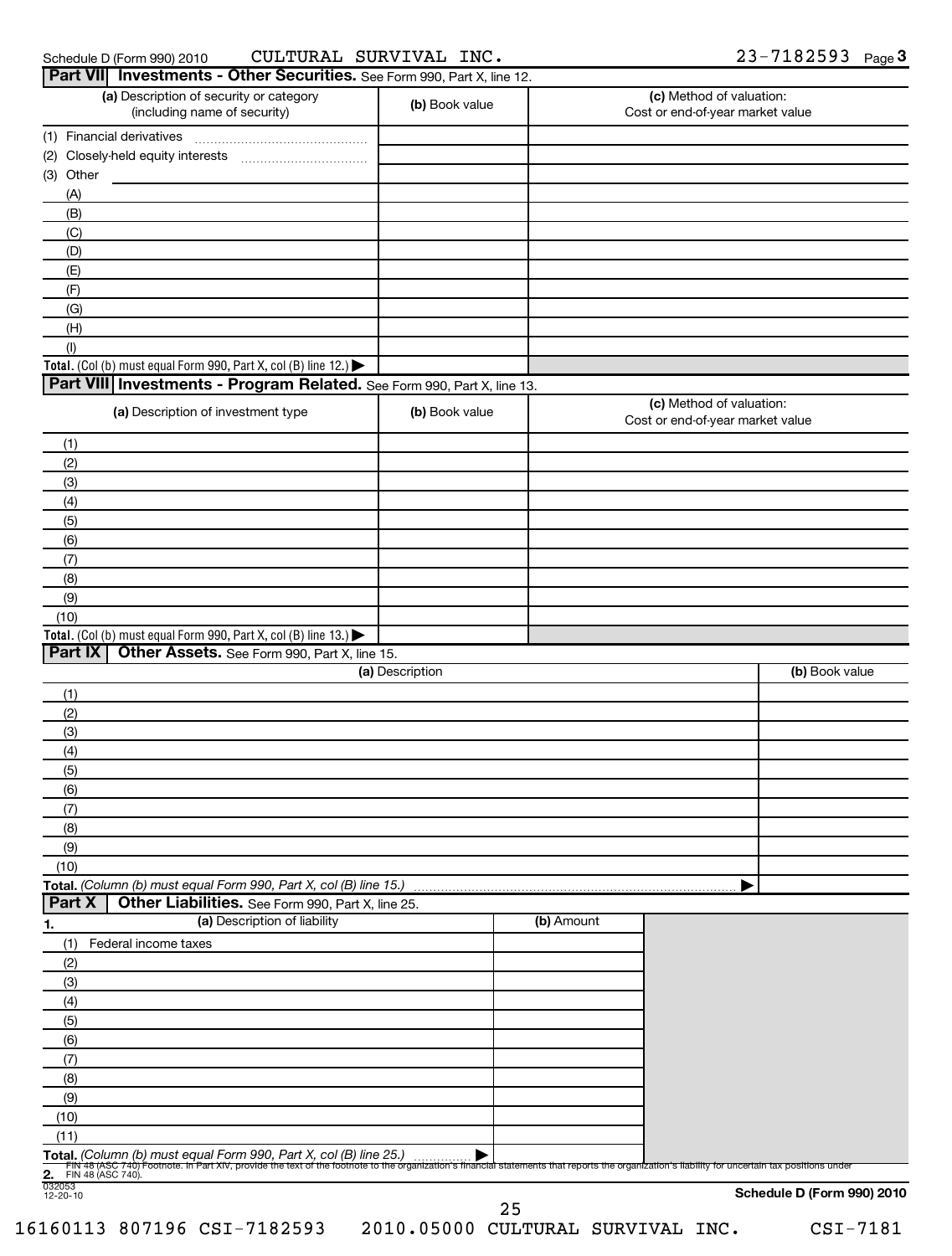| Schedule D (Form 990) 2010 |
|----------------------------|
|----------------------------|

### Schedule D (Form 990) 2010  ${\bf CULTURAL}$   ${\bf SURVIVAL}$   ${\bf INC.}$   ${\bf 23-7182593}$  Page CULTURAL SURVIVAL INC. 23-7182593

|                                                     | Part VII Investments - Other Securities. See Form 990, Part X, line 12.                                                                                                                                                                                               |                 |            |                                                              |                            |
|-----------------------------------------------------|-----------------------------------------------------------------------------------------------------------------------------------------------------------------------------------------------------------------------------------------------------------------------|-----------------|------------|--------------------------------------------------------------|----------------------------|
|                                                     | (a) Description of security or category<br>(including name of security)                                                                                                                                                                                               | (b) Book value  |            | (c) Method of valuation:<br>Cost or end-of-year market value |                            |
|                                                     | (1) Financial derivatives                                                                                                                                                                                                                                             |                 |            |                                                              |                            |
|                                                     |                                                                                                                                                                                                                                                                       |                 |            |                                                              |                            |
| (3) Other                                           |                                                                                                                                                                                                                                                                       |                 |            |                                                              |                            |
| (A)                                                 |                                                                                                                                                                                                                                                                       |                 |            |                                                              |                            |
| (B)                                                 |                                                                                                                                                                                                                                                                       |                 |            |                                                              |                            |
| (C)                                                 |                                                                                                                                                                                                                                                                       |                 |            |                                                              |                            |
| (D)                                                 |                                                                                                                                                                                                                                                                       |                 |            |                                                              |                            |
| (E)                                                 |                                                                                                                                                                                                                                                                       |                 |            |                                                              |                            |
| (F)                                                 |                                                                                                                                                                                                                                                                       |                 |            |                                                              |                            |
| (G)                                                 |                                                                                                                                                                                                                                                                       |                 |            |                                                              |                            |
| (H)                                                 |                                                                                                                                                                                                                                                                       |                 |            |                                                              |                            |
| (1)                                                 | Total. (Col (b) must equal Form 990, Part X, col (B) line 12.)                                                                                                                                                                                                        |                 |            |                                                              |                            |
|                                                     | Part VIII Investments - Program Related. See Form 990, Part X, line 13.                                                                                                                                                                                               |                 |            |                                                              |                            |
|                                                     |                                                                                                                                                                                                                                                                       |                 |            | (c) Method of valuation:                                     |                            |
|                                                     | (a) Description of investment type                                                                                                                                                                                                                                    | (b) Book value  |            | Cost or end-of-year market value                             |                            |
| (1)                                                 |                                                                                                                                                                                                                                                                       |                 |            |                                                              |                            |
| (2)<br>(3)                                          |                                                                                                                                                                                                                                                                       |                 |            |                                                              |                            |
| (4)                                                 |                                                                                                                                                                                                                                                                       |                 |            |                                                              |                            |
| (5)                                                 |                                                                                                                                                                                                                                                                       |                 |            |                                                              |                            |
| (6)                                                 |                                                                                                                                                                                                                                                                       |                 |            |                                                              |                            |
| (7)                                                 |                                                                                                                                                                                                                                                                       |                 |            |                                                              |                            |
| (8)                                                 |                                                                                                                                                                                                                                                                       |                 |            |                                                              |                            |
| (9)                                                 |                                                                                                                                                                                                                                                                       |                 |            |                                                              |                            |
| (10)                                                |                                                                                                                                                                                                                                                                       |                 |            |                                                              |                            |
|                                                     | Total. (Col (b) must equal Form 990, Part X, col (B) line 13.) $\blacktriangleright$                                                                                                                                                                                  |                 |            |                                                              |                            |
| Part IX                                             | Other Assets. See Form 990, Part X, line 15.                                                                                                                                                                                                                          |                 |            |                                                              |                            |
|                                                     |                                                                                                                                                                                                                                                                       | (a) Description |            |                                                              | (b) Book value             |
| (1)                                                 |                                                                                                                                                                                                                                                                       |                 |            |                                                              |                            |
| (2)                                                 |                                                                                                                                                                                                                                                                       |                 |            |                                                              |                            |
| (3)                                                 |                                                                                                                                                                                                                                                                       |                 |            |                                                              |                            |
| (4)                                                 |                                                                                                                                                                                                                                                                       |                 |            |                                                              |                            |
| (5)                                                 |                                                                                                                                                                                                                                                                       |                 |            |                                                              |                            |
| (6)<br>(7)                                          |                                                                                                                                                                                                                                                                       |                 |            |                                                              |                            |
| (8)                                                 |                                                                                                                                                                                                                                                                       |                 |            |                                                              |                            |
| (9)                                                 |                                                                                                                                                                                                                                                                       |                 |            |                                                              |                            |
| (10)                                                |                                                                                                                                                                                                                                                                       |                 |            |                                                              |                            |
|                                                     | Total. (Column (b) must equal Form 990, Part X, col (B) line 15.)                                                                                                                                                                                                     |                 |            |                                                              |                            |
| Part X                                              | Other Liabilities. See Form 990, Part X, line 25.                                                                                                                                                                                                                     |                 |            |                                                              |                            |
| <u>1.</u>                                           | (a) Description of liability                                                                                                                                                                                                                                          |                 | (b) Amount |                                                              |                            |
| (1)                                                 | Federal income taxes                                                                                                                                                                                                                                                  |                 |            |                                                              |                            |
| (2)                                                 |                                                                                                                                                                                                                                                                       |                 |            |                                                              |                            |
| (3)                                                 |                                                                                                                                                                                                                                                                       |                 |            |                                                              |                            |
| (4)                                                 |                                                                                                                                                                                                                                                                       |                 |            |                                                              |                            |
| (5)                                                 |                                                                                                                                                                                                                                                                       |                 |            |                                                              |                            |
| (6)                                                 |                                                                                                                                                                                                                                                                       |                 |            |                                                              |                            |
| (7)                                                 |                                                                                                                                                                                                                                                                       |                 |            |                                                              |                            |
| (8)                                                 |                                                                                                                                                                                                                                                                       |                 |            |                                                              |                            |
| (9)                                                 |                                                                                                                                                                                                                                                                       |                 |            |                                                              |                            |
| (10)                                                |                                                                                                                                                                                                                                                                       |                 |            |                                                              |                            |
| (11)                                                |                                                                                                                                                                                                                                                                       |                 |            |                                                              |                            |
|                                                     | Total. (Column (b) must equal Form 990, Part X, col (B) line 25.)<br>Fily 48 (ASC 740) Footnote. In Part XIV, provide the text of the footnote to the organization's financial statements that reports the organization's liability for uncertain tax positions under |                 |            |                                                              |                            |
| 2. FIN 4<br>032053<br>12-20-10<br>FIN 48 (ASC 740). |                                                                                                                                                                                                                                                                       |                 |            |                                                              |                            |
|                                                     |                                                                                                                                                                                                                                                                       |                 | 25         |                                                              | Schedule D (Form 990) 2010 |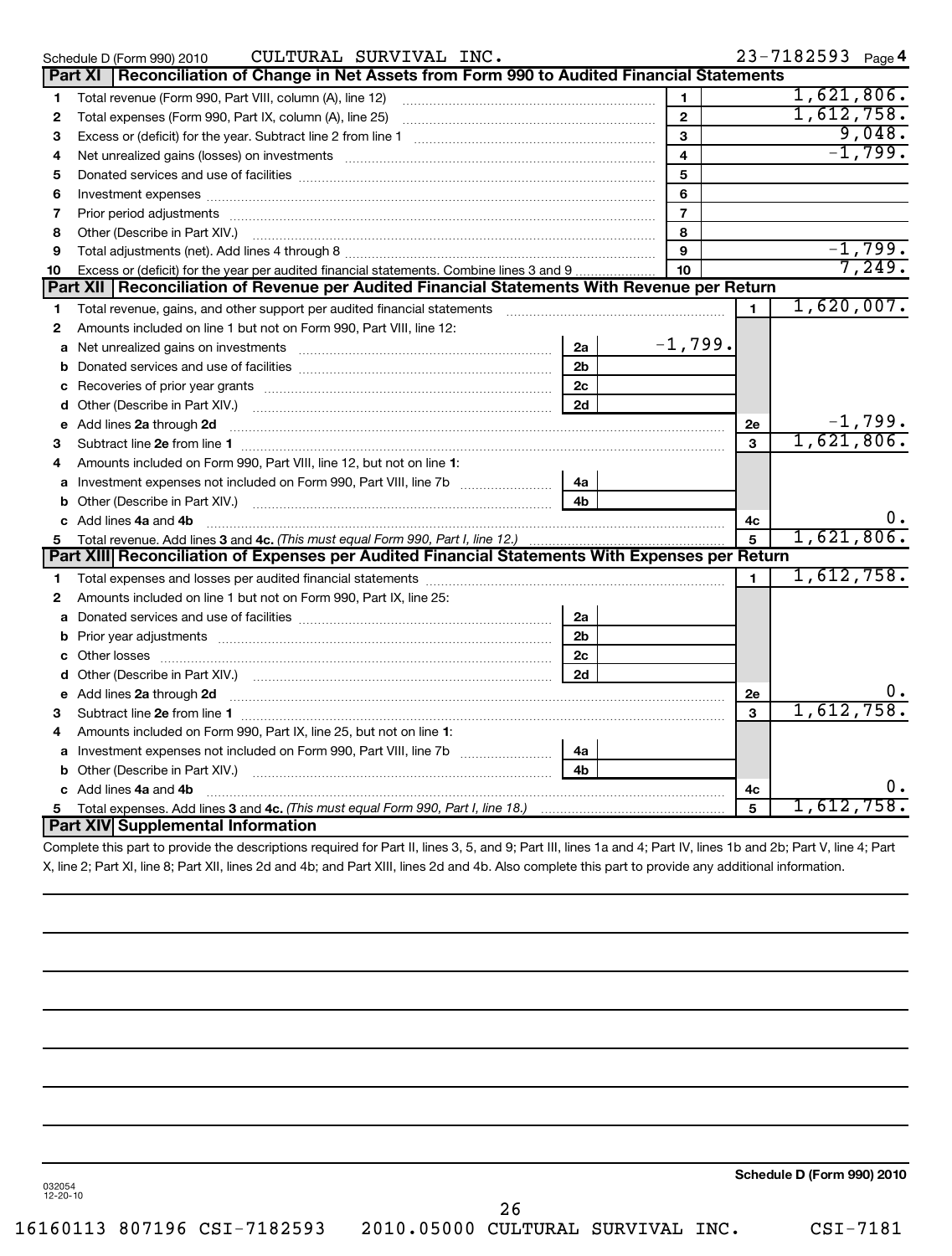|              | CULTURAL SURVIVAL INC.<br>Schedule D (Form 990) 2010                                                                    |                |                 |                | 23-7182593 Page 4 |    |
|--------------|-------------------------------------------------------------------------------------------------------------------------|----------------|-----------------|----------------|-------------------|----|
|              | Part XI   Reconciliation of Change in Net Assets from Form 990 to Audited Financial Statements                          |                |                 |                |                   |    |
| 1            | Total revenue (Form 990, Part VIII, column (A), line 12)                                                                |                | 1               |                | 1,621,806.        |    |
| 2            | Total expenses (Form 990, Part IX, column (A), line 25) [11] [12] manuscription of the system of the system of          |                | $\mathbf{2}$    |                | 1,612,758.        |    |
| з            |                                                                                                                         |                | 3               |                | 9,048.            |    |
| 4            | Net unrealized gains (losses) on investments [11] matter continuum matter is a set of the set of the set of the         |                | $\overline{4}$  |                | $-1,799.$         |    |
| 5            |                                                                                                                         |                | 5               |                |                   |    |
| 6            |                                                                                                                         |                | 6               |                |                   |    |
| 7            |                                                                                                                         |                | $\overline{7}$  |                |                   |    |
| 8            |                                                                                                                         |                | 8               |                |                   |    |
| 9            |                                                                                                                         |                | 9               |                | $-1,799.$         |    |
| 10           | Excess or (deficit) for the year per audited financial statements. Combine lines 3 and 9                                |                | 10 <sup>1</sup> |                | 7,249.            |    |
|              | Part XII   Reconciliation of Revenue per Audited Financial Statements With Revenue per Return                           |                |                 |                |                   |    |
| 1            |                                                                                                                         |                |                 | $\blacksquare$ | 1,620,007.        |    |
| 2            | Amounts included on line 1 but not on Form 990, Part VIII, line 12:                                                     |                |                 |                |                   |    |
| a            | Net unrealized gains on investments [11] matter contracts and the unrealized gains on investments [11] matter           | 2a             | $-1,799.$       |                |                   |    |
| b            |                                                                                                                         | 2 <sub>b</sub> |                 |                |                   |    |
| c            |                                                                                                                         | 2 <sub>c</sub> |                 |                |                   |    |
| d            |                                                                                                                         | 2d             |                 |                |                   |    |
|              | e Add lines 2a through 2d                                                                                               |                |                 | 2e             | $-1,799.$         |    |
| 3            |                                                                                                                         |                |                 | 3              | 1,621,806.        |    |
| 4            | Amounts included on Form 990, Part VIII, line 12, but not on line 1:                                                    |                |                 |                |                   |    |
|              | a Investment expenses not included on Form 990, Part VIII, line 7b [11, 11, 11, 11]                                     | 4а             |                 |                |                   |    |
| b            |                                                                                                                         | 4 <sub>b</sub> |                 |                |                   |    |
|              | c Add lines 4a and 4b                                                                                                   |                |                 | 4c             |                   | υ. |
| 5            | Total revenue. Add lines 3 and 4c. (This must equal Form 990, Part I, line 12.)                                         |                |                 | $\overline{5}$ | 1,621,806.        |    |
|              | Part XIII Reconciliation of Expenses per Audited Financial Statements With Expenses per Return                          |                |                 |                |                   |    |
| 1            |                                                                                                                         |                |                 | $\mathbf{1}$   | 1,612,758.        |    |
| $\mathbf{2}$ | Amounts included on line 1 but not on Form 990, Part IX, line 25:                                                       |                |                 |                |                   |    |
| a            |                                                                                                                         | 2a             |                 |                |                   |    |
| b            |                                                                                                                         | 2 <sub>b</sub> |                 |                |                   |    |
|              |                                                                                                                         | 2c             |                 |                |                   |    |
| d            |                                                                                                                         | 2d             |                 |                |                   |    |
|              | Add lines 2a through 2d <b>continuum continuum contracts</b> and an analysis of the continuum contracts and an analysis |                |                 | 2е             |                   |    |
| з            |                                                                                                                         |                |                 | 3              | 1,612,758         |    |
| 4            | Amounts included on Form 990, Part IX, line 25, but not on line 1:                                                      |                |                 |                |                   |    |
|              |                                                                                                                         | 4a             |                 |                |                   |    |
| b            |                                                                                                                         | 4b             |                 |                |                   |    |
|              | c Add lines 4a and 4b                                                                                                   |                |                 | 4c             |                   |    |
|              |                                                                                                                         |                |                 | 5              | 1,612,758.        |    |
|              | Part XIV Supplemental Information                                                                                       |                |                 |                |                   |    |
|              |                                                                                                                         |                |                 |                |                   |    |

Complete this part to provide the descriptions required for Part II, lines 3, 5, and 9; Part III, lines 1a and 4; Part IV, lines 1b and 2b; Part V, line 4; Part X, line 2; Part XI, line 8; Part XII, lines 2d and 4b; and Part XIII, lines 2d and 4b. Also complete this part to provide any additional information.

**Schedule D (Form 990) 2010**

032054 12-20-10

26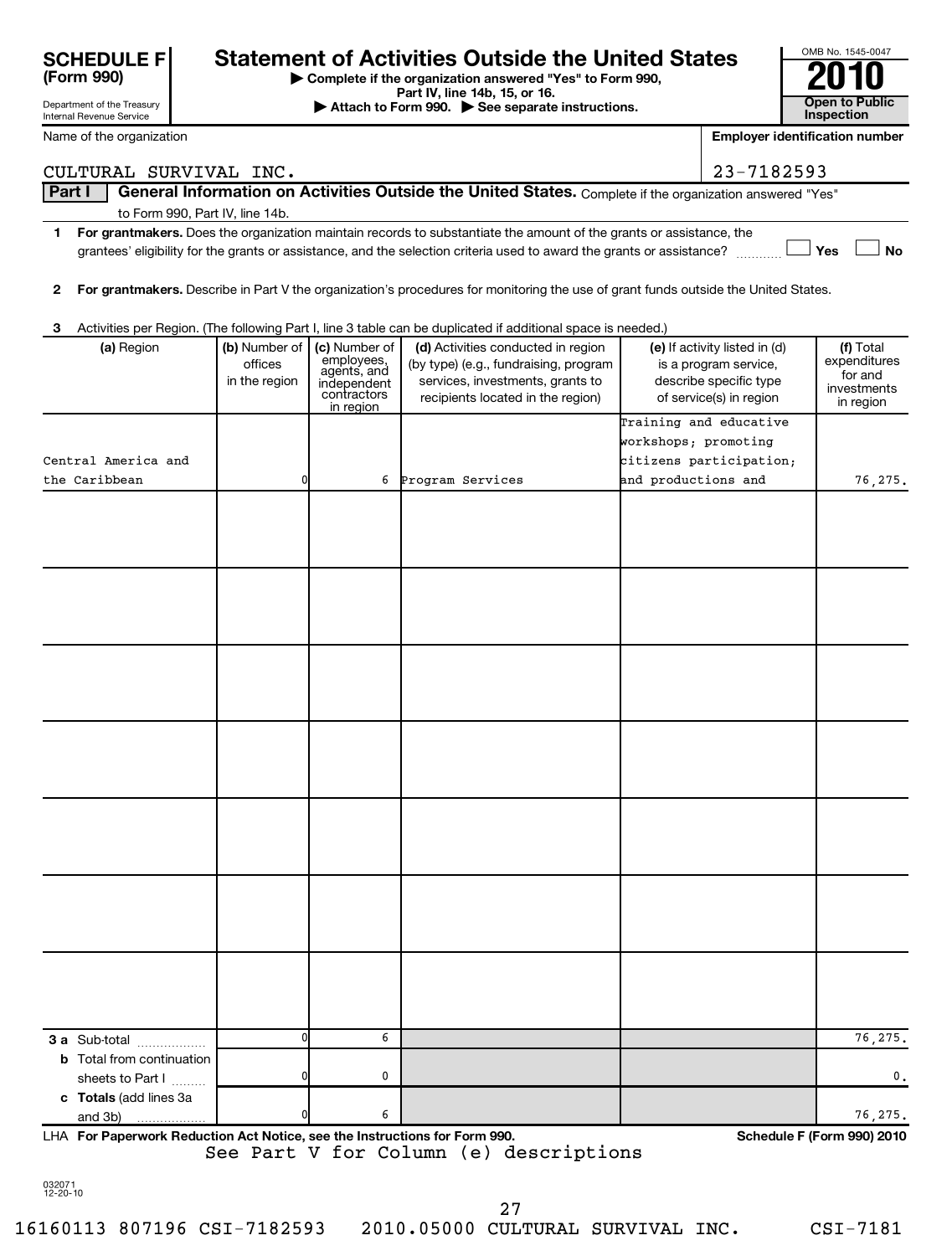| Department of the Treasury<br>Internal Revenue Service                                                            |                          |                             | Attach to Form 990. See separate instructions.                                                                                     |                      |                                                               | <b>Open to Public</b><br>Inspection   |  |
|-------------------------------------------------------------------------------------------------------------------|--------------------------|-----------------------------|------------------------------------------------------------------------------------------------------------------------------------|----------------------|---------------------------------------------------------------|---------------------------------------|--|
| Name of the organization                                                                                          |                          |                             |                                                                                                                                    |                      |                                                               | <b>Employer identification number</b> |  |
| CULTURAL SURVIVAL INC.                                                                                            |                          |                             |                                                                                                                                    |                      |                                                               |                                       |  |
| Part I                                                                                                            |                          |                             | General Information on Activities Outside the United States. Complete if the organization answered "Yes"                           |                      |                                                               |                                       |  |
| to Form 990, Part IV, line 14b.                                                                                   |                          |                             |                                                                                                                                    |                      |                                                               |                                       |  |
| 1.                                                                                                                |                          |                             | For grantmakers. Does the organization maintain records to substantiate the amount of the grants or assistance, the                |                      |                                                               |                                       |  |
|                                                                                                                   |                          |                             | grantees' eligibility for the grants or assistance, and the selection criteria used to award the grants or assistance?             |                      |                                                               | Yes<br><b>No</b>                      |  |
| 2                                                                                                                 |                          |                             | For grantmakers. Describe in Part V the organization's procedures for monitoring the use of grant funds outside the United States. |                      |                                                               |                                       |  |
|                                                                                                                   |                          |                             |                                                                                                                                    |                      |                                                               |                                       |  |
| Activities per Region. (The following Part I, line 3 table can be duplicated if additional space is needed.)<br>3 |                          |                             |                                                                                                                                    |                      |                                                               |                                       |  |
| (a) Region                                                                                                        | (b) Number of            | (c) Number of<br>employees, | (d) Activities conducted in region                                                                                                 |                      | (e) If activity listed in (d)                                 | (f) Total<br>expenditures             |  |
|                                                                                                                   | offices<br>in the region | agents, and<br>independent  | (by type) (e.g., fundraising, program<br>services, investments, grants to                                                          |                      |                                                               | for and                               |  |
|                                                                                                                   |                          | contractors                 | recipients located in the region)                                                                                                  |                      | of service(s) in region                                       | investments<br>in region              |  |
|                                                                                                                   |                          | in region                   |                                                                                                                                    |                      | Training and educative                                        |                                       |  |
|                                                                                                                   |                          |                             |                                                                                                                                    | workshops; promoting |                                                               |                                       |  |
| Central America and                                                                                               |                          |                             |                                                                                                                                    |                      | citizens participation;                                       |                                       |  |
| the Caribbean                                                                                                     | n                        | 6                           | Program Services                                                                                                                   | and productions and  |                                                               | 76,275.                               |  |
|                                                                                                                   |                          |                             |                                                                                                                                    |                      |                                                               |                                       |  |
|                                                                                                                   |                          |                             |                                                                                                                                    |                      |                                                               |                                       |  |
|                                                                                                                   |                          |                             |                                                                                                                                    |                      |                                                               |                                       |  |
|                                                                                                                   |                          |                             |                                                                                                                                    |                      |                                                               |                                       |  |
|                                                                                                                   |                          |                             |                                                                                                                                    |                      |                                                               |                                       |  |
|                                                                                                                   |                          |                             |                                                                                                                                    |                      |                                                               |                                       |  |
|                                                                                                                   |                          |                             |                                                                                                                                    |                      |                                                               |                                       |  |
|                                                                                                                   |                          |                             |                                                                                                                                    |                      |                                                               |                                       |  |
|                                                                                                                   |                          |                             |                                                                                                                                    |                      |                                                               |                                       |  |
|                                                                                                                   |                          |                             |                                                                                                                                    |                      |                                                               |                                       |  |
|                                                                                                                   |                          |                             |                                                                                                                                    |                      | 23-7182593<br>is a program service,<br>describe specific type |                                       |  |
|                                                                                                                   |                          |                             |                                                                                                                                    |                      |                                                               |                                       |  |
|                                                                                                                   |                          |                             |                                                                                                                                    |                      |                                                               |                                       |  |
|                                                                                                                   |                          |                             |                                                                                                                                    |                      |                                                               |                                       |  |
|                                                                                                                   |                          |                             |                                                                                                                                    |                      |                                                               |                                       |  |
|                                                                                                                   |                          |                             |                                                                                                                                    |                      |                                                               |                                       |  |
|                                                                                                                   |                          |                             |                                                                                                                                    |                      |                                                               |                                       |  |
|                                                                                                                   |                          |                             |                                                                                                                                    |                      |                                                               |                                       |  |
|                                                                                                                   |                          |                             |                                                                                                                                    |                      |                                                               |                                       |  |
|                                                                                                                   |                          |                             |                                                                                                                                    |                      |                                                               |                                       |  |
|                                                                                                                   |                          |                             |                                                                                                                                    |                      |                                                               |                                       |  |
|                                                                                                                   |                          |                             |                                                                                                                                    |                      |                                                               |                                       |  |
|                                                                                                                   |                          |                             |                                                                                                                                    |                      |                                                               |                                       |  |
|                                                                                                                   | $\Omega$                 | 6                           |                                                                                                                                    |                      |                                                               |                                       |  |
| 3 a Sub-total<br><b>b</b> Total from continuation                                                                 |                          |                             |                                                                                                                                    |                      |                                                               | 76,275.                               |  |
| sheets to Part I                                                                                                  |                          | 0                           |                                                                                                                                    |                      |                                                               | 0.                                    |  |
| c Totals (add lines 3a                                                                                            |                          |                             |                                                                                                                                    |                      |                                                               |                                       |  |
| and 3b)                                                                                                           |                          | 6                           |                                                                                                                                    |                      |                                                               | 76,275.                               |  |

**For Paperwork Reduction Act Notice, see the Instructions for Form 990. Schedule F (Form 990) 2010** LHA See Part V for Column (e) descriptions

OMB No. 1545-0047

032071 12-20-10

| Complete if the organization answered "Yes" to Form 990,                                   | ZU IU          |
|--------------------------------------------------------------------------------------------|----------------|
| Part IV, line 14b, 15, or 16.                                                              |                |
| $\blacktriangleright$ Attach to Form $990$ $\blacktriangleright$ See senarate instructions | Open to Public |

# **(Form 990) SCHEDULE F** Statement of Activities Outside the United States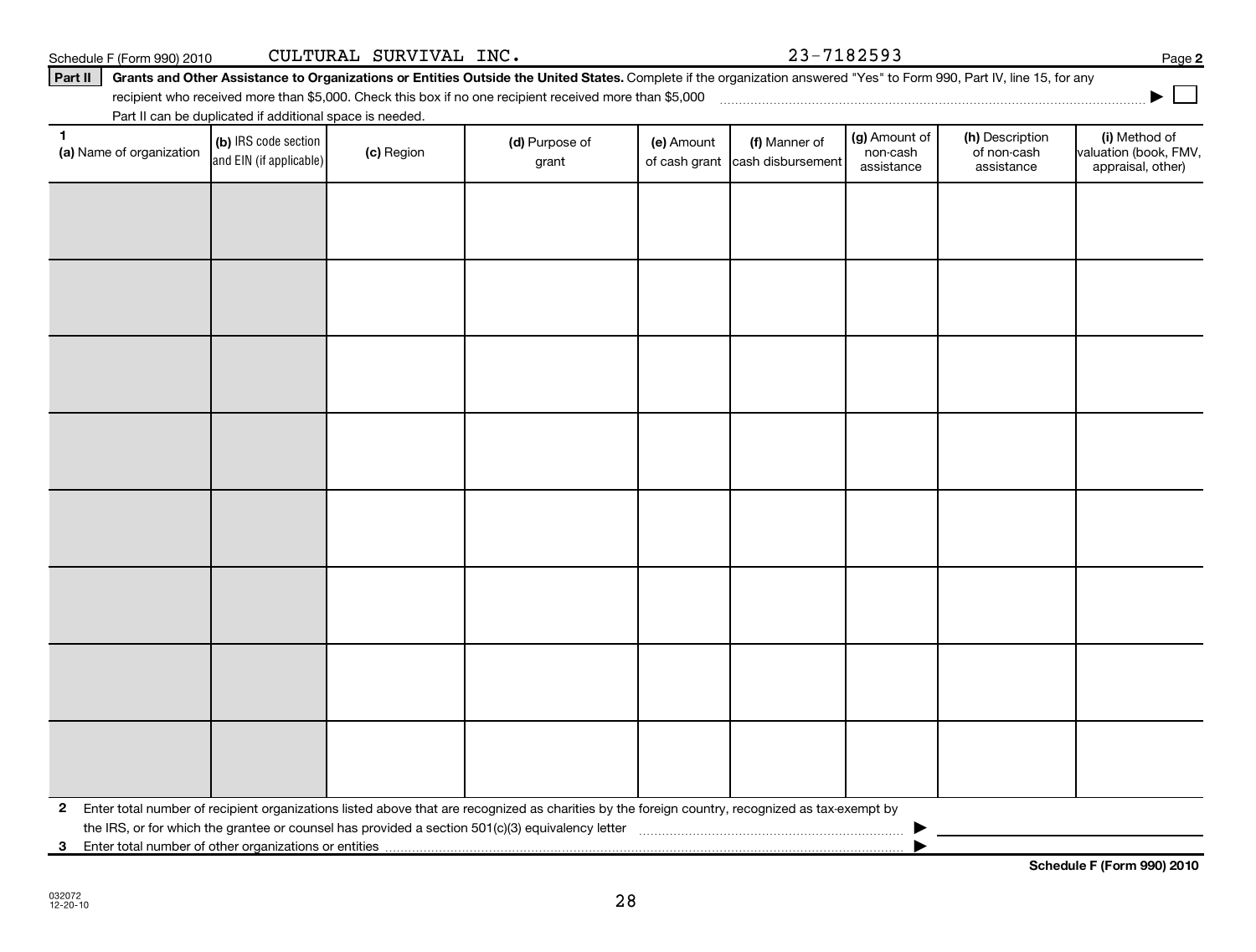| $\mathbf{2}$ |  | Enter total number of recipient organizations listed above that are recognized as charities by the foreign country, recognized as tax-exempt by<br>the IRS, or for which the grantee or counsel has provided a section 501(c)(3) equivalency letter |  |  |  |
|--------------|--|-----------------------------------------------------------------------------------------------------------------------------------------------------------------------------------------------------------------------------------------------------|--|--|--|

**(a)** Name of organization (b) IRS code section (c) Region (c) Region (d) Purpose of (e) Amount (f) Manner of (g) Amount of (h) Description (i) (a) Name of organization (f) IRS code section (c) Region (d) Purpose of (d) Am

grant

 $\begin{array}{|c|c|c|}\n\hline\n\text{(c) Region} & \text{(d) Purpose of} \\
\hline\n\end{array}$ 

recipient who received more than \$5,000. Check this box if no one recipient received more than \$5,000 ~~~~~~~~~~~~~~~~~~~~~~~~~~~~~~~~~~~~~ Part II can be duplicated if additional space is needed.

> (b) IRS code section and EIN (if applicable)

Schedule F (Form 990) 2010 Page CULTURAL SURVIVAL INC. 23-7182593

(g) Amount of non-cash assistance

(h) Description of non-cash assistance

(f) Manner of cash disbursement **2**

**|**

(i) Method of valuation (book, FMV, appraisal, other)

**Schedule F (Form 990) 2010**

**3** Enter total number of other organizations or entities |

(e) Amount of cash grant

|  |  |  | Part II Grants and Other Assistance to Organizations or Entities Outside the United States. Complete if the organization answered "Yes" to Form 990, Part IV, line 15, for any |
|--|--|--|--------------------------------------------------------------------------------------------------------------------------------------------------------------------------------|

(a) Name of organization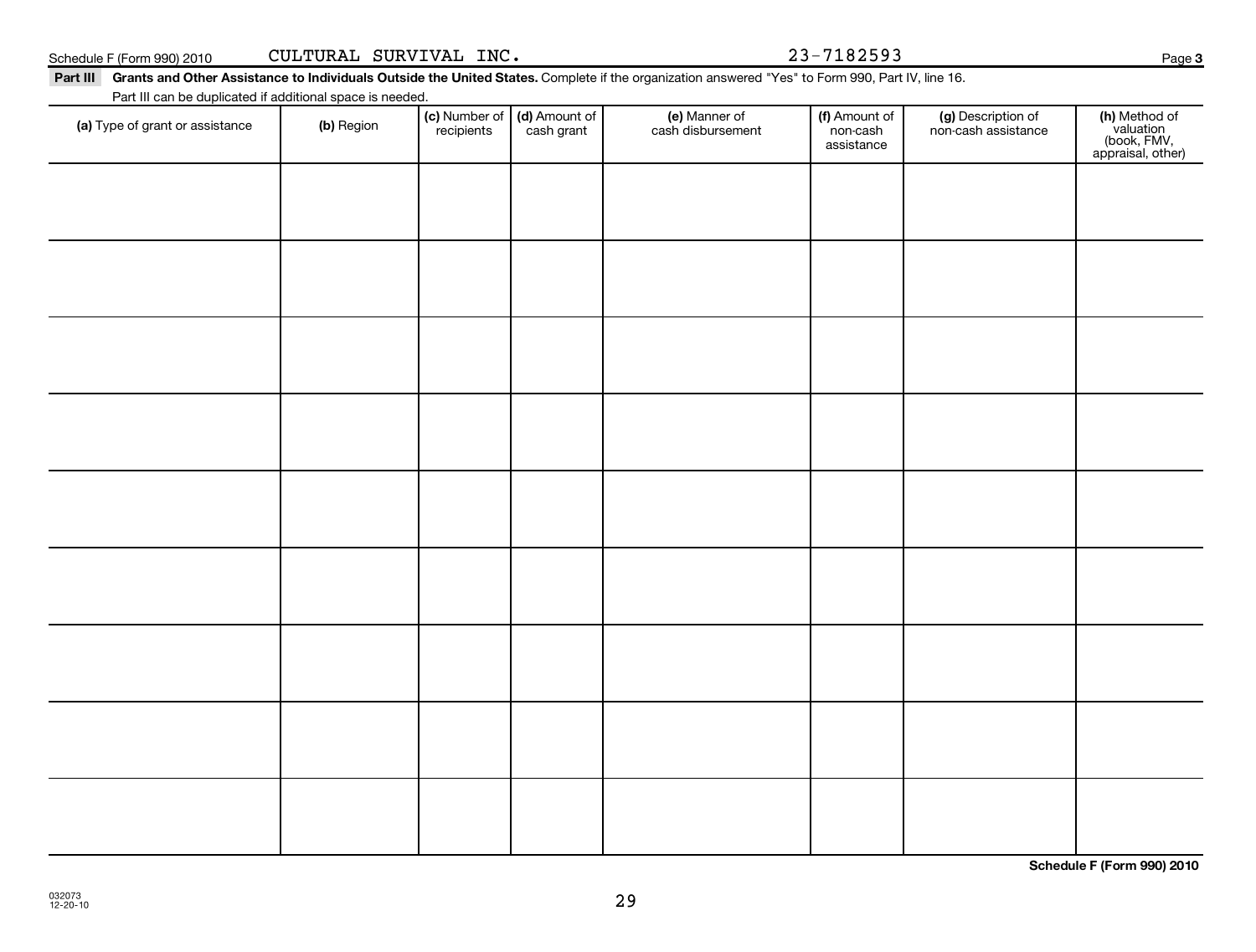**Schedule F (Form 990) 2010**

**3**

Schedule F (Form 990) 2010 Page CULTURAL SURVIVAL INC. 23-7182593

### Part III Grants and Other Assistance to Individuals Outside the United States. Complete if the organization answered "Yes" to Form 990, Part IV, line 16.

Part III can be duplicated if additional space is needed.

| Part in carr be duplicated if additional space is needed.<br>(a) Type of grant or assistance | (b) Region | (c) Number of (d) Amount of<br>recipients cash grant | (e) Manner of<br>cash disbursement | (f) Amount of<br>non-cash<br>assistance | (g) Description of<br>non-cash assistance | (h) Method of<br>valuation<br>(book, FMV,<br>appraisal, other) |
|----------------------------------------------------------------------------------------------|------------|------------------------------------------------------|------------------------------------|-----------------------------------------|-------------------------------------------|----------------------------------------------------------------|
|                                                                                              |            |                                                      |                                    |                                         |                                           |                                                                |
|                                                                                              |            |                                                      |                                    |                                         |                                           |                                                                |
|                                                                                              |            |                                                      |                                    |                                         |                                           |                                                                |
|                                                                                              |            |                                                      |                                    |                                         |                                           |                                                                |
|                                                                                              |            |                                                      |                                    |                                         |                                           |                                                                |
|                                                                                              |            |                                                      |                                    |                                         |                                           |                                                                |
|                                                                                              |            |                                                      |                                    |                                         |                                           |                                                                |
|                                                                                              |            |                                                      |                                    |                                         |                                           |                                                                |
|                                                                                              |            |                                                      |                                    |                                         |                                           |                                                                |
|                                                                                              |            |                                                      |                                    |                                         |                                           |                                                                |

29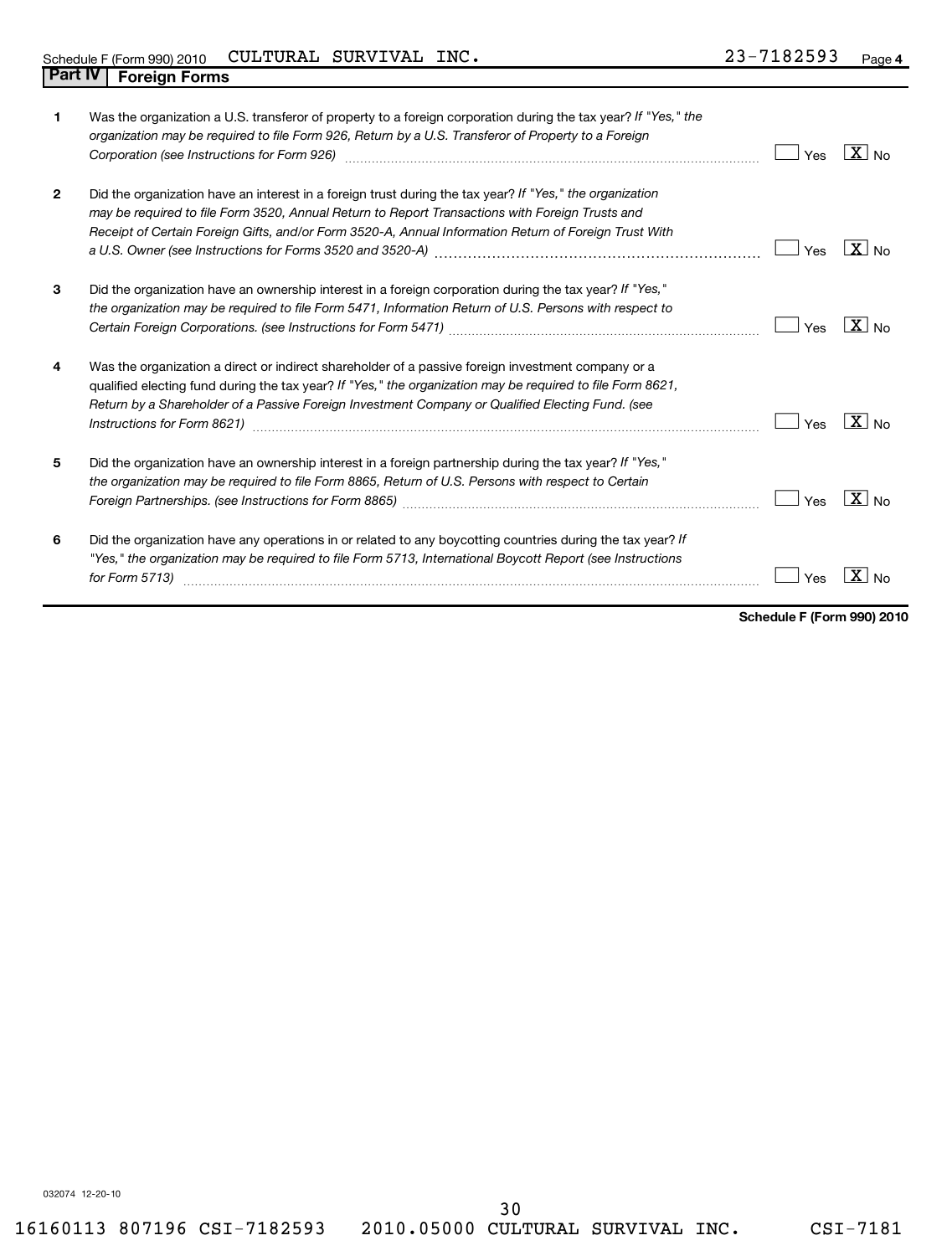| 1            | Was the organization a U.S. transferor of property to a foreign corporation during the tax year? If "Yes," the<br>organization may be required to file Form 926, Return by a U.S. Transferor of Property to a Foreign<br>Corporation (see Instructions for Form 926) [11] Corporation (see Instruction of School of School (see Instructions for Form 926) [11] [12] Corporation (see Instructions for Form 926) [11] [12] [12] [12] [12] [12] [12] [12 | Yes | $\overline{X}$ No |
|--------------|---------------------------------------------------------------------------------------------------------------------------------------------------------------------------------------------------------------------------------------------------------------------------------------------------------------------------------------------------------------------------------------------------------------------------------------------------------|-----|-------------------|
| $\mathbf{2}$ | Did the organization have an interest in a foreign trust during the tax year? If "Yes," the organization<br>may be required to file Form 3520, Annual Return to Report Transactions with Foreign Trusts and<br>Receipt of Certain Foreign Gifts, and/or Form 3520-A, Annual Information Return of Foreign Trust With                                                                                                                                    | Yes | $X_{\text{No}}$   |
| 3            | Did the organization have an ownership interest in a foreign corporation during the tax year? If "Yes,"<br>the organization may be required to file Form 5471, Information Return of U.S. Persons with respect to                                                                                                                                                                                                                                       | Yes | $X_{N0}$          |
| 4            | Was the organization a direct or indirect shareholder of a passive foreign investment company or a<br>qualified electing fund during the tax year? If "Yes," the organization may be required to file Form 8621,<br>Return by a Shareholder of a Passive Foreign Investment Company or Qualified Electing Fund. (see                                                                                                                                    | Yes | $X_{N0}$          |
| 5            | Did the organization have an ownership interest in a foreign partnership during the tax year? If "Yes,"<br>the organization may be required to file Form 8865, Return of U.S. Persons with respect to Certain                                                                                                                                                                                                                                           | Yes | $\overline{X}$ No |
| 6            | Did the organization have any operations in or related to any boycotting countries during the tax year? If<br>"Yes," the organization may be required to file Form 5713, International Boycott Report (see Instructions<br>for Form 5713)                                                                                                                                                                                                               | Yes | $\mathbf{x}$      |

**Schedule F (Form 990) 2010**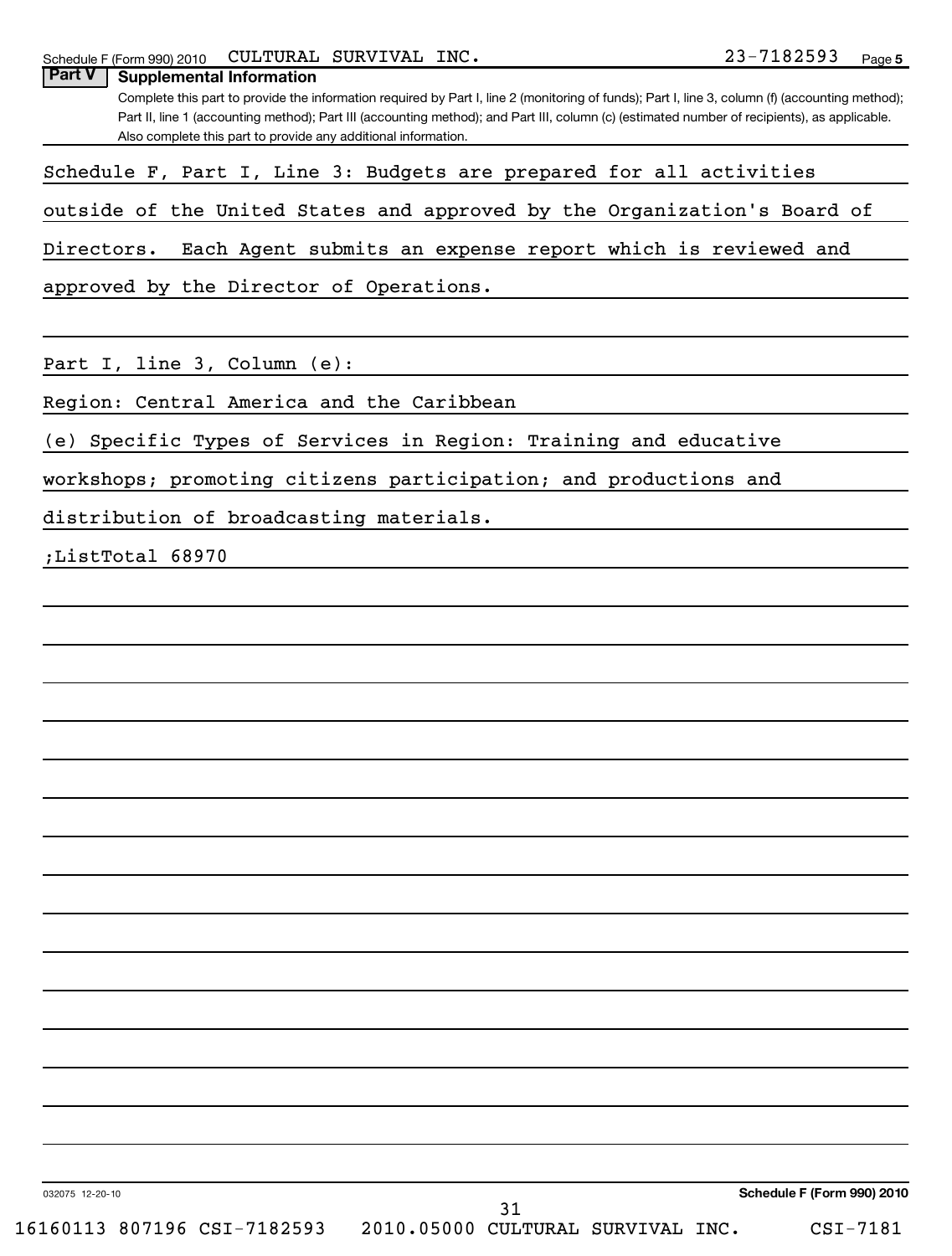|                 |                                                                                                                                                                                                                                                                                                                                                                                                                                                                                                                                                                                                                                                                                                                    | Part II, line 1 (accounting method); Part III (accounting method); and Part III, column (c) (estimated number of recipients), as applicable. |            |
|-----------------|--------------------------------------------------------------------------------------------------------------------------------------------------------------------------------------------------------------------------------------------------------------------------------------------------------------------------------------------------------------------------------------------------------------------------------------------------------------------------------------------------------------------------------------------------------------------------------------------------------------------------------------------------------------------------------------------------------------------|----------------------------------------------------------------------------------------------------------------------------------------------|------------|
|                 |                                                                                                                                                                                                                                                                                                                                                                                                                                                                                                                                                                                                                                                                                                                    |                                                                                                                                              |            |
|                 |                                                                                                                                                                                                                                                                                                                                                                                                                                                                                                                                                                                                                                                                                                                    |                                                                                                                                              |            |
| Directors.      |                                                                                                                                                                                                                                                                                                                                                                                                                                                                                                                                                                                                                                                                                                                    |                                                                                                                                              |            |
|                 |                                                                                                                                                                                                                                                                                                                                                                                                                                                                                                                                                                                                                                                                                                                    |                                                                                                                                              |            |
|                 |                                                                                                                                                                                                                                                                                                                                                                                                                                                                                                                                                                                                                                                                                                                    |                                                                                                                                              |            |
|                 |                                                                                                                                                                                                                                                                                                                                                                                                                                                                                                                                                                                                                                                                                                                    |                                                                                                                                              |            |
|                 |                                                                                                                                                                                                                                                                                                                                                                                                                                                                                                                                                                                                                                                                                                                    |                                                                                                                                              |            |
|                 |                                                                                                                                                                                                                                                                                                                                                                                                                                                                                                                                                                                                                                                                                                                    |                                                                                                                                              |            |
|                 |                                                                                                                                                                                                                                                                                                                                                                                                                                                                                                                                                                                                                                                                                                                    |                                                                                                                                              |            |
|                 |                                                                                                                                                                                                                                                                                                                                                                                                                                                                                                                                                                                                                                                                                                                    |                                                                                                                                              |            |
|                 |                                                                                                                                                                                                                                                                                                                                                                                                                                                                                                                                                                                                                                                                                                                    |                                                                                                                                              |            |
|                 |                                                                                                                                                                                                                                                                                                                                                                                                                                                                                                                                                                                                                                                                                                                    |                                                                                                                                              |            |
|                 |                                                                                                                                                                                                                                                                                                                                                                                                                                                                                                                                                                                                                                                                                                                    |                                                                                                                                              |            |
|                 |                                                                                                                                                                                                                                                                                                                                                                                                                                                                                                                                                                                                                                                                                                                    |                                                                                                                                              |            |
|                 |                                                                                                                                                                                                                                                                                                                                                                                                                                                                                                                                                                                                                                                                                                                    |                                                                                                                                              |            |
|                 |                                                                                                                                                                                                                                                                                                                                                                                                                                                                                                                                                                                                                                                                                                                    |                                                                                                                                              |            |
|                 | Also complete this part to provide any additional information.<br>Schedule F, Part I, Line 3: Budgets are prepared for all activities<br>outside of the United States and approved by the Organization's Board of<br>Each Agent submits an expense report which is reviewed and<br>approved by the Director of Operations.<br>Part I, line 3, Column (e):<br>Region: Central America and the Caribbean<br>(e) Specific Types of Services in Region: Training and educative<br>workshops; promoting citizens participation; and productions and<br>distribution of broadcasting materials.<br>;ListTotal 68970<br>Schedule F (Form 990) 2010<br>31<br>16160113 807196 CSI-7182593 2010.05000 CULTURAL SURVIVAL INC. |                                                                                                                                              |            |
|                 |                                                                                                                                                                                                                                                                                                                                                                                                                                                                                                                                                                                                                                                                                                                    |                                                                                                                                              |            |
|                 |                                                                                                                                                                                                                                                                                                                                                                                                                                                                                                                                                                                                                                                                                                                    |                                                                                                                                              |            |
|                 |                                                                                                                                                                                                                                                                                                                                                                                                                                                                                                                                                                                                                                                                                                                    |                                                                                                                                              |            |
|                 |                                                                                                                                                                                                                                                                                                                                                                                                                                                                                                                                                                                                                                                                                                                    |                                                                                                                                              |            |
|                 |                                                                                                                                                                                                                                                                                                                                                                                                                                                                                                                                                                                                                                                                                                                    |                                                                                                                                              |            |
|                 |                                                                                                                                                                                                                                                                                                                                                                                                                                                                                                                                                                                                                                                                                                                    |                                                                                                                                              |            |
|                 |                                                                                                                                                                                                                                                                                                                                                                                                                                                                                                                                                                                                                                                                                                                    |                                                                                                                                              |            |
|                 |                                                                                                                                                                                                                                                                                                                                                                                                                                                                                                                                                                                                                                                                                                                    |                                                                                                                                              |            |
|                 |                                                                                                                                                                                                                                                                                                                                                                                                                                                                                                                                                                                                                                                                                                                    |                                                                                                                                              |            |
|                 |                                                                                                                                                                                                                                                                                                                                                                                                                                                                                                                                                                                                                                                                                                                    |                                                                                                                                              |            |
|                 |                                                                                                                                                                                                                                                                                                                                                                                                                                                                                                                                                                                                                                                                                                                    |                                                                                                                                              |            |
| 032075 12-20-10 |                                                                                                                                                                                                                                                                                                                                                                                                                                                                                                                                                                                                                                                                                                                    |                                                                                                                                              |            |
|                 |                                                                                                                                                                                                                                                                                                                                                                                                                                                                                                                                                                                                                                                                                                                    |                                                                                                                                              | $CSI-7181$ |

Schedule F (Form 990) 2010 CULI'UKAL SUKVIVAL INC Z 3- / I 8 Z 5 9 3 Page

**Part V Supplemental Information**

Complete this part to provide the information required by Part I, line 2 (monitoring of funds); Part I, line 3, column (f) (accounting method);

CULTURAL SURVIVAL INC. 23-7182593

**5**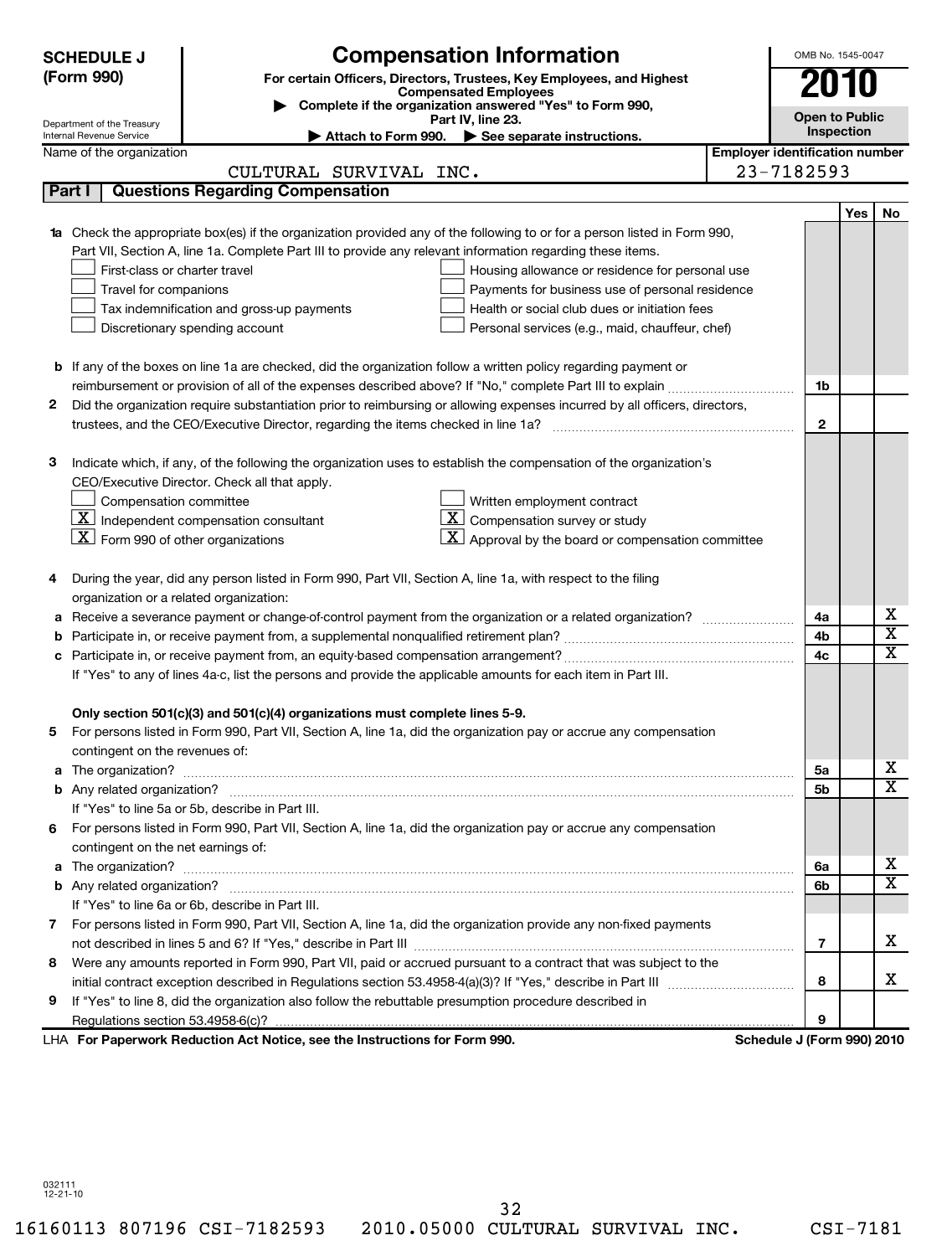|    | <b>Compensation Information</b><br><b>SCHEDULE J</b><br>(Form 990)<br>For certain Officers, Directors, Trustees, Key Employees, and Highest<br><b>Compensated Employees</b> |                                                                                                                            |                                       |                            |     |                         |  |  |
|----|-----------------------------------------------------------------------------------------------------------------------------------------------------------------------------|----------------------------------------------------------------------------------------------------------------------------|---------------------------------------|----------------------------|-----|-------------------------|--|--|
|    | Department of the Treasury                                                                                                                                                  | Complete if the organization answered "Yes" to Form 990,<br>Part IV, line 23.                                              |                                       | <b>Open to Public</b>      |     |                         |  |  |
|    | Internal Revenue Service                                                                                                                                                    | Attach to Form 990. See separate instructions.                                                                             |                                       | Inspection                 |     |                         |  |  |
|    | Name of the organization                                                                                                                                                    |                                                                                                                            | <b>Employer identification number</b> |                            |     |                         |  |  |
|    |                                                                                                                                                                             | CULTURAL SURVIVAL INC.                                                                                                     |                                       | 23-7182593                 |     |                         |  |  |
|    | Part I                                                                                                                                                                      | <b>Questions Regarding Compensation</b>                                                                                    |                                       |                            |     |                         |  |  |
|    |                                                                                                                                                                             |                                                                                                                            |                                       |                            | Yes | No                      |  |  |
|    |                                                                                                                                                                             | 1a Check the appropriate box(es) if the organization provided any of the following to or for a person listed in Form 990,  |                                       |                            |     |                         |  |  |
|    |                                                                                                                                                                             | Part VII, Section A, line 1a. Complete Part III to provide any relevant information regarding these items.                 |                                       |                            |     |                         |  |  |
|    | First-class or charter travel                                                                                                                                               | Housing allowance or residence for personal use                                                                            |                                       |                            |     |                         |  |  |
|    | Travel for companions                                                                                                                                                       | Payments for business use of personal residence                                                                            |                                       |                            |     |                         |  |  |
|    |                                                                                                                                                                             | Health or social club dues or initiation fees<br>Tax indemnification and gross-up payments                                 |                                       |                            |     |                         |  |  |
|    |                                                                                                                                                                             | Discretionary spending account<br>Personal services (e.g., maid, chauffeur, chef)                                          |                                       |                            |     |                         |  |  |
|    |                                                                                                                                                                             |                                                                                                                            |                                       |                            |     |                         |  |  |
|    |                                                                                                                                                                             | <b>b</b> If any of the boxes on line 1a are checked, did the organization follow a written policy regarding payment or     |                                       | 1b                         |     |                         |  |  |
| 2  |                                                                                                                                                                             | Did the organization require substantiation prior to reimbursing or allowing expenses incurred by all officers, directors, |                                       |                            |     |                         |  |  |
|    |                                                                                                                                                                             |                                                                                                                            |                                       | $\overline{2}$             |     |                         |  |  |
|    |                                                                                                                                                                             |                                                                                                                            |                                       |                            |     |                         |  |  |
| з  |                                                                                                                                                                             | Indicate which, if any, of the following the organization uses to establish the compensation of the organization's         |                                       |                            |     |                         |  |  |
|    |                                                                                                                                                                             | CEO/Executive Director. Check all that apply.                                                                              |                                       |                            |     |                         |  |  |
|    | Compensation committee                                                                                                                                                      | Written employment contract                                                                                                |                                       |                            |     |                         |  |  |
|    |                                                                                                                                                                             | $\mathbf{X}$ Independent compensation consultant<br>$\mathbf{X}$ Compensation survey or study                              |                                       |                            |     |                         |  |  |
|    | $\underline{\mathbf{X}}$ Form 990 of other organizations                                                                                                                    | $\mathbf{X}$ Approval by the board or compensation committee                                                               |                                       |                            |     |                         |  |  |
|    |                                                                                                                                                                             |                                                                                                                            |                                       |                            |     |                         |  |  |
| 4  |                                                                                                                                                                             | During the year, did any person listed in Form 990, Part VII, Section A, line 1a, with respect to the filing               |                                       |                            |     |                         |  |  |
|    | organization or a related organization:                                                                                                                                     |                                                                                                                            |                                       |                            |     |                         |  |  |
|    |                                                                                                                                                                             |                                                                                                                            |                                       | 4a                         |     | х                       |  |  |
|    |                                                                                                                                                                             |                                                                                                                            |                                       | 4b                         |     | $\overline{\textbf{x}}$ |  |  |
|    |                                                                                                                                                                             |                                                                                                                            |                                       | 4c                         |     | $\overline{\mathbf{x}}$ |  |  |
|    |                                                                                                                                                                             | If "Yes" to any of lines 4a-c, list the persons and provide the applicable amounts for each item in Part III.              |                                       |                            |     |                         |  |  |
|    |                                                                                                                                                                             |                                                                                                                            |                                       |                            |     |                         |  |  |
|    |                                                                                                                                                                             | Only section 501(c)(3) and 501(c)(4) organizations must complete lines 5-9.                                                |                                       |                            |     |                         |  |  |
| 5. |                                                                                                                                                                             | For persons listed in Form 990, Part VII, Section A, line 1a, did the organization pay or accrue any compensation          |                                       |                            |     |                         |  |  |
|    | contingent on the revenues of:                                                                                                                                              |                                                                                                                            |                                       |                            |     |                         |  |  |
|    |                                                                                                                                                                             |                                                                                                                            |                                       | 5a                         |     | x                       |  |  |
|    |                                                                                                                                                                             |                                                                                                                            |                                       | 5b                         |     | $\overline{\mathbf{x}}$ |  |  |
|    |                                                                                                                                                                             | If "Yes" to line 5a or 5b, describe in Part III.                                                                           |                                       |                            |     |                         |  |  |
|    |                                                                                                                                                                             | 6 For persons listed in Form 990, Part VII, Section A, line 1a, did the organization pay or accrue any compensation        |                                       |                            |     |                         |  |  |
|    | contingent on the net earnings of:                                                                                                                                          |                                                                                                                            |                                       |                            |     |                         |  |  |
| а  |                                                                                                                                                                             |                                                                                                                            |                                       | 6a                         |     | X                       |  |  |
|    |                                                                                                                                                                             |                                                                                                                            |                                       | 6b                         |     | $\overline{\mathtt{x}}$ |  |  |
|    |                                                                                                                                                                             | If "Yes" to line 6a or 6b, describe in Part III.                                                                           |                                       |                            |     |                         |  |  |
|    |                                                                                                                                                                             | 7 For persons listed in Form 990, Part VII, Section A, line 1a, did the organization provide any non-fixed payments        |                                       |                            |     |                         |  |  |
|    |                                                                                                                                                                             |                                                                                                                            |                                       | 7                          |     | x                       |  |  |
| 8  |                                                                                                                                                                             | Were any amounts reported in Form 990, Part VII, paid or accrued pursuant to a contract that was subject to the            |                                       |                            |     |                         |  |  |
|    |                                                                                                                                                                             |                                                                                                                            |                                       | 8                          |     | x                       |  |  |
| 9  |                                                                                                                                                                             | If "Yes" to line 8, did the organization also follow the rebuttable presumption procedure described in                     |                                       |                            |     |                         |  |  |
|    |                                                                                                                                                                             |                                                                                                                            |                                       | 9                          |     |                         |  |  |
|    |                                                                                                                                                                             | LHA For Paperwork Reduction Act Notice, see the Instructions for Form 990.                                                 |                                       | Schedule J (Form 990) 2010 |     |                         |  |  |

32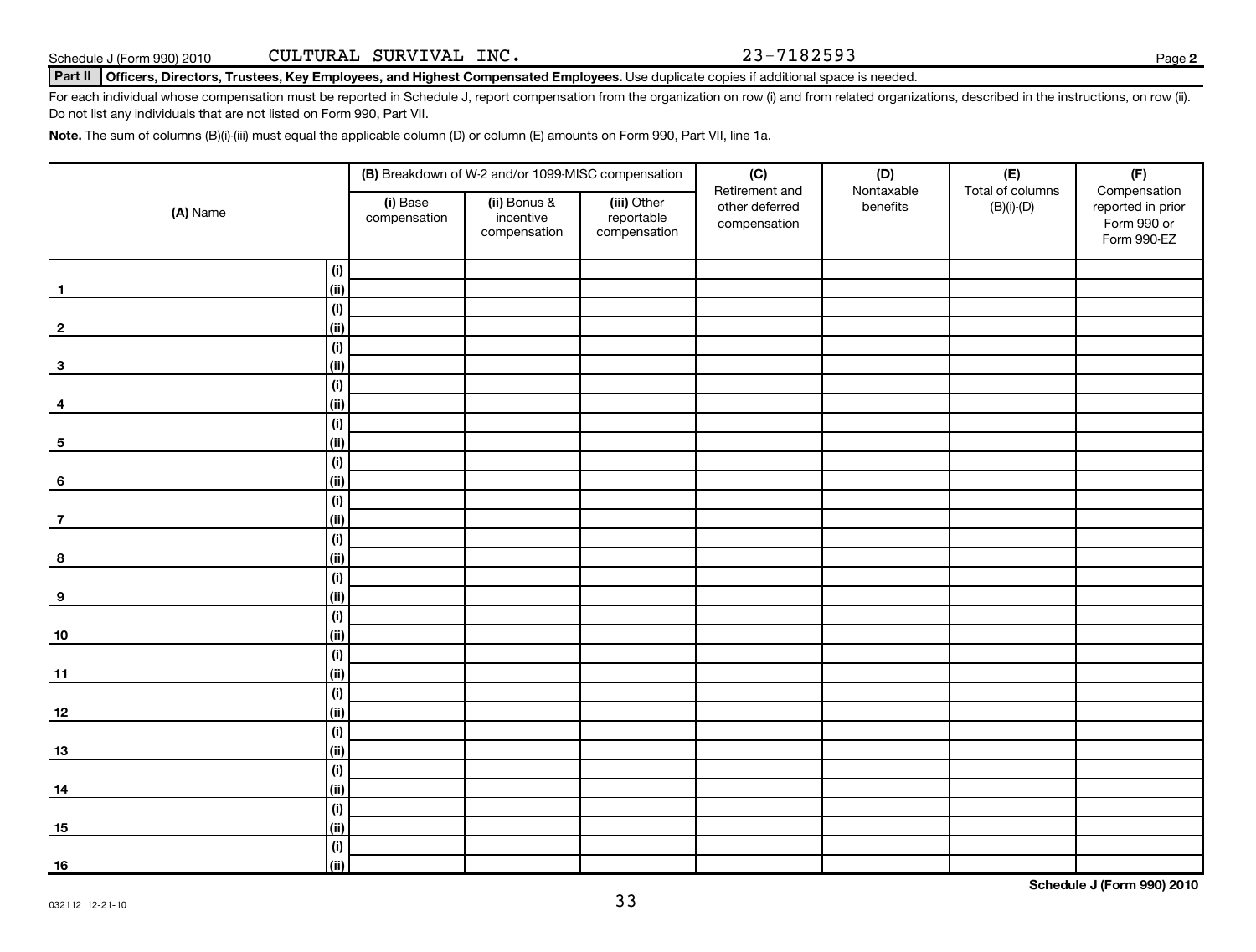## Part II | Officers, Directors, Trustees, Key Employees, and Highest Compensated Employees. Use duplicate copies if additional space is needed.

For each individual whose compensation must be reported in Schedule J, report compensation from the organization on row (i) and from related organizations, described in the instructions, on row (ii). Do not list any individuals that are not listed on Form 990, Part VII.

**Note.**  The sum of columns (B)(i)-(iii) must equal the applicable column (D) or column (E) amounts on Form 990, Part VII, line 1a.

|                         |                        |                          | (B) Breakdown of W-2 and/or 1099-MISC compensation |                                           | (C)                                              | (D)                    | (E)                              | (F)                                                             |
|-------------------------|------------------------|--------------------------|----------------------------------------------------|-------------------------------------------|--------------------------------------------------|------------------------|----------------------------------|-----------------------------------------------------------------|
| (A) Name                |                        | (i) Base<br>compensation | (ii) Bonus &<br>incentive<br>compensation          | (iii) Other<br>reportable<br>compensation | Retirement and<br>other deferred<br>compensation | Nontaxable<br>benefits | Total of columns<br>$(B)(i)-(D)$ | Compensation<br>reported in prior<br>Form 990 or<br>Form 990-EZ |
|                         | (i)                    |                          |                                                    |                                           |                                                  |                        |                                  |                                                                 |
| $\mathbf{1}$            | (ii)                   |                          |                                                    |                                           |                                                  |                        |                                  |                                                                 |
|                         | $\vert$ (i)            |                          |                                                    |                                           |                                                  |                        |                                  |                                                                 |
| $\overline{\mathbf{2}}$ | (ii)                   |                          |                                                    |                                           |                                                  |                        |                                  |                                                                 |
|                         | $\vert$ (i)            |                          |                                                    |                                           |                                                  |                        |                                  |                                                                 |
| $\mathbf{3}$            | (ii)                   |                          |                                                    |                                           |                                                  |                        |                                  |                                                                 |
|                         | (i)                    |                          |                                                    |                                           |                                                  |                        |                                  |                                                                 |
| 4                       | (ii)                   |                          |                                                    |                                           |                                                  |                        |                                  |                                                                 |
|                         | (i)                    |                          |                                                    |                                           |                                                  |                        |                                  |                                                                 |
| $\sqrt{5}$              | (ii)                   |                          |                                                    |                                           |                                                  |                        |                                  |                                                                 |
|                         | $\vert$ (i)            |                          |                                                    |                                           |                                                  |                        |                                  |                                                                 |
| 6                       | (i)                    |                          |                                                    |                                           |                                                  |                        |                                  |                                                                 |
|                         | (i)                    |                          |                                                    |                                           |                                                  |                        |                                  |                                                                 |
| $\overline{7}$          | (ii)                   |                          |                                                    |                                           |                                                  |                        |                                  |                                                                 |
|                         | $\boxed{(\mathbf{i})}$ |                          |                                                    |                                           |                                                  |                        |                                  |                                                                 |
| 8                       | (ii)                   |                          |                                                    |                                           |                                                  |                        |                                  |                                                                 |
|                         | $\boxed{(\mathbf{i})}$ |                          |                                                    |                                           |                                                  |                        |                                  |                                                                 |
| $\boldsymbol{9}$        | (ii)                   |                          |                                                    |                                           |                                                  |                        |                                  |                                                                 |
|                         | (i)                    |                          |                                                    |                                           |                                                  |                        |                                  |                                                                 |
| 10                      | (ii)                   |                          |                                                    |                                           |                                                  |                        |                                  |                                                                 |
|                         | (i)                    |                          |                                                    |                                           |                                                  |                        |                                  |                                                                 |
| <u>11</u>               | (ii)                   |                          |                                                    |                                           |                                                  |                        |                                  |                                                                 |
|                         | (i)                    |                          |                                                    |                                           |                                                  |                        |                                  |                                                                 |
| 12                      | (ii)                   |                          |                                                    |                                           |                                                  |                        |                                  |                                                                 |
|                         | (i)                    |                          |                                                    |                                           |                                                  |                        |                                  |                                                                 |
| 13                      | (ii)                   |                          |                                                    |                                           |                                                  |                        |                                  |                                                                 |
|                         | (i)                    |                          |                                                    |                                           |                                                  |                        |                                  |                                                                 |
| 14                      | (ii)                   |                          |                                                    |                                           |                                                  |                        |                                  |                                                                 |
|                         | (i)                    |                          |                                                    |                                           |                                                  |                        |                                  |                                                                 |
| 15                      | (ii)                   |                          |                                                    |                                           |                                                  |                        |                                  |                                                                 |
|                         | (i)                    |                          |                                                    |                                           |                                                  |                        |                                  |                                                                 |
| 16                      | (ii)                   |                          |                                                    |                                           |                                                  |                        |                                  |                                                                 |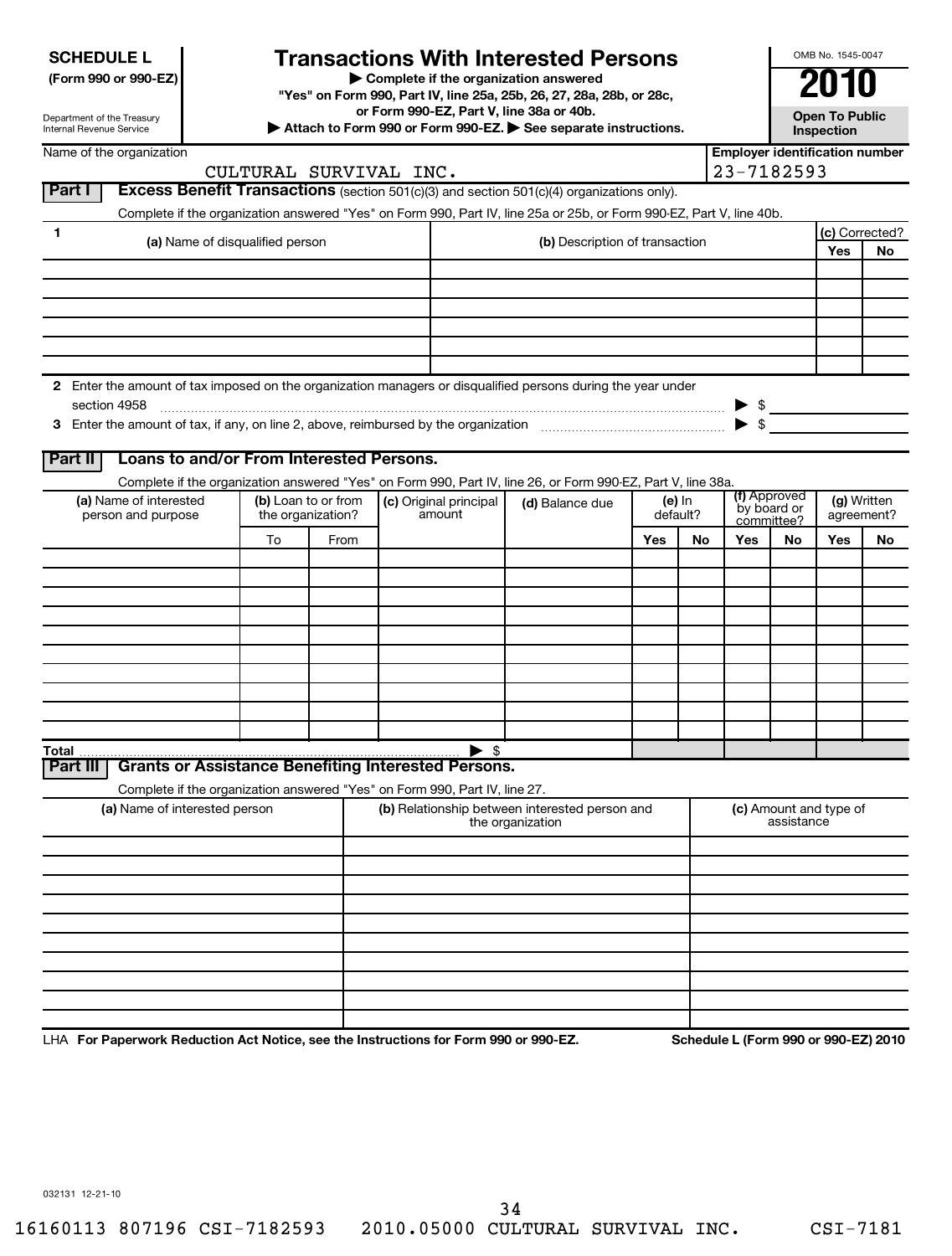| <b>SCHEDULE L</b> |
|-------------------|
|-------------------|

# **Transactions With Interested Persons**

**(Form 990 or 990-EZ) | Complete if the organization answered**

**"Yes" on Form 990, Part IV, line 25a, 25b, 26, 27, 28a, 28b, or 28c,**

**or Form 990-EZ, Part V, line 38a or 40b.**

**| Attach to Form 990 or Form 990-EZ. | See separate instructions. Open To Public**

**Inspection**

OMB No. 1545-0047

Department of the Treasury Internal Revenue Service

| <b>Excess Benefit Transactions</b> (section 501(c)(3) and section $501$ (c)(4) organizations only).<br>Complete if the organization answered "Yes" on Form 990, Part IV, line 25a or 25b, or Form 990-EZ, Part V, line 40b.<br>1<br>(c) Corrected?<br>(a) Name of disqualified person<br>(b) Description of transaction<br>Yes<br>No<br>2 Enter the amount of tax imposed on the organization managers or disqualified persons during the year under<br>section 4958<br>$\blacktriangleright$ \$<br>Loans to and/or From Interested Persons.<br><b>Part II</b><br>Complete if the organization answered "Yes" on Form 990, Part IV, line 26, or Form 990-EZ, Part V, line 38a.<br>(f) Approved<br>(a) Name of interested<br>(b) Loan to or from<br>(g) Written<br>(c) Original principal<br>(e) $ln$<br>(d) Balance due<br>by board or<br>amount<br>the organization?<br>person and purpose<br>default?<br>agreement?<br>committee?<br>Yes<br>To<br>From<br>Yes<br>No<br>No<br>Yes<br>No<br>$\blacktriangleright$ \$<br>Total<br><b>Grants or Assistance Benefiting Interested Persons.</b><br>Complete if the organization answered "Yes" on Form 990, Part IV, line 27.<br>(b) Relationship between interested person and<br>(a) Name of interested person<br>(c) Amount and type of<br>assistance<br>the organization | Name of the organization | CULTURAL SURVIVAL INC. |  |  |  | <b>Employer identification number</b><br>23-7182593 |  |                                      |  |
|--------------------------------------------------------------------------------------------------------------------------------------------------------------------------------------------------------------------------------------------------------------------------------------------------------------------------------------------------------------------------------------------------------------------------------------------------------------------------------------------------------------------------------------------------------------------------------------------------------------------------------------------------------------------------------------------------------------------------------------------------------------------------------------------------------------------------------------------------------------------------------------------------------------------------------------------------------------------------------------------------------------------------------------------------------------------------------------------------------------------------------------------------------------------------------------------------------------------------------------------------------------------------------------------------------------------------|--------------------------|------------------------|--|--|--|-----------------------------------------------------|--|--------------------------------------|--|
|                                                                                                                                                                                                                                                                                                                                                                                                                                                                                                                                                                                                                                                                                                                                                                                                                                                                                                                                                                                                                                                                                                                                                                                                                                                                                                                          | <b>Part I</b>            |                        |  |  |  |                                                     |  |                                      |  |
|                                                                                                                                                                                                                                                                                                                                                                                                                                                                                                                                                                                                                                                                                                                                                                                                                                                                                                                                                                                                                                                                                                                                                                                                                                                                                                                          |                          |                        |  |  |  |                                                     |  |                                      |  |
|                                                                                                                                                                                                                                                                                                                                                                                                                                                                                                                                                                                                                                                                                                                                                                                                                                                                                                                                                                                                                                                                                                                                                                                                                                                                                                                          |                          |                        |  |  |  |                                                     |  |                                      |  |
|                                                                                                                                                                                                                                                                                                                                                                                                                                                                                                                                                                                                                                                                                                                                                                                                                                                                                                                                                                                                                                                                                                                                                                                                                                                                                                                          |                          |                        |  |  |  |                                                     |  |                                      |  |
|                                                                                                                                                                                                                                                                                                                                                                                                                                                                                                                                                                                                                                                                                                                                                                                                                                                                                                                                                                                                                                                                                                                                                                                                                                                                                                                          |                          |                        |  |  |  |                                                     |  |                                      |  |
|                                                                                                                                                                                                                                                                                                                                                                                                                                                                                                                                                                                                                                                                                                                                                                                                                                                                                                                                                                                                                                                                                                                                                                                                                                                                                                                          |                          |                        |  |  |  |                                                     |  |                                      |  |
|                                                                                                                                                                                                                                                                                                                                                                                                                                                                                                                                                                                                                                                                                                                                                                                                                                                                                                                                                                                                                                                                                                                                                                                                                                                                                                                          |                          |                        |  |  |  |                                                     |  |                                      |  |
|                                                                                                                                                                                                                                                                                                                                                                                                                                                                                                                                                                                                                                                                                                                                                                                                                                                                                                                                                                                                                                                                                                                                                                                                                                                                                                                          |                          |                        |  |  |  |                                                     |  |                                      |  |
|                                                                                                                                                                                                                                                                                                                                                                                                                                                                                                                                                                                                                                                                                                                                                                                                                                                                                                                                                                                                                                                                                                                                                                                                                                                                                                                          |                          |                        |  |  |  |                                                     |  |                                      |  |
|                                                                                                                                                                                                                                                                                                                                                                                                                                                                                                                                                                                                                                                                                                                                                                                                                                                                                                                                                                                                                                                                                                                                                                                                                                                                                                                          |                          |                        |  |  |  |                                                     |  |                                      |  |
|                                                                                                                                                                                                                                                                                                                                                                                                                                                                                                                                                                                                                                                                                                                                                                                                                                                                                                                                                                                                                                                                                                                                                                                                                                                                                                                          |                          |                        |  |  |  |                                                     |  |                                      |  |
|                                                                                                                                                                                                                                                                                                                                                                                                                                                                                                                                                                                                                                                                                                                                                                                                                                                                                                                                                                                                                                                                                                                                                                                                                                                                                                                          |                          |                        |  |  |  |                                                     |  |                                      |  |
|                                                                                                                                                                                                                                                                                                                                                                                                                                                                                                                                                                                                                                                                                                                                                                                                                                                                                                                                                                                                                                                                                                                                                                                                                                                                                                                          |                          |                        |  |  |  |                                                     |  |                                      |  |
|                                                                                                                                                                                                                                                                                                                                                                                                                                                                                                                                                                                                                                                                                                                                                                                                                                                                                                                                                                                                                                                                                                                                                                                                                                                                                                                          |                          |                        |  |  |  |                                                     |  | Schodule   (Form 990 or 990-F7) 2010 |  |
|                                                                                                                                                                                                                                                                                                                                                                                                                                                                                                                                                                                                                                                                                                                                                                                                                                                                                                                                                                                                                                                                                                                                                                                                                                                                                                                          |                          |                        |  |  |  |                                                     |  |                                      |  |
|                                                                                                                                                                                                                                                                                                                                                                                                                                                                                                                                                                                                                                                                                                                                                                                                                                                                                                                                                                                                                                                                                                                                                                                                                                                                                                                          |                          |                        |  |  |  |                                                     |  |                                      |  |
|                                                                                                                                                                                                                                                                                                                                                                                                                                                                                                                                                                                                                                                                                                                                                                                                                                                                                                                                                                                                                                                                                                                                                                                                                                                                                                                          |                          |                        |  |  |  |                                                     |  |                                      |  |
|                                                                                                                                                                                                                                                                                                                                                                                                                                                                                                                                                                                                                                                                                                                                                                                                                                                                                                                                                                                                                                                                                                                                                                                                                                                                                                                          |                          |                        |  |  |  |                                                     |  |                                      |  |
|                                                                                                                                                                                                                                                                                                                                                                                                                                                                                                                                                                                                                                                                                                                                                                                                                                                                                                                                                                                                                                                                                                                                                                                                                                                                                                                          |                          |                        |  |  |  |                                                     |  |                                      |  |
|                                                                                                                                                                                                                                                                                                                                                                                                                                                                                                                                                                                                                                                                                                                                                                                                                                                                                                                                                                                                                                                                                                                                                                                                                                                                                                                          |                          |                        |  |  |  |                                                     |  |                                      |  |
|                                                                                                                                                                                                                                                                                                                                                                                                                                                                                                                                                                                                                                                                                                                                                                                                                                                                                                                                                                                                                                                                                                                                                                                                                                                                                                                          |                          |                        |  |  |  |                                                     |  |                                      |  |
|                                                                                                                                                                                                                                                                                                                                                                                                                                                                                                                                                                                                                                                                                                                                                                                                                                                                                                                                                                                                                                                                                                                                                                                                                                                                                                                          |                          |                        |  |  |  |                                                     |  |                                      |  |
|                                                                                                                                                                                                                                                                                                                                                                                                                                                                                                                                                                                                                                                                                                                                                                                                                                                                                                                                                                                                                                                                                                                                                                                                                                                                                                                          |                          |                        |  |  |  |                                                     |  |                                      |  |
|                                                                                                                                                                                                                                                                                                                                                                                                                                                                                                                                                                                                                                                                                                                                                                                                                                                                                                                                                                                                                                                                                                                                                                                                                                                                                                                          | <b>Part III</b>          |                        |  |  |  |                                                     |  |                                      |  |
|                                                                                                                                                                                                                                                                                                                                                                                                                                                                                                                                                                                                                                                                                                                                                                                                                                                                                                                                                                                                                                                                                                                                                                                                                                                                                                                          |                          |                        |  |  |  |                                                     |  |                                      |  |
|                                                                                                                                                                                                                                                                                                                                                                                                                                                                                                                                                                                                                                                                                                                                                                                                                                                                                                                                                                                                                                                                                                                                                                                                                                                                                                                          |                          |                        |  |  |  |                                                     |  |                                      |  |
|                                                                                                                                                                                                                                                                                                                                                                                                                                                                                                                                                                                                                                                                                                                                                                                                                                                                                                                                                                                                                                                                                                                                                                                                                                                                                                                          |                          |                        |  |  |  |                                                     |  |                                      |  |
|                                                                                                                                                                                                                                                                                                                                                                                                                                                                                                                                                                                                                                                                                                                                                                                                                                                                                                                                                                                                                                                                                                                                                                                                                                                                                                                          |                          |                        |  |  |  |                                                     |  |                                      |  |
|                                                                                                                                                                                                                                                                                                                                                                                                                                                                                                                                                                                                                                                                                                                                                                                                                                                                                                                                                                                                                                                                                                                                                                                                                                                                                                                          |                          |                        |  |  |  |                                                     |  |                                      |  |
|                                                                                                                                                                                                                                                                                                                                                                                                                                                                                                                                                                                                                                                                                                                                                                                                                                                                                                                                                                                                                                                                                                                                                                                                                                                                                                                          |                          |                        |  |  |  |                                                     |  |                                      |  |
|                                                                                                                                                                                                                                                                                                                                                                                                                                                                                                                                                                                                                                                                                                                                                                                                                                                                                                                                                                                                                                                                                                                                                                                                                                                                                                                          |                          |                        |  |  |  |                                                     |  |                                      |  |
|                                                                                                                                                                                                                                                                                                                                                                                                                                                                                                                                                                                                                                                                                                                                                                                                                                                                                                                                                                                                                                                                                                                                                                                                                                                                                                                          |                          |                        |  |  |  |                                                     |  |                                      |  |
|                                                                                                                                                                                                                                                                                                                                                                                                                                                                                                                                                                                                                                                                                                                                                                                                                                                                                                                                                                                                                                                                                                                                                                                                                                                                                                                          |                          |                        |  |  |  |                                                     |  |                                      |  |
|                                                                                                                                                                                                                                                                                                                                                                                                                                                                                                                                                                                                                                                                                                                                                                                                                                                                                                                                                                                                                                                                                                                                                                                                                                                                                                                          |                          |                        |  |  |  |                                                     |  |                                      |  |
|                                                                                                                                                                                                                                                                                                                                                                                                                                                                                                                                                                                                                                                                                                                                                                                                                                                                                                                                                                                                                                                                                                                                                                                                                                                                                                                          |                          |                        |  |  |  |                                                     |  |                                      |  |

LHA For Paperwork Reduction Act Notice, see the Instructions for Form 990 or 990-EZ. Schedule L (Form 990 or 990-EZ) 2010

032131 12-21-10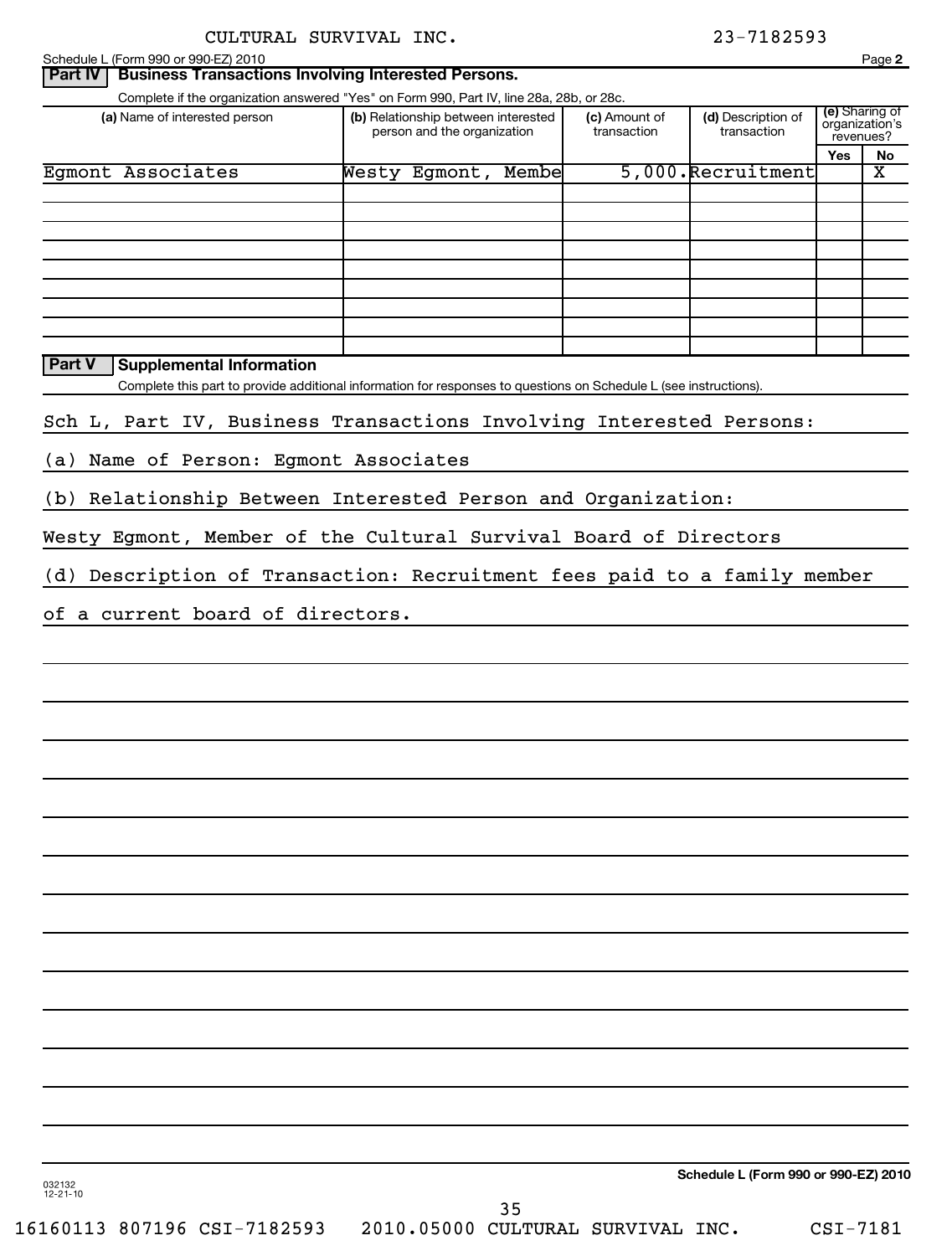| (a) Name of interested person                                            |                                                                                                                   | Complete if the organization answered "Yes" on Form 990, Part IV, line 28a, 28b, or 28c. |                                   |                                               |    |
|--------------------------------------------------------------------------|-------------------------------------------------------------------------------------------------------------------|------------------------------------------------------------------------------------------|-----------------------------------|-----------------------------------------------|----|
|                                                                          | (b) Relationship between interested<br>person and the organization                                                | (c) Amount of<br>transaction                                                             | (d) Description of<br>transaction | (e) Sharing of<br>organization's<br>revenues? |    |
|                                                                          |                                                                                                                   |                                                                                          |                                   | Yes                                           | No |
| Egmont Associates                                                        | Westy Egmont, Membe                                                                                               |                                                                                          | 5,000.Recruitment                 |                                               | x  |
|                                                                          |                                                                                                                   |                                                                                          |                                   |                                               |    |
|                                                                          |                                                                                                                   |                                                                                          |                                   |                                               |    |
| <b>Part V</b><br><b>Supplemental Information</b>                         |                                                                                                                   |                                                                                          |                                   |                                               |    |
| Sch L, Part IV, Business Transactions Involving Interested Persons:      | Complete this part to provide additional information for responses to questions on Schedule L (see instructions). |                                                                                          |                                   |                                               |    |
| Name of Person: Egmont Associates<br>(a)                                 |                                                                                                                   |                                                                                          |                                   |                                               |    |
| (b) Relationship Between Interested Person and Organization:             |                                                                                                                   |                                                                                          |                                   |                                               |    |
| Westy Egmont, Member of the Cultural Survival Board of Directors         |                                                                                                                   |                                                                                          |                                   |                                               |    |
| (d) Description of Transaction: Recruitment fees paid to a family member |                                                                                                                   |                                                                                          |                                   |                                               |    |
| of a current board of directors.                                         |                                                                                                                   |                                                                                          |                                   |                                               |    |
|                                                                          |                                                                                                                   |                                                                                          |                                   |                                               |    |
|                                                                          |                                                                                                                   |                                                                                          |                                   |                                               |    |
|                                                                          |                                                                                                                   |                                                                                          |                                   |                                               |    |
|                                                                          |                                                                                                                   |                                                                                          |                                   |                                               |    |
|                                                                          |                                                                                                                   |                                                                                          |                                   |                                               |    |
|                                                                          |                                                                                                                   |                                                                                          |                                   |                                               |    |
|                                                                          |                                                                                                                   |                                                                                          |                                   |                                               |    |
|                                                                          |                                                                                                                   |                                                                                          |                                   |                                               |    |
|                                                                          |                                                                                                                   |                                                                                          |                                   |                                               |    |
|                                                                          |                                                                                                                   |                                                                                          |                                   |                                               |    |
|                                                                          |                                                                                                                   |                                                                                          |                                   |                                               |    |
|                                                                          |                                                                                                                   |                                                                                          |                                   |                                               |    |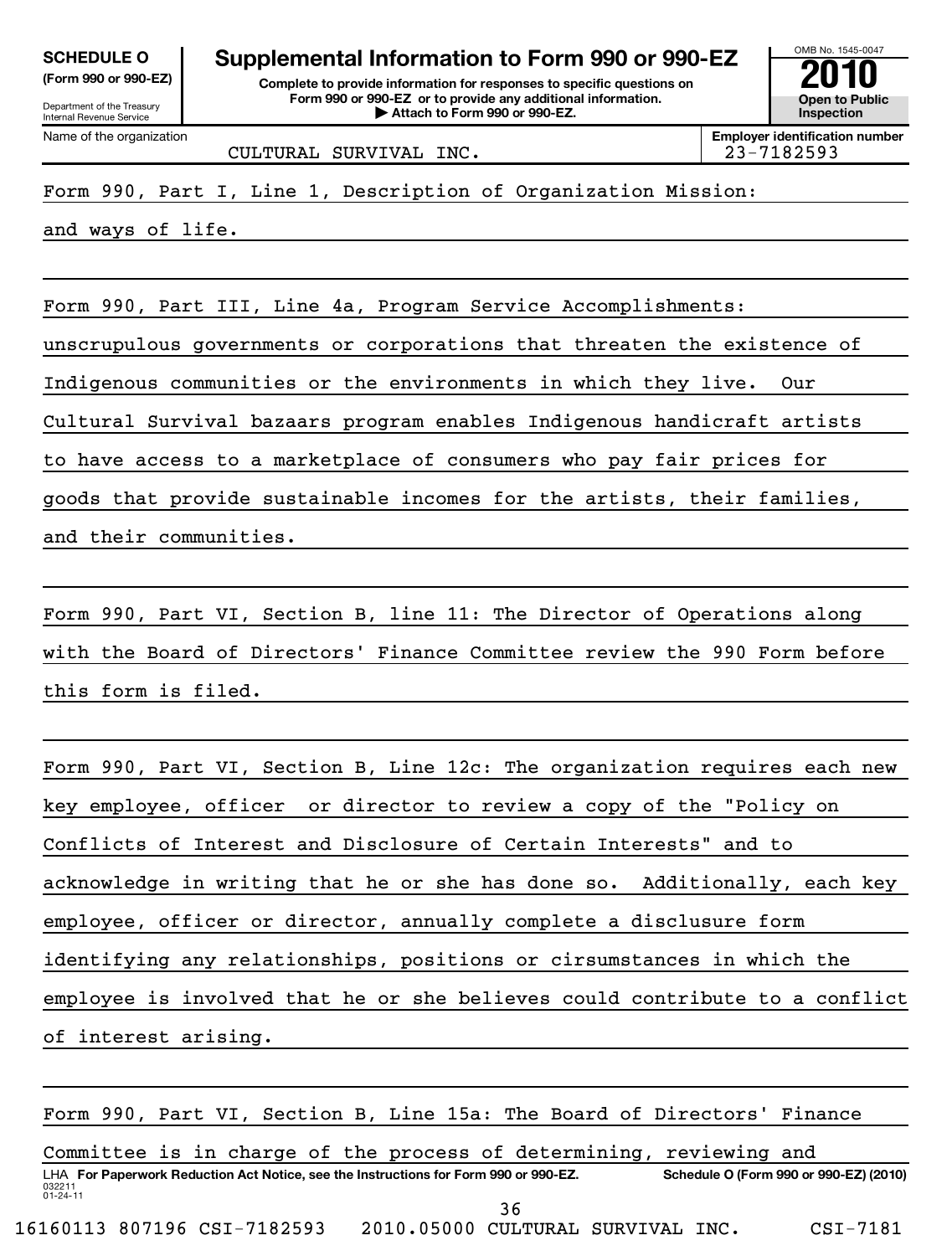| <b>SCHEDULE O</b> |          |  |
|-------------------|----------|--|
| ---               | $\cdots$ |  |

|  |  | $\mu$ or $\mu$ and $\sigma$ or $\sigma$ and $\sigma$ |  |
|--|--|------------------------------------------------------|--|
|  |  |                                                      |  |

Department of the Treasury Internal Revenue Service Name of the organization

# **Supplemental Information to Form 990 or 990-EZ**<br> **Complete to provide information for responses to specific questions on**<br> **Exam 990 or 990-EZ** or to provide any additional information.

**(Form 990 or 990-EZ) Complete to provide information for responses to specific questions on Form 990 or 990-EZ or to provide any additional information. | Attach to Form 990 or 990-EZ. Open to Public**

OMB No. 1545-0047 **Inspection**

**Employer identification number**

CULTURAL SURVIVAL INC. 23-7182593

Form 990, Part I, Line 1, Description of Organization Mission:

and ways of life.

Form 990, Part III, Line 4a, Program Service Accomplishments:

unscrupulous governments or corporations that threaten the existence of

Indigenous communities or the environments in which they live. Our

Cultural Survival bazaars program enables Indigenous handicraft artists

to have access to a marketplace of consumers who pay fair prices for

goods that provide sustainable incomes for the artists, their families,

and their communities.

Form 990, Part VI, Section B, line 11: The Director of Operations along with the Board of Directors' Finance Committee review the 990 Form before this form is filed.

Form 990, Part VI, Section B, Line 12c: The organization requires each new key employee, officer or director to review a copy of the "Policy on Conflicts of Interest and Disclosure of Certain Interests" and to acknowledge in writing that he or she has done so. Additionally, each key employee, officer or director, annually complete a disclusure form identifying any relationships, positions or cirsumstances in which the employee is involved that he or she believes could contribute to a conflict of interest arising.

032211 01-24-11 LHA For Paperwork Reduction Act Notice, see the Instructions for Form 990 or 990-EZ. Schedule O (Form 990 or 990-EZ) (2010) Form 990, Part VI, Section B, Line 15a: The Board of Directors' Finance Committee is in charge of the process of determining, reviewing and 36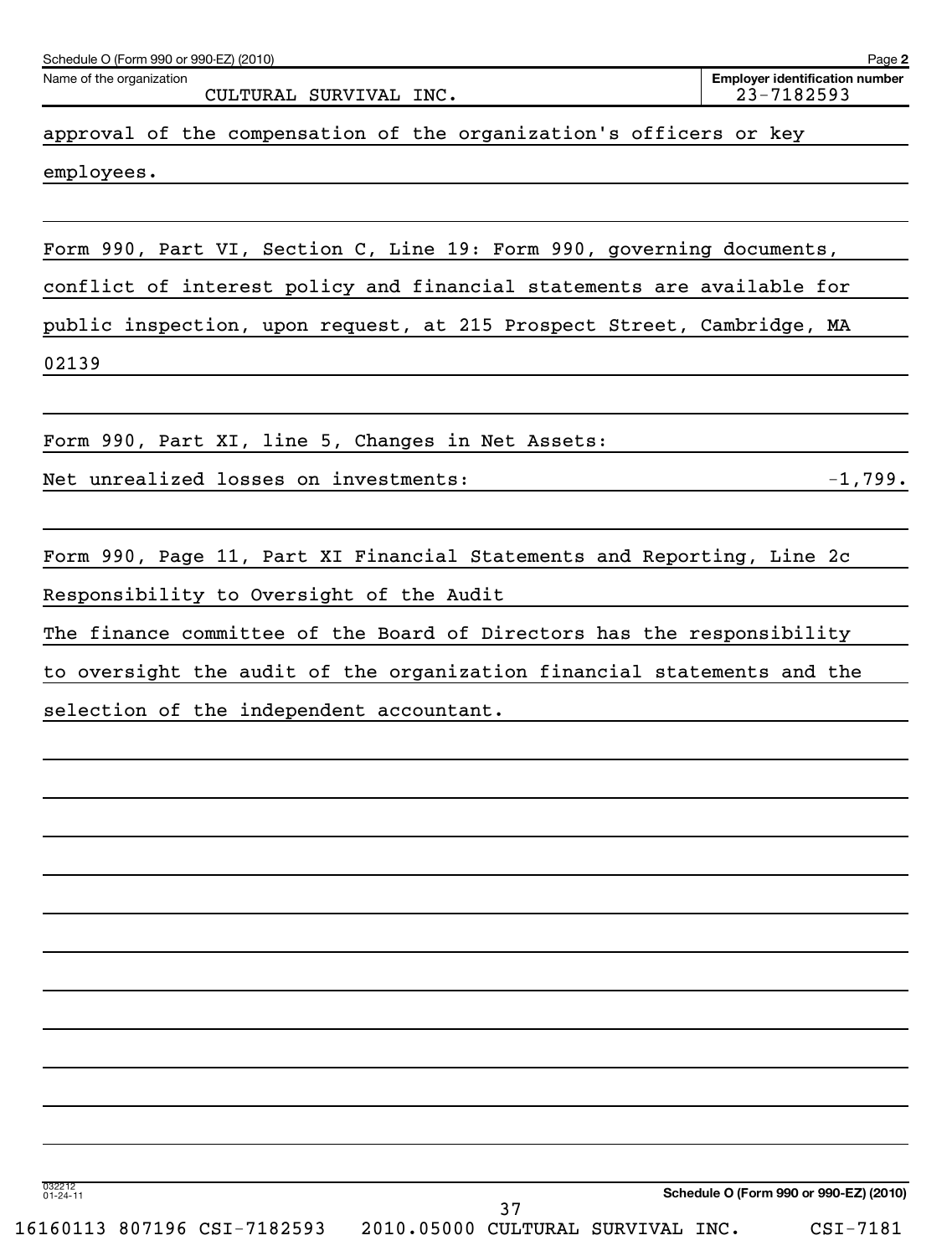| Schedule O (Form 990 or 990-EZ) (2010)                                  | Page 2                                              |
|-------------------------------------------------------------------------|-----------------------------------------------------|
| Name of the organization<br>CULTURAL SURVIVAL INC.                      | <b>Employer identification number</b><br>23-7182593 |
| approval of the compensation of the organization's officers or key      |                                                     |
| employees.                                                              |                                                     |
|                                                                         |                                                     |
| Form 990, Part VI, Section C, Line 19: Form 990, governing documents,   |                                                     |
| conflict of interest policy and financial statements are available for  |                                                     |
| public inspection, upon request, at 215 Prospect Street, Cambridge, MA  |                                                     |
| 02139                                                                   |                                                     |
| Form 990, Part XI, line 5, Changes in Net Assets:                       |                                                     |
| Net unrealized losses on investments:                                   | $-1,799.$                                           |
| Form 990, Page 11, Part XI Financial Statements and Reporting, Line 2c  |                                                     |
| Responsibility to Oversight of the Audit                                |                                                     |
| The finance committee of the Board of Directors has the responsibility  |                                                     |
| to oversight the audit of the organization financial statements and the |                                                     |
| selection of the independent accountant.                                |                                                     |
|                                                                         |                                                     |
|                                                                         |                                                     |
|                                                                         |                                                     |
|                                                                         |                                                     |
|                                                                         |                                                     |
|                                                                         |                                                     |
|                                                                         |                                                     |
|                                                                         |                                                     |
|                                                                         |                                                     |
|                                                                         |                                                     |
|                                                                         |                                                     |
|                                                                         |                                                     |
| 032212<br>01-24-11                                                      | Schedule O (Form 990 or 990-EZ) (2010)              |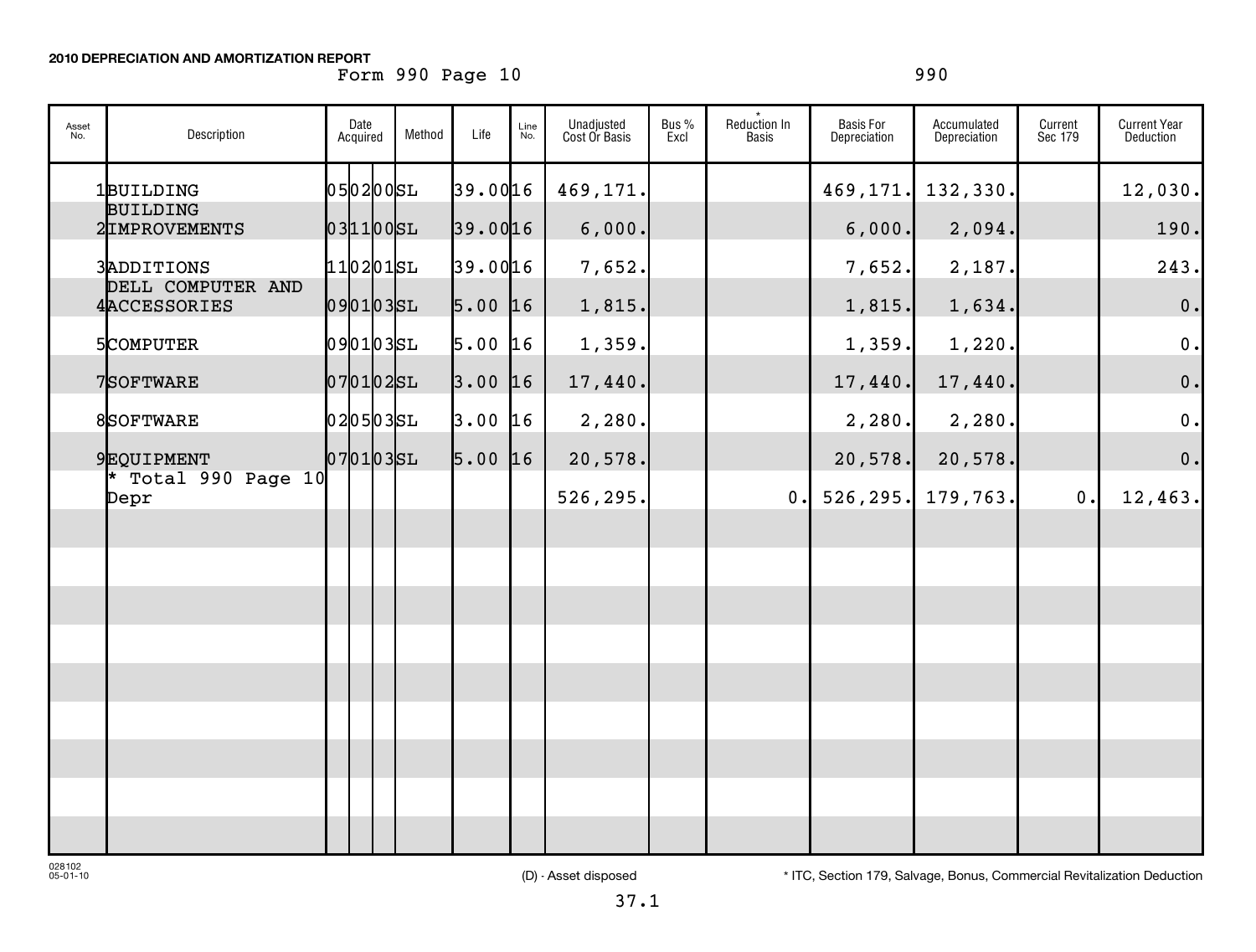### **2010 DEPRECIATION AND AMORTIZATION REPORT**

# Form 990 Page 10 990 990

| Asset<br>No. | Description                     | Date<br>Acquired | Method | Life      | Line<br>No. | Unadjusted<br>Cost Or Basis | Bus %<br>Excl | Reduction In<br>Basis | <b>Basis For</b><br>Depreciation | Accumulated<br>Depreciation | Current<br>Sec 179 | <b>Current Year</b><br>Deduction |
|--------------|---------------------------------|------------------|--------|-----------|-------------|-----------------------------|---------------|-----------------------|----------------------------------|-----------------------------|--------------------|----------------------------------|
|              | 1BUILDING<br><b>BUILDING</b>    | 05 02 00 SL      |        | 39.0016   |             | 469,171.                    |               |                       | 469,171.                         | 132,330.                    |                    | 12,030.                          |
|              | 2IMPROVEMENTS                   | $031100$ $SL$    |        | 39.0016   |             | 6,000.                      |               |                       | 6,000.                           | 2,094.                      |                    | 190.                             |
|              | 3ADDITIONS<br>DELL COMPUTER AND | $110201$ SL      |        | 39.0016   |             | 7,652.                      |               |                       | 7,652.                           | 2,187.                      |                    | 243.                             |
|              | 4ACCESSORIES                    | 0901035L         |        | $5.00$ 16 |             | 1,815.                      |               |                       | 1,815.                           | 1,634.                      |                    | 0.                               |
|              | 5COMPUTER                       | 0901035L         |        | 5.00      | 16          | 1,359.                      |               |                       | 1,359.                           | 1,220.                      |                    | 0.                               |
|              | 7SOFTWARE                       | $ 07 01 02$ SL   |        | 3.00      | 16          | 17,440.                     |               |                       | 17,440.                          | 17,440.                     |                    | 0.                               |
|              | 8SOFTWARE                       | 0205035L         |        | $3.00$ 16 |             | 2,280.                      |               |                       | 2,280.                           | 2,280.                      |                    | 0.                               |
|              | 9EQUIPMENT                      | 07 01 03 SL      |        | $5.00$ 16 |             | 20,578.                     |               |                       | 20,578.                          | 20,578.                     |                    | $\mathbf 0$ .                    |
|              | * Total 990 Page 10<br>Depr     |                  |        |           |             | 526,295.                    |               | 0.                    | 526, 295.                        | 179,763.                    | 0.                 | 12,463.                          |
|              |                                 |                  |        |           |             |                             |               |                       |                                  |                             |                    |                                  |
|              |                                 |                  |        |           |             |                             |               |                       |                                  |                             |                    |                                  |
|              |                                 |                  |        |           |             |                             |               |                       |                                  |                             |                    |                                  |
|              |                                 |                  |        |           |             |                             |               |                       |                                  |                             |                    |                                  |
|              |                                 |                  |        |           |             |                             |               |                       |                                  |                             |                    |                                  |
|              |                                 |                  |        |           |             |                             |               |                       |                                  |                             |                    |                                  |
|              |                                 |                  |        |           |             |                             |               |                       |                                  |                             |                    |                                  |
|              |                                 |                  |        |           |             |                             |               |                       |                                  |                             |                    |                                  |
|              |                                 |                  |        |           |             |                             |               |                       |                                  |                             |                    |                                  |